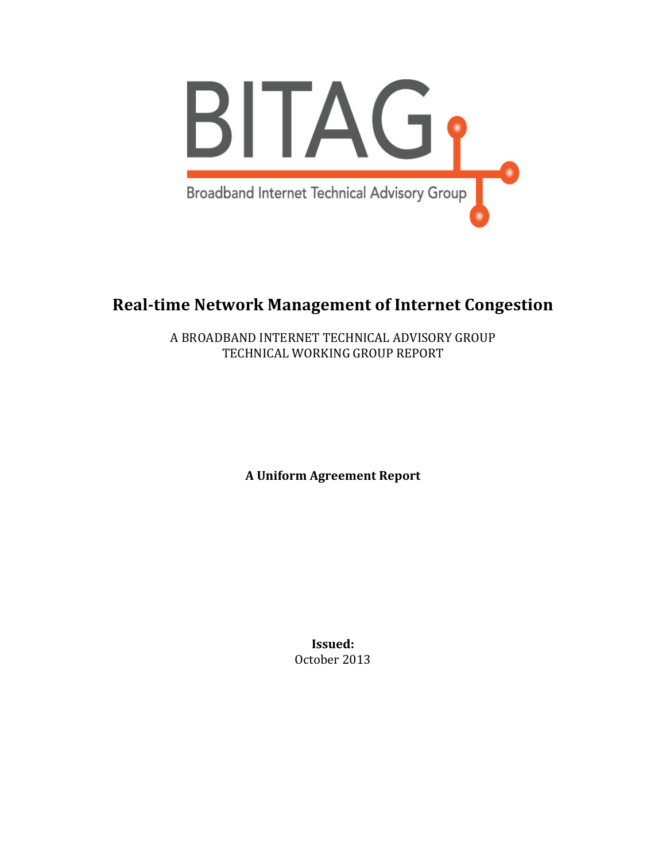

# **Real-time Network Management of Internet Congestion**

A BROADBAND INTERNET TECHNICAL ADVISORY GROUP TECHNICAL WORKING GROUP REPORT

**A Uniform Agreement Report**

**Issued:** October 2013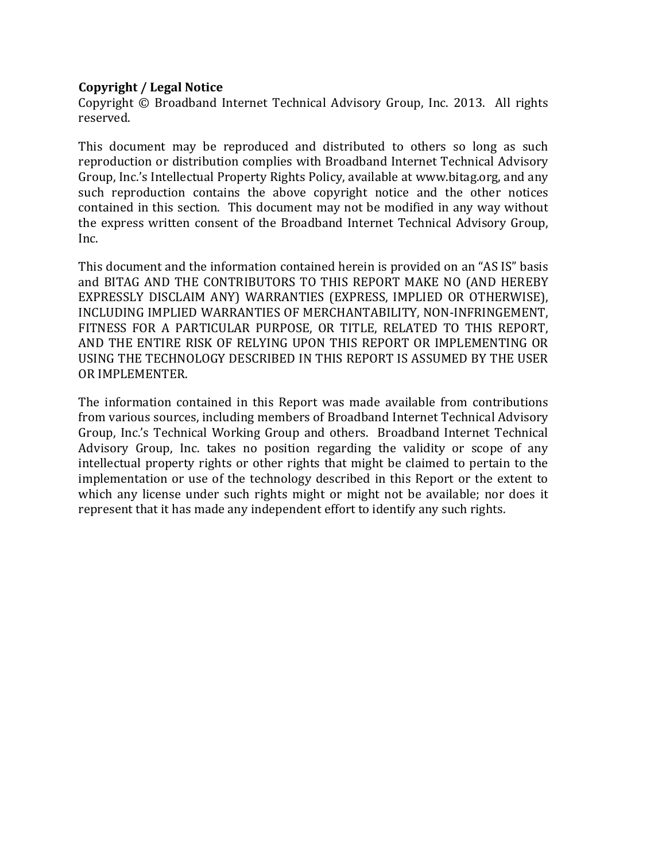#### **Copyright / Legal Notice**

Copyright  $\odot$  Broadband Internet Technical Advisory Group, Inc. 2013. All rights reserved. 

This document may be reproduced and distributed to others so long as such reproduction or distribution complies with Broadband Internet Technical Advisory Group, Inc.'s Intellectual Property Rights Policy, available at www.bitag.org, and any such reproduction contains the above copyright notice and the other notices contained in this section. This document may not be modified in any way without the express written consent of the Broadband Internet Technical Advisory Group, Inc. 

This document and the information contained herein is provided on an "AS IS" basis and BITAG AND THE CONTRIBUTORS TO THIS REPORT MAKE NO (AND HEREBY EXPRESSLY DISCLAIM ANY) WARRANTIES (EXPRESS, IMPLIED OR OTHERWISE), INCLUDING IMPLIED WARRANTIES OF MERCHANTABILITY, NON-INFRINGEMENT, FITNESS FOR A PARTICULAR PURPOSE, OR TITLE, RELATED TO THIS REPORT, AND THE ENTIRE RISK OF RELYING UPON THIS REPORT OR IMPLEMENTING OR USING THE TECHNOLOGY DESCRIBED IN THIS REPORT IS ASSUMED BY THE USER OR IMPLEMENTER.

The information contained in this Report was made available from contributions from various sources, including members of Broadband Internet Technical Advisory Group, Inc.'s Technical Working Group and others. Broadband Internet Technical Advisory Group, Inc. takes no position regarding the validity or scope of any intellectual property rights or other rights that might be claimed to pertain to the implementation or use of the technology described in this Report or the extent to which any license under such rights might or might not be available; nor does it represent that it has made any independent effort to identify any such rights.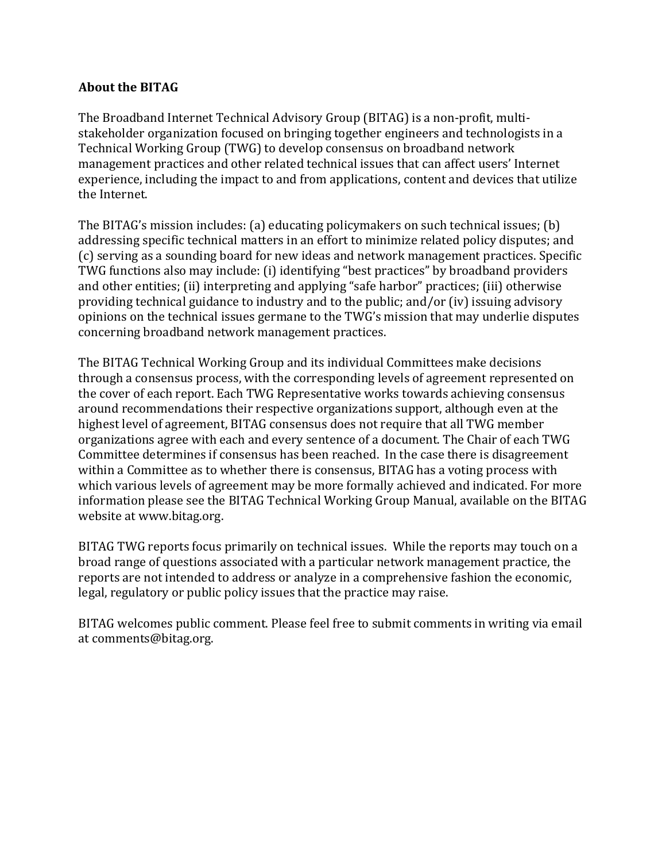#### **About the BITAG**

The Broadband Internet Technical Advisory Group (BITAG) is a non-profit, multistakeholder organization focused on bringing together engineers and technologists in a Technical Working Group (TWG) to develop consensus on broadband network management practices and other related technical issues that can affect users' Internet experience, including the impact to and from applications, content and devices that utilize the Internet.

The BITAG's mission includes: (a) educating policymakers on such technical issues; (b) addressing specific technical matters in an effort to minimize related policy disputes; and (c) serving as a sounding board for new ideas and network management practices. Specific TWG functions also may include: (i) identifying "best practices" by broadband providers and other entities; (ii) interpreting and applying "safe harbor" practices; (iii) otherwise providing technical guidance to industry and to the public; and/or (iv) issuing advisory opinions on the technical issues germane to the TWG's mission that may underlie disputes concerning broadband network management practices.

The BITAG Technical Working Group and its individual Committees make decisions through a consensus process, with the corresponding levels of agreement represented on the cover of each report. Each TWG Representative works towards achieving consensus around recommendations their respective organizations support, although even at the highest level of agreement, BITAG consensus does not require that all TWG member organizations agree with each and every sentence of a document. The Chair of each TWG Committee determines if consensus has been reached. In the case there is disagreement within a Committee as to whether there is consensus, BITAG has a voting process with which various levels of agreement may be more formally achieved and indicated. For more information please see the BITAG Technical Working Group Manual, available on the BITAG website at www.bitag.org.

BITAG TWG reports focus primarily on technical issues. While the reports may touch on a broad range of questions associated with a particular network management practice, the reports are not intended to address or analyze in a comprehensive fashion the economic, legal, regulatory or public policy issues that the practice may raise.

BITAG welcomes public comment. Please feel free to submit comments in writing via email at comments@bitag.org.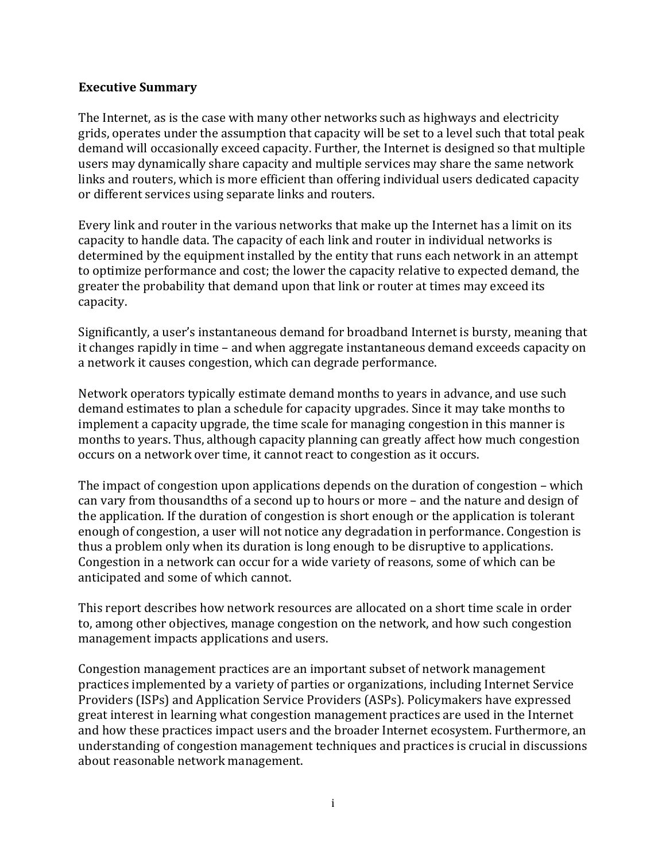#### **Executive Summary**

The Internet, as is the case with many other networks such as highways and electricity grids, operates under the assumption that capacity will be set to a level such that total peak demand will occasionally exceed capacity. Further, the Internet is designed so that multiple users may dynamically share capacity and multiple services may share the same network links and routers, which is more efficient than offering individual users dedicated capacity or different services using separate links and routers.

Every link and router in the various networks that make up the Internet has a limit on its capacity to handle data. The capacity of each link and router in individual networks is determined by the equipment installed by the entity that runs each network in an attempt to optimize performance and cost; the lower the capacity relative to expected demand, the greater the probability that demand upon that link or router at times may exceed its capacity.

Significantly, a user's instantaneous demand for broadband Internet is bursty, meaning that it changes rapidly in time – and when aggregate instantaneous demand exceeds capacity on a network it causes congestion, which can degrade performance.

Network operators typically estimate demand months to years in advance, and use such demand estimates to plan a schedule for capacity upgrades. Since it may take months to implement a capacity upgrade, the time scale for managing congestion in this manner is months to years. Thus, although capacity planning can greatly affect how much congestion occurs on a network over time, it cannot react to congestion as it occurs.

The impact of congestion upon applications depends on the duration of congestion – which can vary from thousandths of a second up to hours or more – and the nature and design of the application. If the duration of congestion is short enough or the application is tolerant enough of congestion, a user will not notice any degradation in performance. Congestion is thus a problem only when its duration is long enough to be disruptive to applications. Congestion in a network can occur for a wide variety of reasons, some of which can be anticipated and some of which cannot.

This report describes how network resources are allocated on a short time scale in order to, among other objectives, manage congestion on the network, and how such congestion management impacts applications and users.

Congestion management practices are an important subset of network management practices implemented by a variety of parties or organizations, including Internet Service Providers (ISPs) and Application Service Providers (ASPs). Policymakers have expressed great interest in learning what congestion management practices are used in the Internet and how these practices impact users and the broader Internet ecosystem. Furthermore, an understanding of congestion management techniques and practices is crucial in discussions about reasonable network management.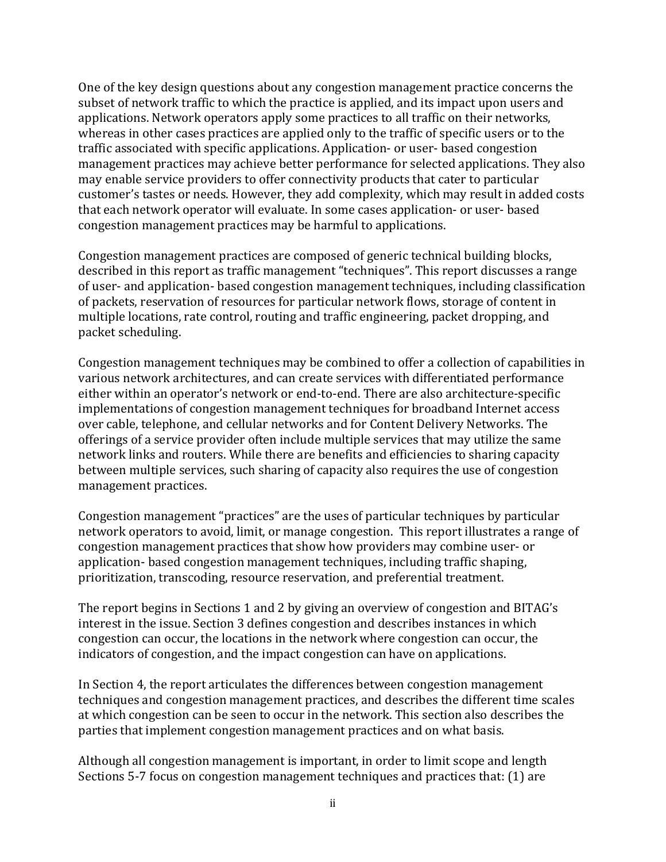One of the key design questions about any congestion management practice concerns the subset of network traffic to which the practice is applied, and its impact upon users and applications. Network operators apply some practices to all traffic on their networks, whereas in other cases practices are applied only to the traffic of specific users or to the traffic associated with specific applications. Application- or user- based congestion management practices may achieve better performance for selected applications. They also may enable service providers to offer connectivity products that cater to particular customer's tastes or needs. However, they add complexity, which may result in added costs that each network operator will evaluate. In some cases application- or user- based congestion management practices may be harmful to applications.

Congestion management practices are composed of generic technical building blocks, described in this report as traffic management "techniques". This report discusses a range of user- and application- based congestion management techniques, including classification of packets, reservation of resources for particular network flows, storage of content in multiple locations, rate control, routing and traffic engineering, packet dropping, and packet scheduling.

Congestion management techniques may be combined to offer a collection of capabilities in various network architectures, and can create services with differentiated performance either within an operator's network or end-to-end. There are also architecture-specific implementations of congestion management techniques for broadband Internet access over cable, telephone, and cellular networks and for Content Delivery Networks. The offerings of a service provider often include multiple services that may utilize the same network links and routers. While there are benefits and efficiencies to sharing capacity between multiple services, such sharing of capacity also requires the use of congestion management practices.

Congestion management "practices" are the uses of particular techniques by particular network operators to avoid, limit, or manage congestion. This report illustrates a range of congestion management practices that show how providers may combine user- or application- based congestion management techniques, including traffic shaping, prioritization, transcoding, resource reservation, and preferential treatment.

The report begins in Sections 1 and 2 by giving an overview of congestion and BITAG's interest in the issue. Section 3 defines congestion and describes instances in which congestion can occur, the locations in the network where congestion can occur, the indicators of congestion, and the impact congestion can have on applications.

In Section 4, the report articulates the differences between congestion management techniques and congestion management practices, and describes the different time scales at which congestion can be seen to occur in the network. This section also describes the parties that implement congestion management practices and on what basis.

Although all congestion management is important, in order to limit scope and length Sections 5-7 focus on congestion management techniques and practices that: (1) are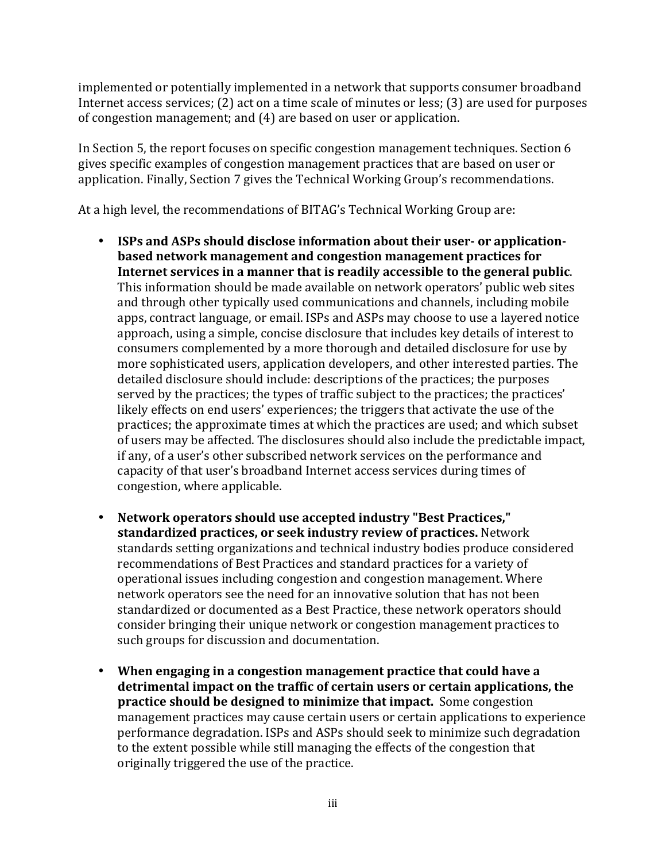implemented or potentially implemented in a network that supports consumer broadband Internet access services;  $(2)$  act on a time scale of minutes or less;  $(3)$  are used for purposes of congestion management; and (4) are based on user or application.

In Section 5, the report focuses on specific congestion management techniques. Section 6 gives specific examples of congestion management practices that are based on user or application. Finally, Section 7 gives the Technical Working Group's recommendations.

At a high level, the recommendations of BITAG's Technical Working Group are:

- ISPs and ASPs should disclose information about their user- or application**based network management and congestion management practices for Internet services in a manner that is readily accessible to the general public.** This information should be made available on network operators' public web sites and through other typically used communications and channels, including mobile apps, contract language, or email. ISPs and ASPs may choose to use a layered notice approach, using a simple, concise disclosure that includes key details of interest to consumers complemented by a more thorough and detailed disclosure for use by more sophisticated users, application developers, and other interested parties. The detailed disclosure should include: descriptions of the practices; the purposes served by the practices; the types of traffic subject to the practices; the practices' likely effects on end users' experiences; the triggers that activate the use of the practices; the approximate times at which the practices are used; and which subset of users may be affected. The disclosures should also include the predictable impact, if any, of a user's other subscribed network services on the performance and capacity of that user's broadband Internet access services during times of congestion, where applicable.
- **Network operators should use accepted industry "Best Practices,"** standardized practices, or seek industry review of practices. Network standards setting organizations and technical industry bodies produce considered recommendations of Best Practices and standard practices for a variety of operational issues including congestion and congestion management. Where network operators see the need for an innovative solution that has not been standardized or documented as a Best Practice, these network operators should consider bringing their unique network or congestion management practices to such groups for discussion and documentation.
- When engaging in a congestion management practice that could have a detrimental impact on the traffic of certain users or certain applications, the **practice should be designed to minimize that impact.** Some congestion management practices may cause certain users or certain applications to experience performance degradation. ISPs and ASPs should seek to minimize such degradation to the extent possible while still managing the effects of the congestion that originally triggered the use of the practice.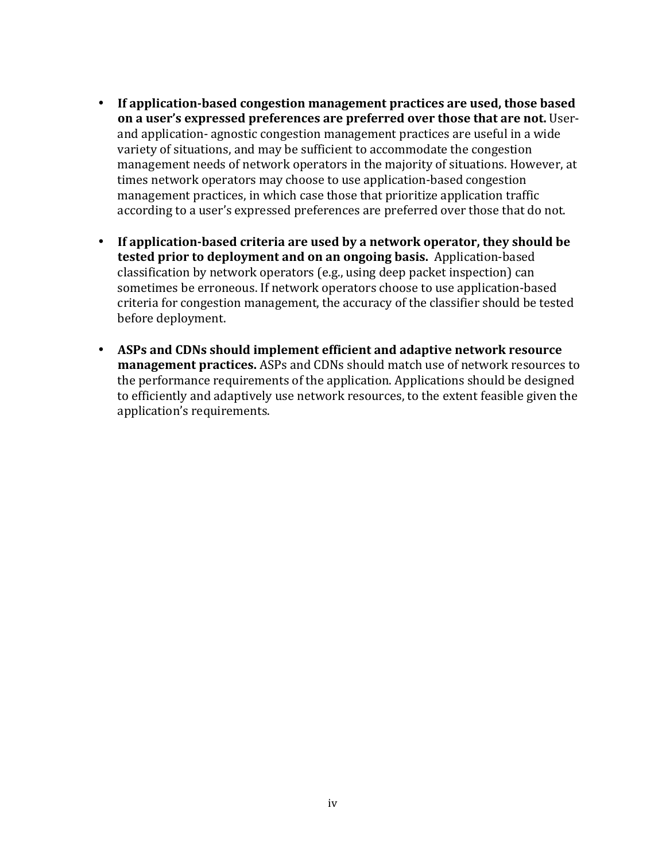- If application-based congestion management practices are used, those based **on a user's expressed preferences are preferred over those that are not.** Userand application- agnostic congestion management practices are useful in a wide variety of situations, and may be sufficient to accommodate the congestion management needs of network operators in the majority of situations. However, at times network operators may choose to use application-based congestion management practices, in which case those that prioritize application traffic according to a user's expressed preferences are preferred over those that do not.
- **If application-based criteria are used by a network operator, they should be tested prior to deployment and on an ongoing basis.** Application-based classification by network operators (e.g., using deep packet inspection) can sometimes be erroneous. If network operators choose to use application-based criteria for congestion management, the accuracy of the classifier should be tested before deployment.
- ASPs and CDNs should implement efficient and adaptive network resource **management practices.** ASPs and CDNs should match use of network resources to the performance requirements of the application. Applications should be designed to efficiently and adaptively use network resources, to the extent feasible given the application's requirements.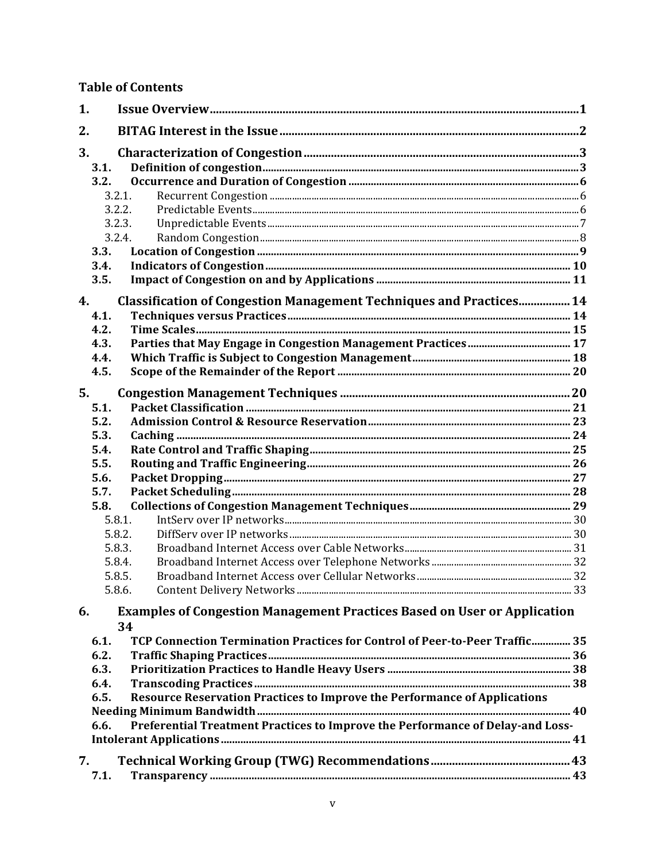# **Table of Contents**

| 1.                                                                                     |                                                                                       |  |  |  |  |
|----------------------------------------------------------------------------------------|---------------------------------------------------------------------------------------|--|--|--|--|
| 2.                                                                                     |                                                                                       |  |  |  |  |
| 3.<br>3.1.<br>3.2.<br>3.3.<br>3.4.<br>3.5.                                             | 3.2.1.<br>3.2.2.<br>3.2.3.<br>3.2.4.                                                  |  |  |  |  |
| 4.                                                                                     | <b>Classification of Congestion Management Techniques and Practices 14</b>            |  |  |  |  |
| 4.1.<br>4.2.                                                                           |                                                                                       |  |  |  |  |
| 4.3.                                                                                   |                                                                                       |  |  |  |  |
| 4.4.                                                                                   |                                                                                       |  |  |  |  |
| 4.5.                                                                                   |                                                                                       |  |  |  |  |
|                                                                                        |                                                                                       |  |  |  |  |
| 5.                                                                                     |                                                                                       |  |  |  |  |
| 5.1.                                                                                   |                                                                                       |  |  |  |  |
| 5.2.<br>5.3.                                                                           |                                                                                       |  |  |  |  |
| 5.4.                                                                                   |                                                                                       |  |  |  |  |
| 5.5.                                                                                   |                                                                                       |  |  |  |  |
| 5.6.                                                                                   |                                                                                       |  |  |  |  |
| 5.7.                                                                                   |                                                                                       |  |  |  |  |
| 5.8.                                                                                   |                                                                                       |  |  |  |  |
|                                                                                        | 5.8.1.                                                                                |  |  |  |  |
|                                                                                        | 5.8.2.                                                                                |  |  |  |  |
|                                                                                        | 5.8.3.                                                                                |  |  |  |  |
|                                                                                        | 5.8.4.                                                                                |  |  |  |  |
|                                                                                        | 5.8.5.                                                                                |  |  |  |  |
|                                                                                        | 5.8.6.                                                                                |  |  |  |  |
| 6.                                                                                     | <b>Examples of Congestion Management Practices Based on User or Application</b><br>34 |  |  |  |  |
| 6.1.                                                                                   | TCP Connection Termination Practices for Control of Peer-to-Peer Traffic 35           |  |  |  |  |
| 6.2.                                                                                   |                                                                                       |  |  |  |  |
| 6.3.                                                                                   |                                                                                       |  |  |  |  |
| 6.4.                                                                                   |                                                                                       |  |  |  |  |
| 6.5.                                                                                   | Resource Reservation Practices to Improve the Performance of Applications             |  |  |  |  |
| Preferential Treatment Practices to Improve the Performance of Delay-and Loss-<br>6.6. |                                                                                       |  |  |  |  |
|                                                                                        |                                                                                       |  |  |  |  |
| 7.                                                                                     |                                                                                       |  |  |  |  |
| 7.1.                                                                                   |                                                                                       |  |  |  |  |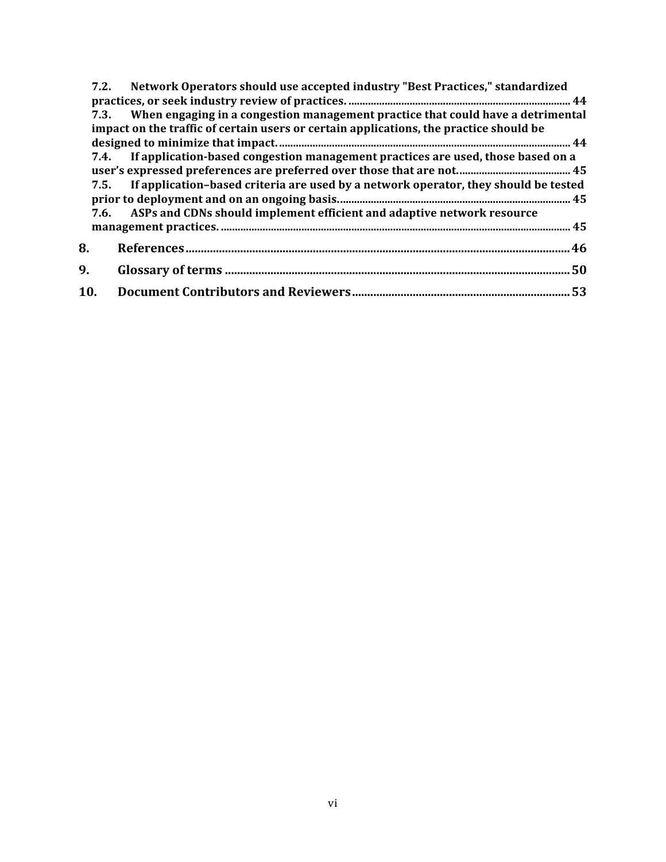|     | 7.2. Network Operators should use accepted industry "Best Practices," standardized       |
|-----|------------------------------------------------------------------------------------------|
|     | 7.3. When engaging in a congestion management practice that could have a detrimental     |
|     | impact on the traffic of certain users or certain applications, the practice should be   |
|     |                                                                                          |
|     | 7.4. If application-based congestion management practices are used, those based on a     |
|     | 7.5. If application-based criteria are used by a network operator, they should be tested |
|     |                                                                                          |
|     | 7.6. ASPs and CDNs should implement efficient and adaptive network resource              |
|     |                                                                                          |
| 8.  |                                                                                          |
| 9.  |                                                                                          |
| 10. |                                                                                          |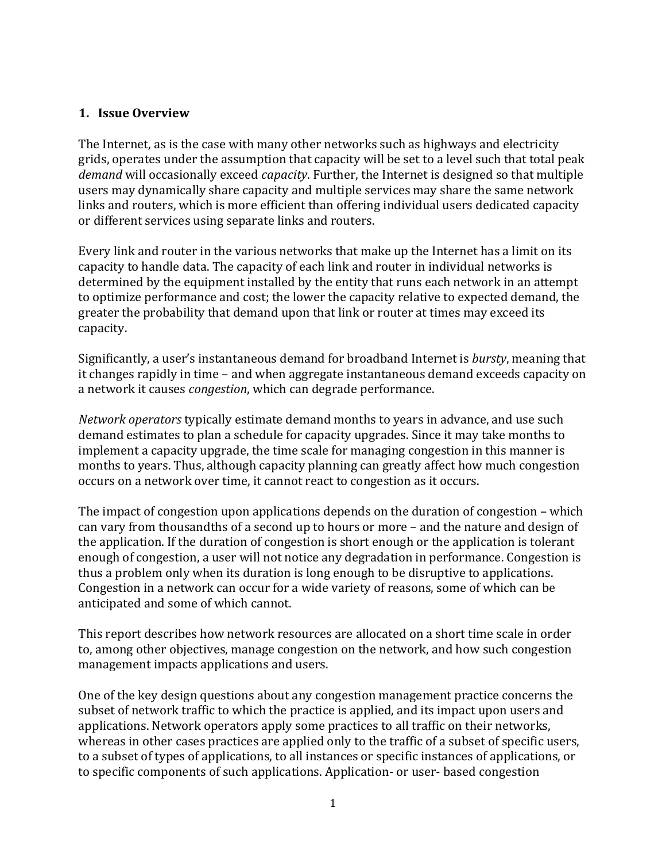#### **1. Issue Overview**

The Internet, as is the case with many other networks such as highways and electricity grids, operates under the assumption that capacity will be set to a level such that total peak *demand* will occasionally exceed *capacity*. Further, the Internet is designed so that multiple users may dynamically share capacity and multiple services may share the same network links and routers, which is more efficient than offering individual users dedicated capacity or different services using separate links and routers.

Every link and router in the various networks that make up the Internet has a limit on its capacity to handle data. The capacity of each link and router in individual networks is determined by the equipment installed by the entity that runs each network in an attempt to optimize performance and cost; the lower the capacity relative to expected demand, the greater the probability that demand upon that link or router at times may exceed its capacity.

Significantly, a user's instantaneous demand for broadband Internet is *bursty*, meaning that it changes rapidly in time – and when aggregate instantaneous demand exceeds capacity on a network it causes *congestion*, which can degrade performance.

*Network operators* typically estimate demand months to years in advance, and use such demand estimates to plan a schedule for capacity upgrades. Since it may take months to implement a capacity upgrade, the time scale for managing congestion in this manner is months to years. Thus, although capacity planning can greatly affect how much congestion occurs on a network over time, it cannot react to congestion as it occurs.

The impact of congestion upon applications depends on the duration of congestion – which can vary from thousandths of a second up to hours or more – and the nature and design of the application. If the duration of congestion is short enough or the application is tolerant enough of congestion, a user will not notice any degradation in performance. Congestion is thus a problem only when its duration is long enough to be disruptive to applications. Congestion in a network can occur for a wide variety of reasons, some of which can be anticipated and some of which cannot.

This report describes how network resources are allocated on a short time scale in order to, among other objectives, manage congestion on the network, and how such congestion management impacts applications and users.

One of the key design questions about any congestion management practice concerns the subset of network traffic to which the practice is applied, and its impact upon users and applications. Network operators apply some practices to all traffic on their networks, whereas in other cases practices are applied only to the traffic of a subset of specific users, to a subset of types of applications, to all instances or specific instances of applications, or to specific components of such applications. Application- or user- based congestion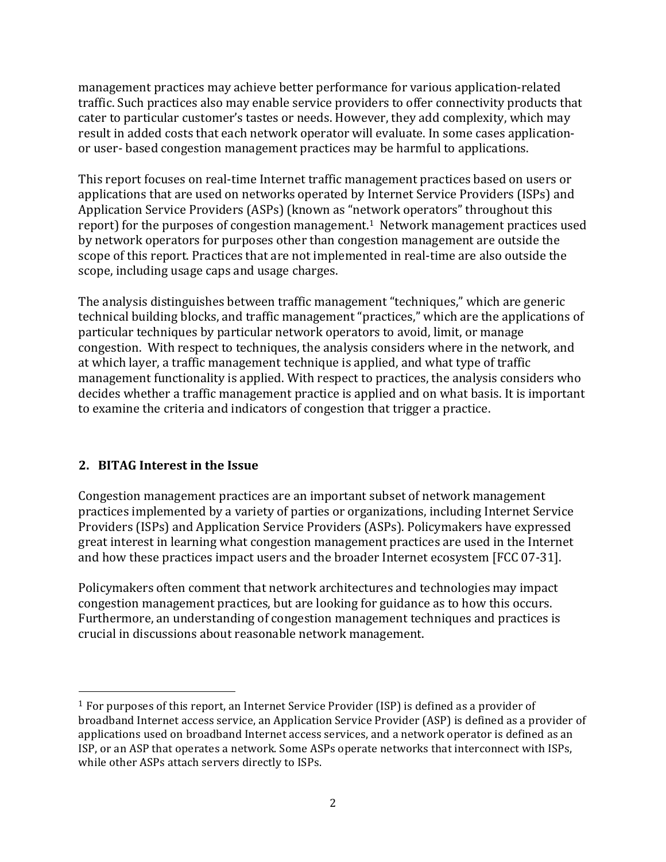management practices may achieve better performance for various application-related traffic. Such practices also may enable service providers to offer connectivity products that cater to particular customer's tastes or needs. However, they add complexity, which may result in added costs that each network operator will evaluate. In some cases applicationor user-based congestion management practices may be harmful to applications.

This report focuses on real-time Internet traffic management practices based on users or applications that are used on networks operated by Internet Service Providers (ISPs) and Application Service Providers (ASPs) (known as "network operators" throughout this report) for the purposes of congestion management.<sup>1</sup> Network management practices used by network operators for purposes other than congestion management are outside the scope of this report. Practices that are not implemented in real-time are also outside the scope, including usage caps and usage charges.

The analysis distinguishes between traffic management "techniques," which are generic technical building blocks, and traffic management "practices," which are the applications of particular techniques by particular network operators to avoid, limit, or manage congestion. With respect to techniques, the analysis considers where in the network, and at which layer, a traffic management technique is applied, and what type of traffic management functionality is applied. With respect to practices, the analysis considers who decides whether a traffic management practice is applied and on what basis. It is important to examine the criteria and indicators of congestion that trigger a practice.

### **2. BITAG Interest in the Issue**

 

Congestion management practices are an important subset of network management practices implemented by a variety of parties or organizations, including Internet Service Providers (ISPs) and Application Service Providers (ASPs). Policymakers have expressed great interest in learning what congestion management practices are used in the Internet and how these practices impact users and the broader Internet ecosystem [FCC 07-31].

Policymakers often comment that network architectures and technologies may impact congestion management practices, but are looking for guidance as to how this occurs. Furthermore, an understanding of congestion management techniques and practices is crucial in discussions about reasonable network management.

<sup>&</sup>lt;sup>1</sup> For purposes of this report, an Internet Service Provider (ISP) is defined as a provider of broadband Internet access service, an Application Service Provider (ASP) is defined as a provider of applications used on broadband Internet access services, and a network operator is defined as an ISP, or an ASP that operates a network. Some ASPs operate networks that interconnect with ISPs, while other ASPs attach servers directly to ISPs.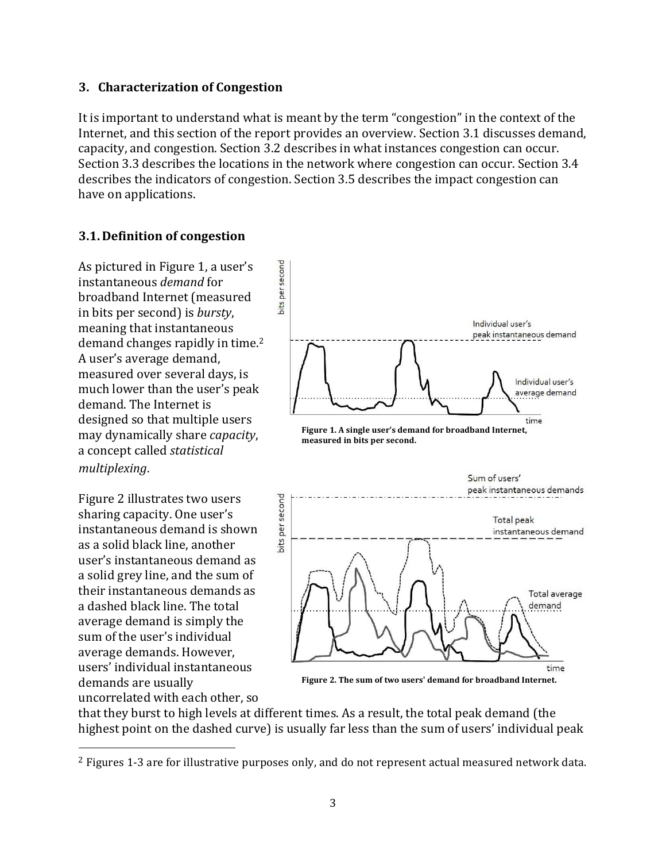#### **3. Characterization of Congestion**

It is important to understand what is meant by the term "congestion" in the context of the Internet, and this section of the report provides an overview. Section 3.1 discusses demand, capacity, and congestion. Section 3.2 describes in what instances congestion can occur. Section 3.3 describes the locations in the network where congestion can occur. Section 3.4 describes the indicators of congestion. Section 3.5 describes the impact congestion can have on applications.

#### **3.1. Definition of congestion**

As pictured in Figure 1, a user's instantaneous *demand* for broadband Internet (measured in bits per second) is *bursty*. meaning that instantaneous demand changes rapidly in time.<sup>2</sup> A user's average demand, measured over several days, is much lower than the user's peak demand. The Internet is designed so that multiple users may dynamically share *capacity*, a concept called *statistical multiplexing*.

Figure 2 illustrates two users sharing capacity. One user's instantaneous demand is shown as a solid black line, another user's instantaneous demand as a solid grey line, and the sum of their instantaneous demands as a dashed black line. The total average demand is simply the sum of the user's individual average demands. However, users' individual instantaneous demands are usually uncorrelated with each other, so

 



Figure 2. The sum of two users' demand for broadband Internet.

that they burst to high levels at different times. As a result, the total peak demand (the highest point on the dashed curve) is usually far less than the sum of users' individual peak

 $2$  Figures 1-3 are for illustrative purposes only, and do not represent actual measured network data.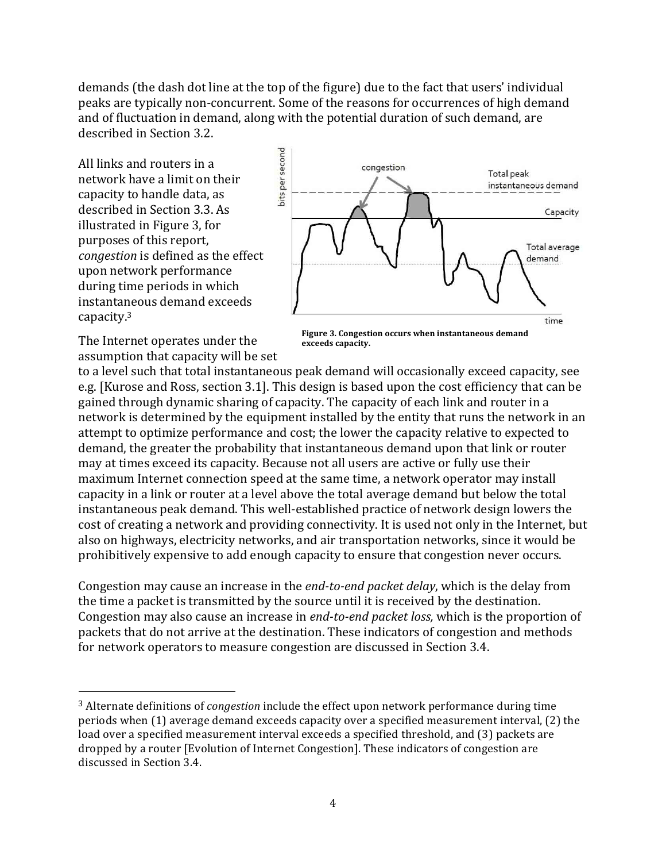demands (the dash dot line at the top of the figure) due to the fact that users' individual peaks are typically non-concurrent. Some of the reasons for occurrences of high demand and of fluctuation in demand, along with the potential duration of such demand, are described in Section 3.2.

All links and routers in a network have a limit on their capacity to handle data, as described in Section 3.3. As illustrated in Figure 3, for purposes of this report. *congestion* is defined as the effect upon network performance during time periods in which instantaneous demand exceeds capacity.3

bits per second congestion Total peak instantaneous demand Capacity Total average demand time

The Internet operates under the assumption that capacity will be set

 



to a level such that total instantaneous peak demand will occasionally exceed capacity, see e.g. [Kurose and Ross, section 3.1]. This design is based upon the cost efficiency that can be gained through dynamic sharing of capacity. The capacity of each link and router in a network is determined by the equipment installed by the entity that runs the network in an attempt to optimize performance and cost; the lower the capacity relative to expected to demand, the greater the probability that instantaneous demand upon that link or router may at times exceed its capacity. Because not all users are active or fully use their maximum Internet connection speed at the same time, a network operator may install capacity in a link or router at a level above the total average demand but below the total instantaneous peak demand. This well-established practice of network design lowers the cost of creating a network and providing connectivity. It is used not only in the Internet, but also on highways, electricity networks, and air transportation networks, since it would be prohibitively expensive to add enough capacity to ensure that congestion never occurs.

Congestion may cause an increase in the *end-to-end packet delay*, which is the delay from the time a packet is transmitted by the source until it is received by the destination. Congestion may also cause an increase in *end-to-end packet loss*, which is the proportion of packets that do not arrive at the destination. These indicators of congestion and methods for network operators to measure congestion are discussed in Section 3.4.

<sup>&</sup>lt;sup>3</sup> Alternate definitions of *congestion* include the effect upon network performance during time periods when (1) average demand exceeds capacity over a specified measurement interval, (2) the load over a specified measurement interval exceeds a specified threshold, and (3) packets are dropped by a router [Evolution of Internet Congestion]. These indicators of congestion are discussed in Section 3.4.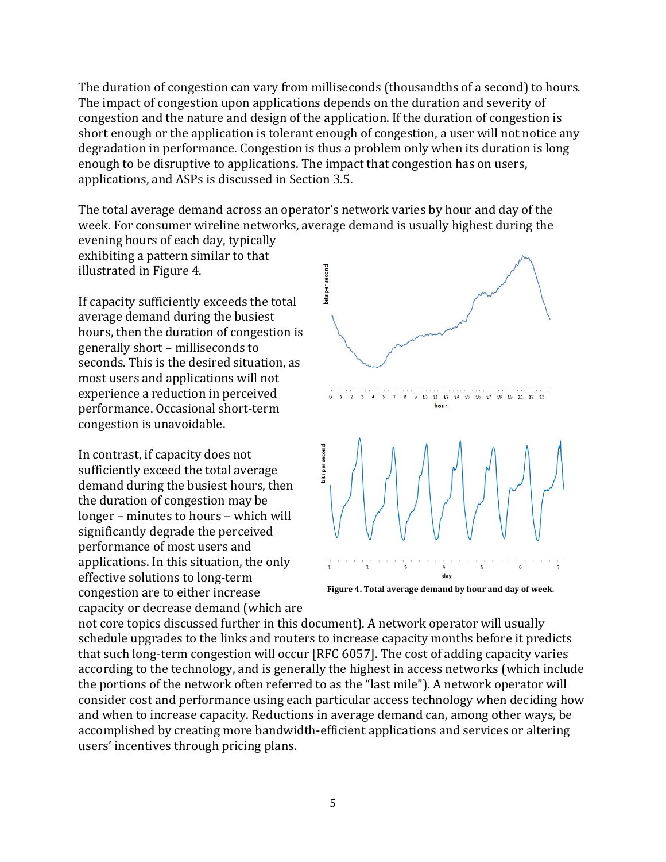The duration of congestion can vary from milliseconds (thousandths of a second) to hours. The impact of congestion upon applications depends on the duration and severity of congestion and the nature and design of the application. If the duration of congestion is short enough or the application is tolerant enough of congestion, a user will not notice any degradation in performance. Congestion is thus a problem only when its duration is long enough to be disruptive to applications. The impact that congestion has on users, applications, and ASPs is discussed in Section 3.5.

The total average demand across an operator's network varies by hour and day of the week. For consumer wireline networks, average demand is usually highest during the evening hours of each day, typically

exhibiting a pattern similar to that illustrated in Figure 4.

If capacity sufficiently exceeds the total average demand during the busiest hours, then the duration of congestion is generally short – milliseconds to seconds. This is the desired situation, as most users and applications will not experience a reduction in perceived performance. Occasional short-term congestion is unavoidable.

In contrast, if capacity does not sufficiently exceed the total average demand during the busiest hours, then the duration of congestion may be. longer – minutes to hours – which will significantly degrade the perceived performance of most users and applications. In this situation, the only effective solutions to long-term congestion are to either increase capacity or decrease demand (which are



Figure 4. Total average demand by hour and day of week.

not core topics discussed further in this document). A network operator will usually schedule upgrades to the links and routers to increase capacity months before it predicts that such long-term congestion will occur [RFC 6057]. The cost of adding capacity varies according to the technology, and is generally the highest in access networks (which include the portions of the network often referred to as the "last mile"). A network operator will consider cost and performance using each particular access technology when deciding how and when to increase capacity. Reductions in average demand can, among other ways, be accomplished by creating more bandwidth-efficient applications and services or altering users' incentives through pricing plans.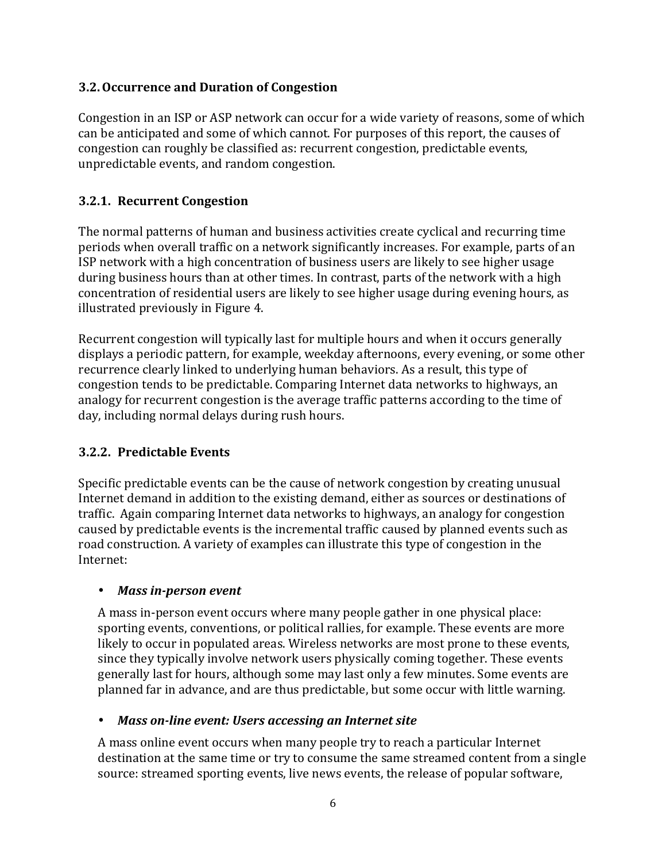### **3.2. Occurrence and Duration of Congestion**

Congestion in an ISP or ASP network can occur for a wide variety of reasons, some of which can be anticipated and some of which cannot. For purposes of this report, the causes of congestion can roughly be classified as: recurrent congestion, predictable events, unpredictable events, and random congestion.

# **3.2.1. Recurrent Congestion**

The normal patterns of human and business activities create cyclical and recurring time periods when overall traffic on a network significantly increases. For example, parts of an ISP network with a high concentration of business users are likely to see higher usage during business hours than at other times. In contrast, parts of the network with a high concentration of residential users are likely to see higher usage during evening hours, as illustrated previously in Figure 4.

Recurrent congestion will typically last for multiple hours and when it occurs generally displays a periodic pattern, for example, weekday afternoons, every evening, or some other recurrence clearly linked to underlying human behaviors. As a result, this type of congestion tends to be predictable. Comparing Internet data networks to highways, an analogy for recurrent congestion is the average traffic patterns according to the time of day, including normal delays during rush hours.

# **3.2.2. Predictable Events**

Specific predictable events can be the cause of network congestion by creating unusual Internet demand in addition to the existing demand, either as sources or destinations of traffic. Again comparing Internet data networks to highways, an analogy for congestion caused by predictable events is the incremental traffic caused by planned events such as road construction. A variety of examples can illustrate this type of congestion in the Internet:

### • *Mass in-person event*

A mass in-person event occurs where many people gather in one physical place: sporting events, conventions, or political rallies, for example. These events are more likely to occur in populated areas. Wireless networks are most prone to these events, since they typically involve network users physically coming together. These events generally last for hours, although some may last only a few minutes. Some events are planned far in advance, and are thus predictable, but some occur with little warning.

### • Mass on-line event: Users accessing an Internet site

A mass online event occurs when many people try to reach a particular Internet destination at the same time or try to consume the same streamed content from a single source: streamed sporting events, live news events, the release of popular software,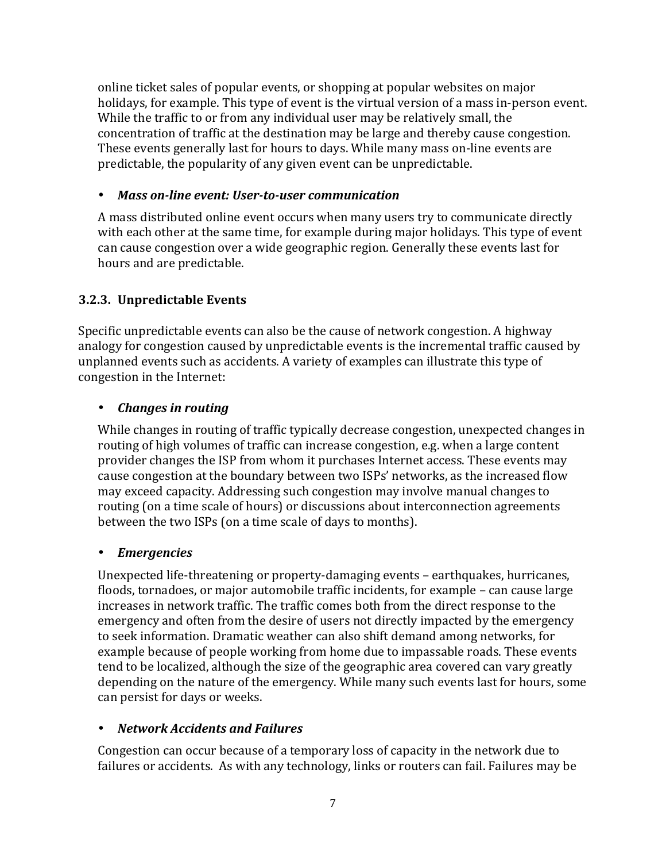online ticket sales of popular events, or shopping at popular websites on major holidays, for example. This type of event is the virtual version of a mass in-person event. While the traffic to or from any individual user may be relatively small, the concentration of traffic at the destination may be large and thereby cause congestion. These events generally last for hours to days. While many mass on-line events are predictable, the popularity of any given event can be unpredictable.

• *Mass on-line event: User-to-user communication*

A mass distributed online event occurs when many users try to communicate directly with each other at the same time, for example during major holidays. This type of event can cause congestion over a wide geographic region. Generally these events last for hours and are predictable.

# **3.2.3. Unpredictable Events**

Specific unpredictable events can also be the cause of network congestion. A highway analogy for congestion caused by unpredictable events is the incremental traffic caused by unplanned events such as accidents. A variety of examples can illustrate this type of congestion in the Internet:

# • *Changes in routing*

While changes in routing of traffic typically decrease congestion, unexpected changes in routing of high volumes of traffic can increase congestion, e.g. when a large content provider changes the ISP from whom it purchases Internet access. These events may cause congestion at the boundary between two ISPs' networks, as the increased flow may exceed capacity. Addressing such congestion may involve manual changes to routing (on a time scale of hours) or discussions about interconnection agreements between the two ISPs (on a time scale of days to months).

### • *Emergencies*

Unexpected life-threatening or property-damaging events - earthquakes, hurricanes, floods, tornadoes, or major automobile traffic incidents, for example – can cause large increases in network traffic. The traffic comes both from the direct response to the emergency and often from the desire of users not directly impacted by the emergency to seek information. Dramatic weather can also shift demand among networks, for example because of people working from home due to impassable roads. These events tend to be localized, although the size of the geographic area covered can vary greatly depending on the nature of the emergency. While many such events last for hours, some can persist for days or weeks.

### • *Network Accidents and Failures*

Congestion can occur because of a temporary loss of capacity in the network due to failures or accidents. As with any technology, links or routers can fail. Failures may be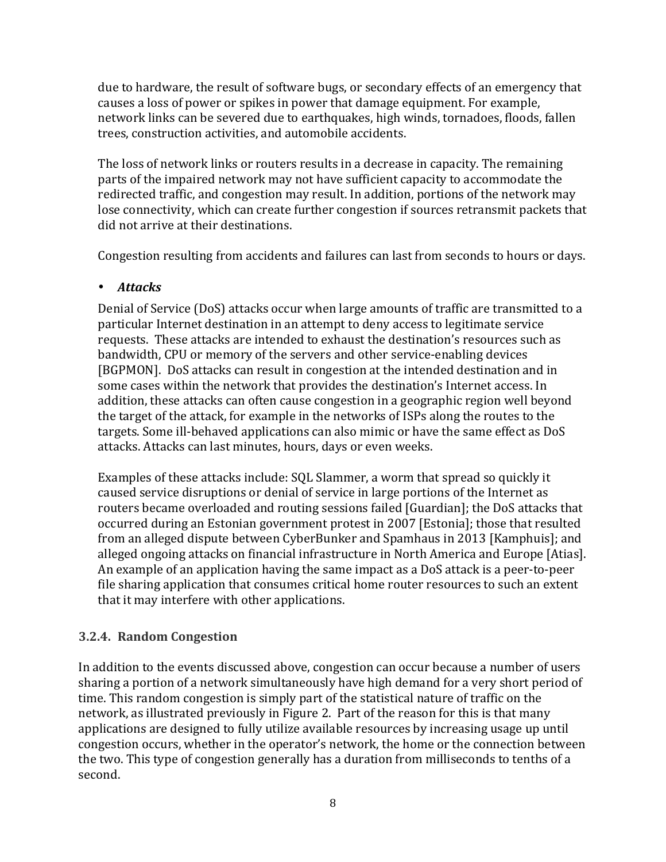due to hardware, the result of software bugs, or secondary effects of an emergency that causes a loss of power or spikes in power that damage equipment. For example, network links can be severed due to earthquakes, high winds, tornadoes, floods, fallen trees, construction activities, and automobile accidents.

The loss of network links or routers results in a decrease in capacity. The remaining parts of the impaired network may not have sufficient capacity to accommodate the redirected traffic, and congestion may result. In addition, portions of the network may lose connectivity, which can create further congestion if sources retransmit packets that did not arrive at their destinations.

Congestion resulting from accidents and failures can last from seconds to hours or days.

### • *Attacks*

Denial of Service (DoS) attacks occur when large amounts of traffic are transmitted to a particular Internet destination in an attempt to deny access to legitimate service requests. These attacks are intended to exhaust the destination's resources such as bandwidth, CPU or memory of the servers and other service-enabling devices [BGPMON]. DoS attacks can result in congestion at the intended destination and in some cases within the network that provides the destination's Internet access. In addition, these attacks can often cause congestion in a geographic region well beyond the target of the attack, for example in the networks of ISPs along the routes to the targets. Some ill-behaved applications can also mimic or have the same effect as DoS attacks. Attacks can last minutes, hours, days or even weeks.

Examples of these attacks include: SQL Slammer, a worm that spread so quickly it caused service disruptions or denial of service in large portions of the Internet as routers became overloaded and routing sessions failed [Guardian]; the DoS attacks that occurred during an Estonian government protest in 2007 [Estonia]; those that resulted from an alleged dispute between CyberBunker and Spamhaus in 2013 [Kamphuis]; and alleged ongoing attacks on financial infrastructure in North America and Europe [Atias]. An example of an application having the same impact as a DoS attack is a peer-to-peer file sharing application that consumes critical home router resources to such an extent that it may interfere with other applications.

# **3.2.4. Random Congestion**

In addition to the events discussed above, congestion can occur because a number of users sharing a portion of a network simultaneously have high demand for a very short period of time. This random congestion is simply part of the statistical nature of traffic on the network, as illustrated previously in Figure 2. Part of the reason for this is that many applications are designed to fully utilize available resources by increasing usage up until congestion occurs, whether in the operator's network, the home or the connection between the two. This type of congestion generally has a duration from milliseconds to tenths of a second.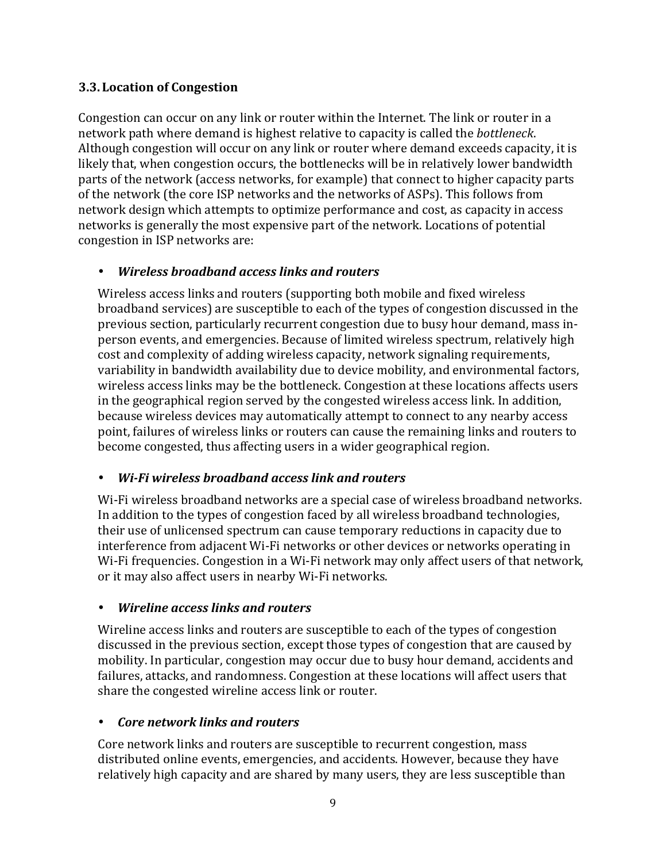### **3.3.** Location of Congestion

Congestion can occur on any link or router within the Internet. The link or router in a network path where demand is highest relative to capacity is called the *bottleneck*. Although congestion will occur on any link or router where demand exceeds capacity, it is likely that, when congestion occurs, the bottlenecks will be in relatively lower bandwidth parts of the network (access networks, for example) that connect to higher capacity parts of the network (the core ISP networks and the networks of ASPs). This follows from network design which attempts to optimize performance and cost, as capacity in access networks is generally the most expensive part of the network. Locations of potential congestion in ISP networks are:

#### • *Wireless broadband access links and routers*

Wireless access links and routers (supporting both mobile and fixed wireless broadband services) are susceptible to each of the types of congestion discussed in the previous section, particularly recurrent congestion due to busy hour demand, mass inperson events, and emergencies. Because of limited wireless spectrum, relatively high cost and complexity of adding wireless capacity, network signaling requirements, variability in bandwidth availability due to device mobility, and environmental factors, wireless access links may be the bottleneck. Congestion at these locations affects users in the geographical region served by the congested wireless access link. In addition, because wireless devices may automatically attempt to connect to any nearby access point, failures of wireless links or routers can cause the remaining links and routers to become congested, thus affecting users in a wider geographical region.

### • *Wi-Fi wireless broadband access link and routers*

Wi-Fi wireless broadband networks are a special case of wireless broadband networks. In addition to the types of congestion faced by all wireless broadband technologies, their use of unlicensed spectrum can cause temporary reductions in capacity due to interference from adiacent Wi-Fi networks or other devices or networks operating in Wi-Fi frequencies. Congestion in a Wi-Fi network may only affect users of that network, or it may also affect users in nearby Wi-Fi networks.

### • *Wireline access links and routers*

Wireline access links and routers are susceptible to each of the types of congestion discussed in the previous section, except those types of congestion that are caused by mobility. In particular, congestion may occur due to busy hour demand, accidents and failures, attacks, and randomness. Congestion at these locations will affect users that share the congested wireline access link or router.

#### • *Core network links and routers*

Core network links and routers are susceptible to recurrent congestion, mass distributed online events, emergencies, and accidents. However, because they have relatively high capacity and are shared by many users, they are less susceptible than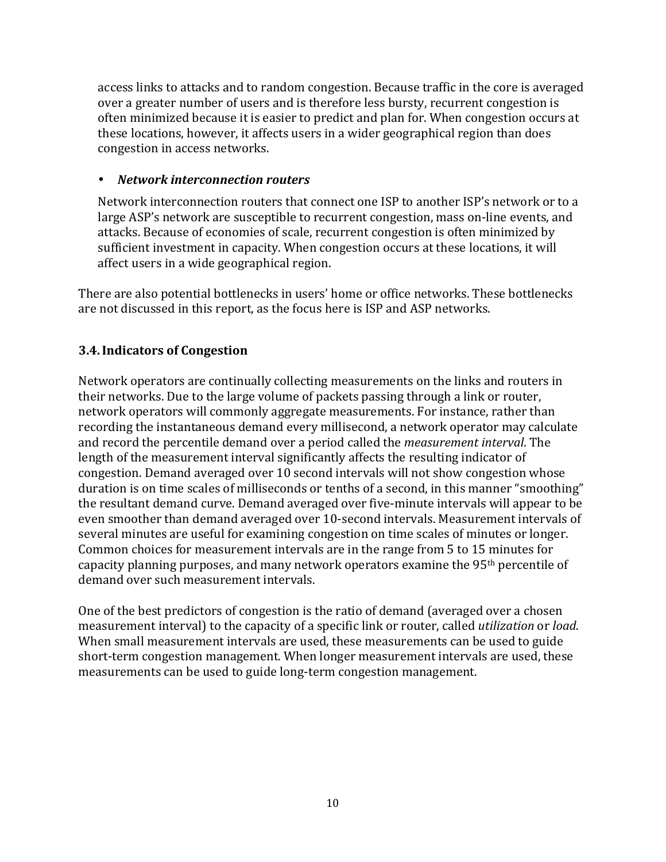access links to attacks and to random congestion. Because traffic in the core is averaged over a greater number of users and is therefore less bursty, recurrent congestion is often minimized because it is easier to predict and plan for. When congestion occurs at these locations, however, it affects users in a wider geographical region than does congestion in access networks.

#### • *Network interconnection routers*

Network interconnection routers that connect one ISP to another ISP's network or to a large ASP's network are susceptible to recurrent congestion, mass on-line events, and attacks. Because of economies of scale, recurrent congestion is often minimized by sufficient investment in capacity. When congestion occurs at these locations, it will affect users in a wide geographical region.

There are also potential bottlenecks in users' home or office networks. These bottlenecks are not discussed in this report, as the focus here is ISP and ASP networks.

# **3.4.Indicators of Congestion**

Network operators are continually collecting measurements on the links and routers in their networks. Due to the large volume of packets passing through a link or router, network operators will commonly aggregate measurements. For instance, rather than recording the instantaneous demand every millisecond, a network operator may calculate and record the percentile demand over a period called the *measurement interval*. The length of the measurement interval significantly affects the resulting indicator of congestion. Demand averaged over 10 second intervals will not show congestion whose duration is on time scales of milliseconds or tenths of a second, in this manner "smoothing" the resultant demand curve. Demand averaged over five-minute intervals will appear to be even smoother than demand averaged over 10-second intervals. Measurement intervals of several minutes are useful for examining congestion on time scales of minutes or longer. Common choices for measurement intervals are in the range from 5 to 15 minutes for capacity planning purposes, and many network operators examine the 95<sup>th</sup> percentile of demand over such measurement intervals.

One of the best predictors of congestion is the ratio of demand (averaged over a chosen measurement interval) to the capacity of a specific link or router, called *utilization* or *load*. When small measurement intervals are used, these measurements can be used to guide short-term congestion management. When longer measurement intervals are used, these measurements can be used to guide long-term congestion management.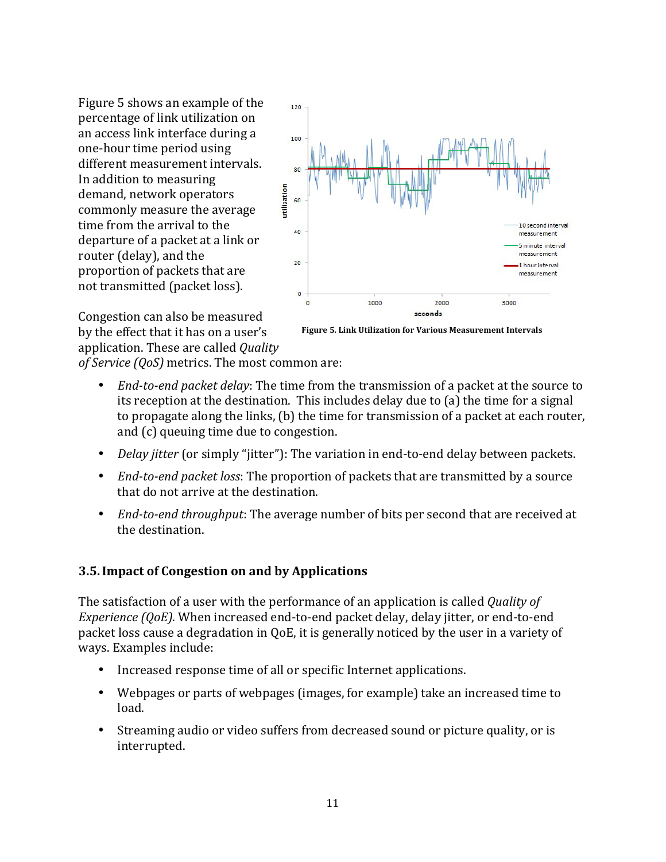Figure 5 shows an example of the percentage of link utilization on an access link interface during a one-hour time period using different measurement intervals. In addition to measuring demand, network operators commonly measure the average time from the arrival to the departure of a packet at a link or router (delay), and the proportion of packets that are not transmitted (packet loss).



Congestion can also be measured by the effect that it has on a user's application. These are called *Quality* 

Figure 5. Link Utilization for Various Measurement Intervals

*of Service (QoS)* metrics. The most common are:

- *End-to-end packet delay:* The time from the transmission of a packet at the source to its reception at the destination. This includes delay due to (a) the time for a signal to propagate along the links, (b) the time for transmission of a packet at each router, and (c) queuing time due to congestion.
- *Delay jitter* (or simply "jitter"): The variation in end-to-end delay between packets.
- *End-to-end packet loss*: The proportion of packets that are transmitted by a source that do not arrive at the destination.
- *End-to-end throughput*: The average number of bits per second that are received at the destination

# **3.5. Impact of Congestion on and by Applications**

The satisfaction of a user with the performance of an application is called *Quality of Experience* (*QoE*). When increased end-to-end packet delay, delay jitter, or end-to-end packet loss cause a degradation in QoE, it is generally noticed by the user in a variety of ways. Examples include:

- Increased response time of all or specific Internet applications.
- Webpages or parts of webpages (images, for example) take an increased time to load.
- Streaming audio or video suffers from decreased sound or picture quality, or is interrupted.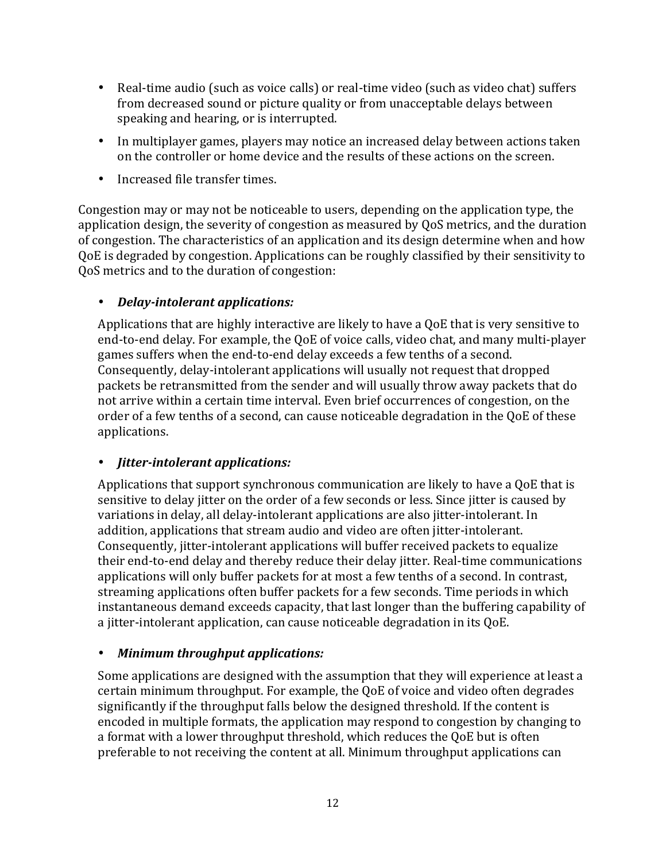- Real-time audio (such as voice calls) or real-time video (such as video chat) suffers from decreased sound or picture quality or from unacceptable delays between speaking and hearing, or is interrupted.
- In multiplayer games, players may notice an increased delay between actions taken on the controller or home device and the results of these actions on the screen.
- Increased file transfer times.

Congestion may or may not be noticeable to users, depending on the application type, the application design, the severity of congestion as measured by QoS metrics, and the duration of congestion. The characteristics of an application and its design determine when and how QoE is degraded by congestion. Applications can be roughly classified by their sensitivity to QoS metrics and to the duration of congestion:

### • *Delay-intolerant applications:*

Applications that are highly interactive are likely to have a OoE that is very sensitive to end-to-end delay. For example, the QoE of voice calls, video chat, and many multi-player games suffers when the end-to-end delay exceeds a few tenths of a second. Consequently, delay-intolerant applications will usually not request that dropped packets be retransmitted from the sender and will usually throw away packets that do not arrive within a certain time interval. Even brief occurrences of congestion, on the order of a few tenths of a second, can cause noticeable degradation in the QoE of these applications. 

### • *Jitter-intolerant applications:*

Applications that support synchronous communication are likely to have a QoE that is sensitive to delay jitter on the order of a few seconds or less. Since jitter is caused by variations in delay, all delay-intolerant applications are also jitter-intolerant. In addition, applications that stream audio and video are often jitter-intolerant. Consequently, iitter-intolerant applications will buffer received packets to equalize their end-to-end delay and thereby reduce their delay jitter. Real-time communications applications will only buffer packets for at most a few tenths of a second. In contrast, streaming applications often buffer packets for a few seconds. Time periods in which instantaneous demand exceeds capacity, that last longer than the buffering capability of a jitter-intolerant application, can cause noticeable degradation in its QoE.

#### • *Minimum throughput applications:*

Some applications are designed with the assumption that they will experience at least a certain minimum throughput. For example, the OoE of voice and video often degrades significantly if the throughput falls below the designed threshold. If the content is encoded in multiple formats, the application may respond to congestion by changing to a format with a lower throughput threshold, which reduces the QoE but is often preferable to not receiving the content at all. Minimum throughput applications can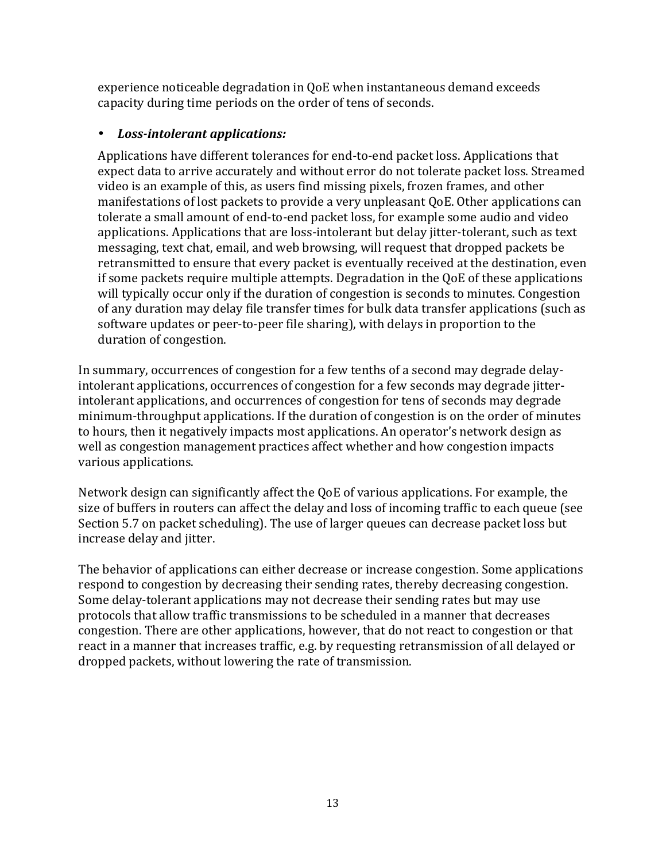experience noticeable degradation in QoE when instantaneous demand exceeds capacity during time periods on the order of tens of seconds.

#### • *Loss-intolerant applications:*

Applications have different tolerances for end-to-end packet loss. Applications that expect data to arrive accurately and without error do not tolerate packet loss. Streamed video is an example of this, as users find missing pixels, frozen frames, and other manifestations of lost packets to provide a very unpleasant OoE. Other applications can tolerate a small amount of end-to-end packet loss, for example some audio and video applications. Applications that are loss-intolerant but delay jitter-tolerant, such as text messaging, text chat, email, and web browsing, will request that dropped packets be retransmitted to ensure that every packet is eventually received at the destination, even if some packets require multiple attempts. Degradation in the  $QoE$  of these applications will typically occur only if the duration of congestion is seconds to minutes. Congestion of any duration may delay file transfer times for bulk data transfer applications (such as software updates or peer-to-peer file sharing), with delays in proportion to the duration of congestion.

In summary, occurrences of congestion for a few tenths of a second may degrade delayintolerant applications, occurrences of congestion for a few seconds may degrade jitterintolerant applications, and occurrences of congestion for tens of seconds may degrade minimum-throughput applications. If the duration of congestion is on the order of minutes to hours, then it negatively impacts most applications. An operator's network design as well as congestion management practices affect whether and how congestion impacts various applications.

Network design can significantly affect the QoE of various applications. For example, the size of buffers in routers can affect the delay and loss of incoming traffic to each queue (see Section 5.7 on packet scheduling). The use of larger queues can decrease packet loss but increase delay and jitter.

The behavior of applications can either decrease or increase congestion. Some applications respond to congestion by decreasing their sending rates, thereby decreasing congestion. Some delay-tolerant applications may not decrease their sending rates but may use protocols that allow traffic transmissions to be scheduled in a manner that decreases congestion. There are other applications, however, that do not react to congestion or that react in a manner that increases traffic, e.g. by requesting retransmission of all delayed or dropped packets, without lowering the rate of transmission.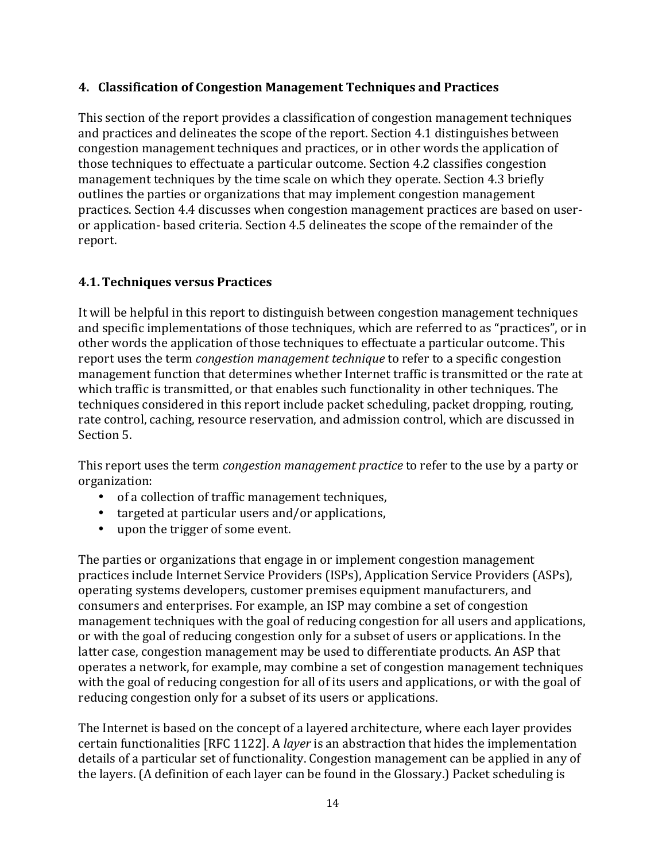#### **4. Classification of Congestion Management Techniques and Practices**

This section of the report provides a classification of congestion management techniques and practices and delineates the scope of the report. Section 4.1 distinguishes between congestion management techniques and practices, or in other words the application of those techniques to effectuate a particular outcome. Section 4.2 classifies congestion management techniques by the time scale on which they operate. Section 4.3 briefly outlines the parties or organizations that may implement congestion management practices. Section 4.4 discusses when congestion management practices are based on useror application- based criteria. Section 4.5 delineates the scope of the remainder of the report.

# **4.1.Techniques versus Practices**

It will be helpful in this report to distinguish between congestion management techniques and specific implementations of those techniques, which are referred to as "practices", or in other words the application of those techniques to effectuate a particular outcome. This report uses the term *congestion management technique* to refer to a specific congestion management function that determines whether Internet traffic is transmitted or the rate at which traffic is transmitted, or that enables such functionality in other techniques. The techniques considered in this report include packet scheduling, packet dropping, routing, rate control, caching, resource reservation, and admission control, which are discussed in Section 5.

This report uses the term *congestion management practice* to refer to the use by a party or organization:

- of a collection of traffic management techniques,
- targeted at particular users and/or applications,
- upon the trigger of some event.

The parties or organizations that engage in or implement congestion management practices include Internet Service Providers (ISPs), Application Service Providers (ASPs), operating systems developers, customer premises equipment manufacturers, and consumers and enterprises. For example, an ISP may combine a set of congestion management techniques with the goal of reducing congestion for all users and applications, or with the goal of reducing congestion only for a subset of users or applications. In the latter case, congestion management may be used to differentiate products. An ASP that operates a network, for example, may combine a set of congestion management techniques with the goal of reducing congestion for all of its users and applications, or with the goal of reducing congestion only for a subset of its users or applications.

The Internet is based on the concept of a layered architecture, where each layer provides certain functionalities [RFC 1122]. A *layer* is an abstraction that hides the implementation details of a particular set of functionality. Congestion management can be applied in any of the layers. (A definition of each layer can be found in the Glossary.) Packet scheduling is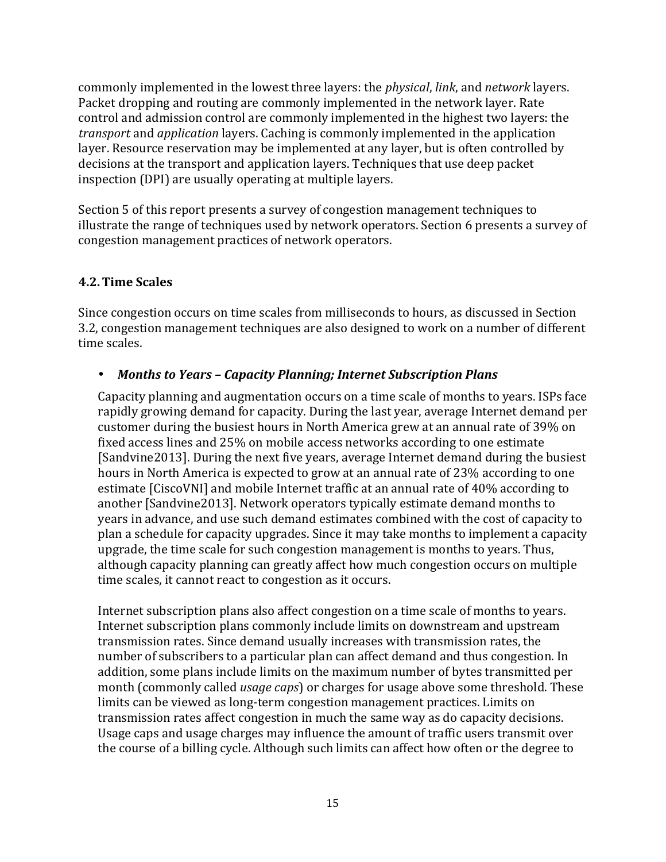commonly implemented in the lowest three layers: the *physical*, *link*, and *network* layers. Packet dropping and routing are commonly implemented in the network layer. Rate control and admission control are commonly implemented in the highest two layers: the *transport* and *application* layers. Caching is commonly implemented in the application layer. Resource reservation may be implemented at any layer, but is often controlled by decisions at the transport and application layers. Techniques that use deep packet inspection (DPI) are usually operating at multiple layers.

Section 5 of this report presents a survey of congestion management techniques to illustrate the range of techniques used by network operators. Section 6 presents a survey of congestion management practices of network operators.

#### **4.2.Time Scales**

Since congestion occurs on time scales from milliseconds to hours, as discussed in Section 3.2, congestion management techniques are also designed to work on a number of different time scales.

### • Months to Years - Capacity Planning; Internet Subscription Plans

Capacity planning and augmentation occurs on a time scale of months to years. ISPs face rapidly growing demand for capacity. During the last year, average Internet demand per customer during the busiest hours in North America grew at an annual rate of 39% on fixed access lines and 25% on mobile access networks according to one estimate [Sandvine2013]. During the next five years, average Internet demand during the busiest hours in North America is expected to grow at an annual rate of 23% according to one estimate [CiscoVNI] and mobile Internet traffic at an annual rate of 40% according to another [Sandvine2013]. Network operators typically estimate demand months to years in advance, and use such demand estimates combined with the cost of capacity to plan a schedule for capacity upgrades. Since it may take months to implement a capacity upgrade, the time scale for such congestion management is months to years. Thus, although capacity planning can greatly affect how much congestion occurs on multiple time scales, it cannot react to congestion as it occurs.

Internet subscription plans also affect congestion on a time scale of months to years. Internet subscription plans commonly include limits on downstream and upstream transmission rates. Since demand usually increases with transmission rates, the number of subscribers to a particular plan can affect demand and thus congestion. In addition, some plans include limits on the maximum number of bytes transmitted per month (commonly called *usage caps*) or charges for usage above some threshold. These limits can be viewed as long-term congestion management practices. Limits on transmission rates affect congestion in much the same way as do capacity decisions. Usage caps and usage charges may influence the amount of traffic users transmit over the course of a billing cycle. Although such limits can affect how often or the degree to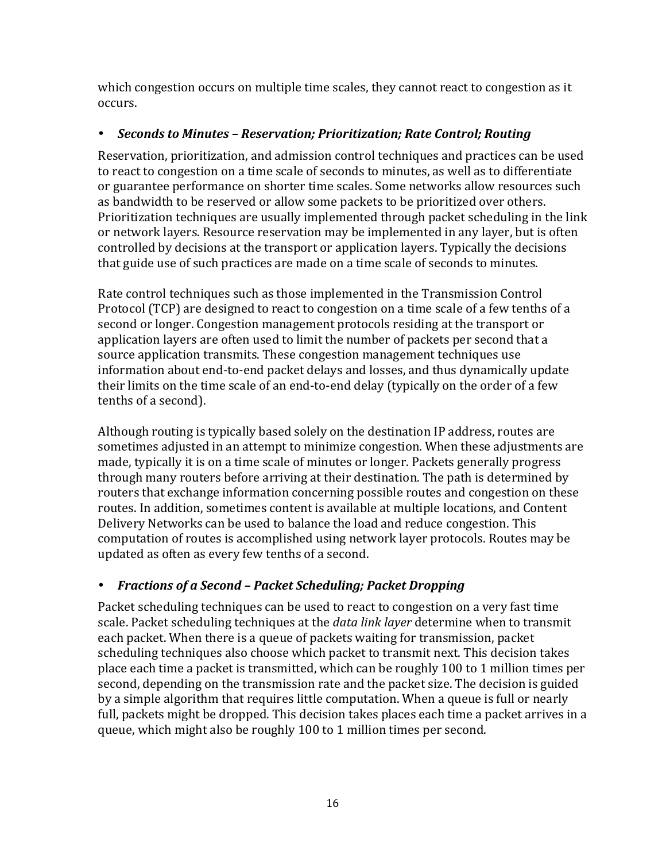which congestion occurs on multiple time scales, they cannot react to congestion as it occurs.

### • *Seconds to Minutes – Reservation; Prioritization; Rate Control; Routing*

Reservation, prioritization, and admission control techniques and practices can be used to react to congestion on a time scale of seconds to minutes, as well as to differentiate or guarantee performance on shorter time scales. Some networks allow resources such as bandwidth to be reserved or allow some packets to be prioritized over others. Prioritization techniques are usually implemented through packet scheduling in the link or network layers. Resource reservation may be implemented in any layer, but is often controlled by decisions at the transport or application layers. Typically the decisions that guide use of such practices are made on a time scale of seconds to minutes.

Rate control techniques such as those implemented in the Transmission Control Protocol (TCP) are designed to react to congestion on a time scale of a few tenths of a second or longer. Congestion management protocols residing at the transport or application layers are often used to limit the number of packets per second that a source application transmits. These congestion management techniques use information about end-to-end packet delays and losses, and thus dynamically update their limits on the time scale of an end-to-end delay (typically on the order of a few tenths of a second).

Although routing is typically based solely on the destination IP address, routes are sometimes adjusted in an attempt to minimize congestion. When these adjustments are made, typically it is on a time scale of minutes or longer. Packets generally progress through many routers before arriving at their destination. The path is determined by routers that exchange information concerning possible routes and congestion on these routes. In addition, sometimes content is available at multiple locations, and Content Delivery Networks can be used to balance the load and reduce congestion. This computation of routes is accomplished using network layer protocols. Routes may be updated as often as every few tenths of a second.

### • *Fractions of a Second – Packet Scheduling; Packet Dropping*

Packet scheduling techniques can be used to react to congestion on a very fast time scale. Packet scheduling techniques at the *data link layer* determine when to transmit each packet. When there is a queue of packets waiting for transmission, packet scheduling techniques also choose which packet to transmit next. This decision takes place each time a packet is transmitted, which can be roughly 100 to 1 million times per second, depending on the transmission rate and the packet size. The decision is guided by a simple algorithm that requires little computation. When a queue is full or nearly full, packets might be dropped. This decision takes places each time a packet arrives in a queue, which might also be roughly 100 to 1 million times per second.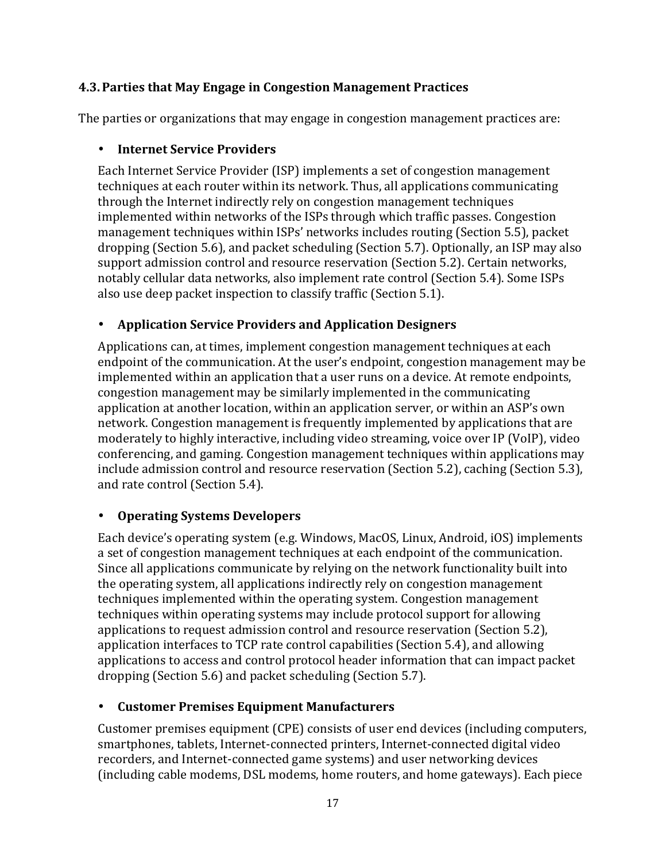# **4.3. Parties that May Engage in Congestion Management Practices**

The parties or organizations that may engage in congestion management practices are:

#### • **Internet Service Providers**

Each Internet Service Provider (ISP) implements a set of congestion management techniques at each router within its network. Thus, all applications communicating through the Internet indirectly rely on congestion management techniques implemented within networks of the ISPs through which traffic passes. Congestion management techniques within ISPs' networks includes routing (Section 5.5), packet dropping (Section 5.6), and packet scheduling (Section 5.7). Optionally, an ISP may also support admission control and resource reservation (Section 5.2). Certain networks, notably cellular data networks, also implement rate control (Section 5.4). Some ISPs also use deep packet inspection to classify traffic (Section 5.1).

### • **Application Service Providers and Application Designers**

Applications can, at times, implement congestion management techniques at each endpoint of the communication. At the user's endpoint, congestion management may be implemented within an application that a user runs on a device. At remote endpoints, congestion management may be similarly implemented in the communicating application at another location, within an application server, or within an ASP's own network. Congestion management is frequently implemented by applications that are moderately to highly interactive, including video streaming, voice over IP (VoIP), video conferencing, and gaming. Congestion management techniques within applications may include admission control and resource reservation (Section 5.2), caching (Section 5.3), and rate control (Section 5.4).

### • **Operating Systems Developers**

Each device's operating system (e.g. Windows, MacOS, Linux, Android, iOS) implements a set of congestion management techniques at each endpoint of the communication. Since all applications communicate by relying on the network functionality built into the operating system, all applications indirectly rely on congestion management techniques implemented within the operating system. Congestion management techniques within operating systems may include protocol support for allowing applications to request admission control and resource reservation (Section 5.2), application interfaces to TCP rate control capabilities (Section 5.4), and allowing applications to access and control protocol header information that can impact packet dropping (Section 5.6) and packet scheduling (Section 5.7).

### • **Customer Premises Equipment Manufacturers**

Customer premises equipment (CPE) consists of user end devices (including computers, smartphones, tablets, Internet-connected printers, Internet-connected digital video recorders, and Internet-connected game systems) and user networking devices (including cable modems, DSL modems, home routers, and home gateways). Each piece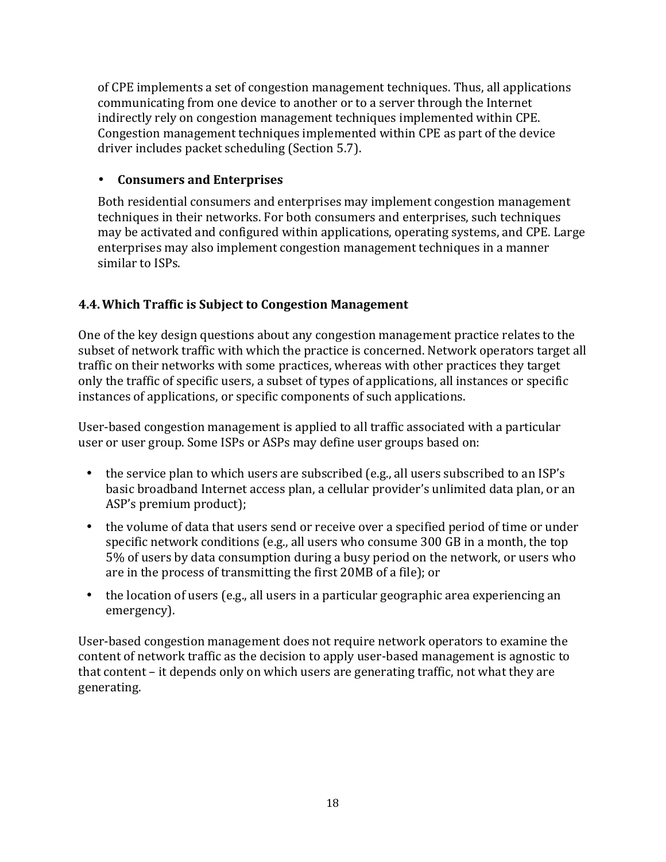of CPE implements a set of congestion management techniques. Thus, all applications communicating from one device to another or to a server through the Internet indirectly rely on congestion management techniques implemented within CPE. Congestion management techniques implemented within CPE as part of the device driver includes packet scheduling (Section 5.7).

### • **Consumers and Enterprises**

Both residential consumers and enterprises may implement congestion management techniques in their networks. For both consumers and enterprises, such techniques may be activated and configured within applications, operating systems, and CPE. Large enterprises may also implement congestion management techniques in a manner similar to ISPs.

# **4.4.Which Traffic is Subject to Congestion Management**

One of the key design questions about any congestion management practice relates to the subset of network traffic with which the practice is concerned. Network operators target all traffic on their networks with some practices, whereas with other practices they target only the traffic of specific users, a subset of types of applications, all instances or specific instances of applications, or specific components of such applications.

User-based congestion management is applied to all traffic associated with a particular user or user group. Some ISPs or ASPs may define user groups based on:

- the service plan to which users are subscribed (e.g., all users subscribed to an ISP's basic broadband Internet access plan, a cellular provider's unlimited data plan, or an ASP's premium product);
- the volume of data that users send or receive over a specified period of time or under specific network conditions  $(e.g., all users who consume 300 GB in a month, the top$ 5% of users by data consumption during a busy period on the network, or users who are in the process of transmitting the first 20MB of a file); or
- the location of users (e.g., all users in a particular geographic area experiencing an emergency).

User-based congestion management does not require network operators to examine the content of network traffic as the decision to apply user-based management is agnostic to that content  $-$  it depends only on which users are generating traffic, not what they are generating.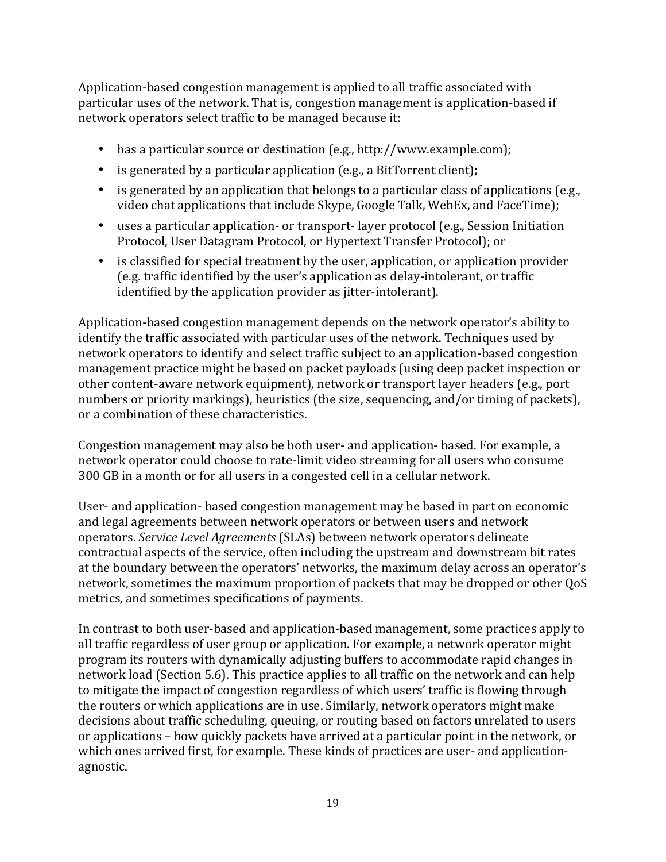Application-based congestion management is applied to all traffic associated with particular uses of the network. That is, congestion management is application-based if network operators select traffic to be managed because it:

- has a particular source or destination (e.g., http://www.example.com);
- is generated by a particular application  $(e.g., a BitTorrent client);$
- is generated by an application that belongs to a particular class of applications (e.g., video chat applications that include Skype, Google Talk, WebEx, and FaceTime);
- uses a particular application- or transport- layer protocol (e.g., Session Initiation Protocol, User Datagram Protocol, or Hypertext Transfer Protocol); or
- is classified for special treatment by the user, application, or application provider (e.g. traffic identified by the user's application as delay-intolerant, or traffic identified by the application provider as jitter-intolerant).

Application-based congestion management depends on the network operator's ability to identify the traffic associated with particular uses of the network. Techniques used by network operators to identify and select traffic subject to an application-based congestion management practice might be based on packet payloads (using deep packet inspection or other content-aware network equipment), network or transport layer headers (e.g., port numbers or priority markings), heuristics (the size, sequencing, and/or timing of packets), or a combination of these characteristics.

Congestion management may also be both user- and application- based. For example, a network operator could choose to rate-limit video streaming for all users who consume 300 GB in a month or for all users in a congested cell in a cellular network.

User- and application- based congestion management may be based in part on economic and legal agreements between network operators or between users and network operators. *Service Level Agreements* (SLAs) between network operators delineate contractual aspects of the service, often including the upstream and downstream bit rates at the boundary between the operators' networks, the maximum delay across an operator's network, sometimes the maximum proportion of packets that may be dropped or other QoS metrics, and sometimes specifications of payments.

In contrast to both user-based and application-based management, some practices apply to all traffic regardless of user group or application. For example, a network operator might program its routers with dynamically adjusting buffers to accommodate rapid changes in network load (Section 5.6). This practice applies to all traffic on the network and can help to mitigate the impact of congestion regardless of which users' traffic is flowing through the routers or which applications are in use. Similarly, network operators might make decisions about traffic scheduling, queuing, or routing based on factors unrelated to users or applications – how quickly packets have arrived at a particular point in the network, or which ones arrived first, for example. These kinds of practices are user- and applicationagnostic.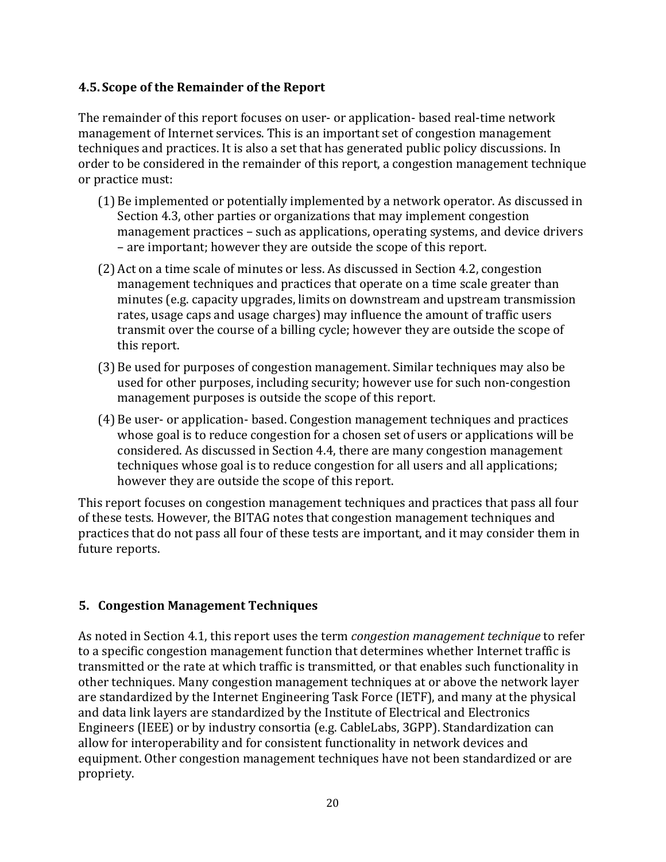### **4.5. Scope of the Remainder of the Report**

The remainder of this report focuses on user- or application- based real-time network management of Internet services. This is an important set of congestion management techniques and practices. It is also a set that has generated public policy discussions. In order to be considered in the remainder of this report, a congestion management technique or practice must:

- $(1)$  Be implemented or potentially implemented by a network operator. As discussed in Section 4.3, other parties or organizations that may implement congestion management practices – such as applications, operating systems, and device drivers – are important; however they are outside the scope of this report.
- (2) Act on a time scale of minutes or less. As discussed in Section 4.2, congestion management techniques and practices that operate on a time scale greater than minutes (e.g. capacity upgrades, limits on downstream and upstream transmission rates, usage caps and usage charges) may influence the amount of traffic users transmit over the course of a billing cycle; however they are outside the scope of this report.
- (3) Be used for purposes of congestion management. Similar techniques may also be used for other purposes, including security; however use for such non-congestion management purposes is outside the scope of this report.
- (4) Be user- or application- based. Congestion management techniques and practices whose goal is to reduce congestion for a chosen set of users or applications will be considered. As discussed in Section 4.4, there are many congestion management techniques whose goal is to reduce congestion for all users and all applications; however they are outside the scope of this report.

This report focuses on congestion management techniques and practices that pass all four of these tests. However, the BITAG notes that congestion management techniques and practices that do not pass all four of these tests are important, and it may consider them in future reports.

# **5. Congestion Management Techniques**

As noted in Section 4.1, this report uses the term *congestion management technique* to refer to a specific congestion management function that determines whether Internet traffic is transmitted or the rate at which traffic is transmitted, or that enables such functionality in other techniques. Many congestion management techniques at or above the network layer are standardized by the Internet Engineering Task Force (IETF), and many at the physical and data link layers are standardized by the Institute of Electrical and Electronics Engineers (IEEE) or by industry consortia (e.g. CableLabs, 3GPP). Standardization can allow for interoperability and for consistent functionality in network devices and equipment. Other congestion management techniques have not been standardized or are propriety.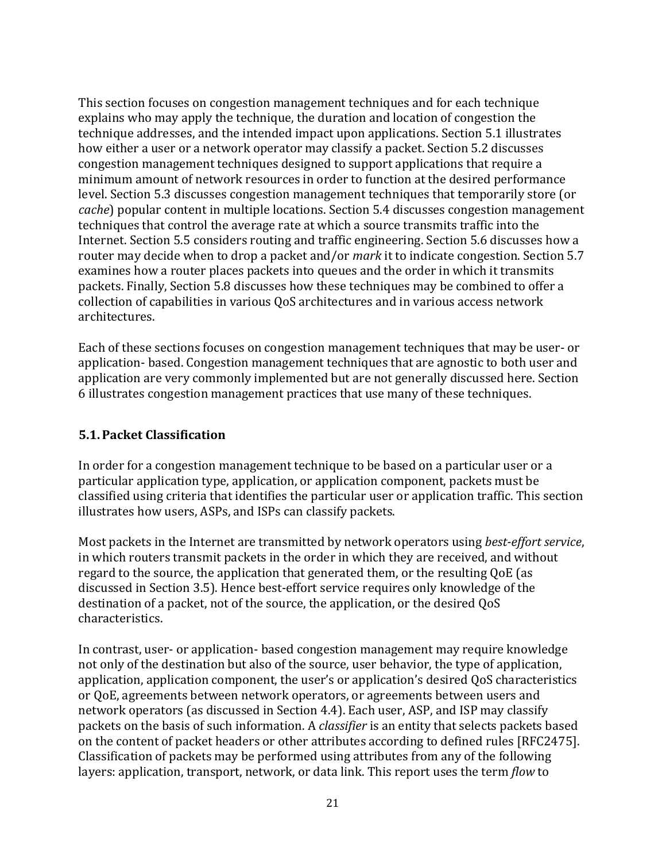This section focuses on congestion management techniques and for each technique explains who may apply the technique, the duration and location of congestion the technique addresses, and the intended impact upon applications. Section 5.1 illustrates how either a user or a network operator may classify a packet. Section 5.2 discusses congestion management techniques designed to support applications that require a minimum amount of network resources in order to function at the desired performance level. Section 5.3 discusses congestion management techniques that temporarily store (or *cache*) popular content in multiple locations. Section 5.4 discusses congestion management techniques that control the average rate at which a source transmits traffic into the Internet. Section 5.5 considers routing and traffic engineering. Section 5.6 discusses how a router may decide when to drop a packet and/or *mark* it to indicate congestion. Section 5.7 examines how a router places packets into queues and the order in which it transmits packets. Finally, Section 5.8 discusses how these techniques may be combined to offer a collection of capabilities in various QoS architectures and in various access network architectures. 

Each of these sections focuses on congestion management techniques that may be user- or application- based. Congestion management techniques that are agnostic to both user and application are very commonly implemented but are not generally discussed here. Section 6 illustrates congestion management practices that use many of these techniques.

### **5.1.Packet Classification**

In order for a congestion management technique to be based on a particular user or a particular application type, application, or application component, packets must be classified using criteria that identifies the particular user or application traffic. This section illustrates how users, ASPs, and ISPs can classify packets.

Most packets in the Internet are transmitted by network operators using *best-effort service*, in which routers transmit packets in the order in which they are received, and without regard to the source, the application that generated them, or the resulting QoE (as discussed in Section 3.5). Hence best-effort service requires only knowledge of the destination of a packet, not of the source, the application, or the desired QoS characteristics.

In contrast, user- or application- based congestion management may require knowledge not only of the destination but also of the source, user behavior, the type of application, application, application component, the user's or application's desired OoS characteristics or QoE, agreements between network operators, or agreements between users and network operators (as discussed in Section 4.4). Each user, ASP, and ISP may classify packets on the basis of such information. A *classifier* is an entity that selects packets based on the content of packet headers or other attributes according to defined rules [RFC2475]. Classification of packets may be performed using attributes from any of the following layers: application, transport, network, or data link. This report uses the term *flow* to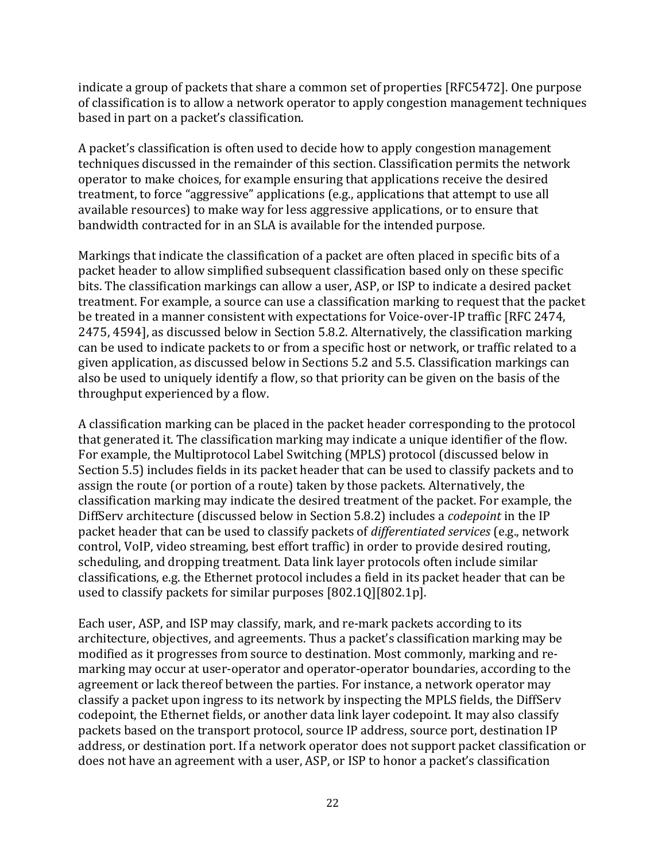indicate a group of packets that share a common set of properties [RFC5472]. One purpose of classification is to allow a network operator to apply congestion management techniques based in part on a packet's classification.

A packet's classification is often used to decide how to apply congestion management techniques discussed in the remainder of this section. Classification permits the network operator to make choices, for example ensuring that applications receive the desired treatment, to force "aggressive" applications (e.g., applications that attempt to use all available resources) to make way for less aggressive applications, or to ensure that bandwidth contracted for in an SLA is available for the intended purpose.

Markings that indicate the classification of a packet are often placed in specific bits of a packet header to allow simplified subsequent classification based only on these specific bits. The classification markings can allow a user, ASP, or ISP to indicate a desired packet treatment. For example, a source can use a classification marking to request that the packet be treated in a manner consistent with expectations for Voice-over-IP traffic [RFC 2474, 2475, 4594], as discussed below in Section 5.8.2. Alternatively, the classification marking can be used to indicate packets to or from a specific host or network, or traffic related to a given application, as discussed below in Sections 5.2 and 5.5. Classification markings can also be used to uniquely identify a flow, so that priority can be given on the basis of the throughput experienced by a flow.

A classification marking can be placed in the packet header corresponding to the protocol that generated it. The classification marking may indicate a unique identifier of the flow. For example, the Multiprotocol Label Switching (MPLS) protocol (discussed below in Section 5.5) includes fields in its packet header that can be used to classify packets and to assign the route (or portion of a route) taken by those packets. Alternatively, the classification marking may indicate the desired treatment of the packet. For example, the DiffServ architecture (discussed below in Section 5.8.2) includes a *codepoint* in the IP packet header that can be used to classify packets of *differentiated services* (e.g., network control, VoIP, video streaming, best effort traffic) in order to provide desired routing, scheduling, and dropping treatment. Data link layer protocols often include similar classifications, e.g. the Ethernet protocol includes a field in its packet header that can be used to classify packets for similar purposes [802.1Q][802.1p].

Each user, ASP, and ISP may classify, mark, and re-mark packets according to its architecture, objectives, and agreements. Thus a packet's classification marking may be modified as it progresses from source to destination. Most commonly, marking and remarking may occur at user-operator and operator-operator boundaries, according to the agreement or lack thereof between the parties. For instance, a network operator may classify a packet upon ingress to its network by inspecting the MPLS fields, the DiffServ codepoint, the Ethernet fields, or another data link layer codepoint. It may also classify packets based on the transport protocol, source IP address, source port, destination IP address, or destination port. If a network operator does not support packet classification or does not have an agreement with a user, ASP, or ISP to honor a packet's classification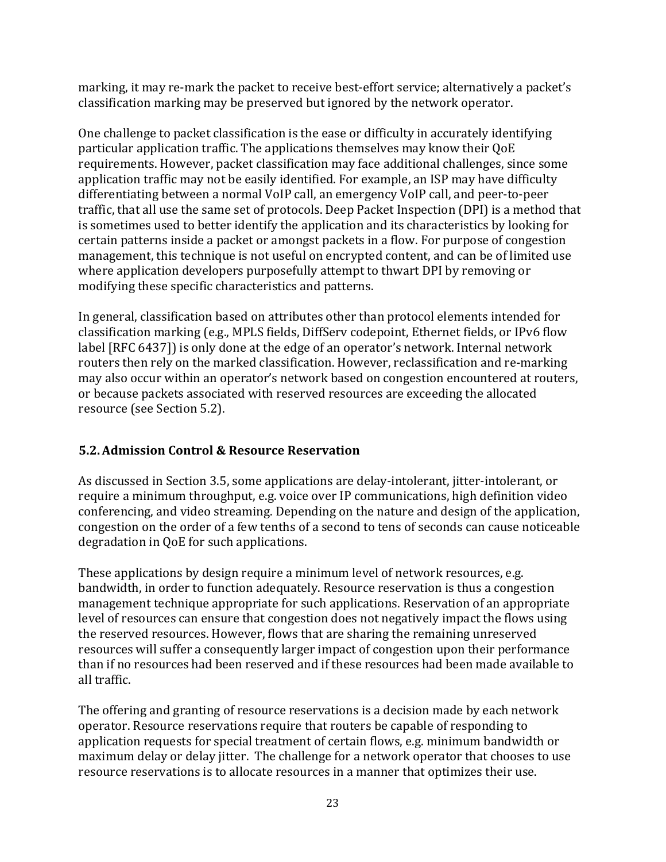marking, it may re-mark the packet to receive best-effort service; alternatively a packet's classification marking may be preserved but ignored by the network operator.

One challenge to packet classification is the ease or difficulty in accurately identifying particular application traffic. The applications themselves may know their QoE requirements. However, packet classification may face additional challenges, since some application traffic may not be easily identified. For example, an ISP may have difficulty differentiating between a normal VoIP call, an emergency VoIP call, and peer-to-peer traffic, that all use the same set of protocols. Deep Packet Inspection (DPI) is a method that is sometimes used to better identify the application and its characteristics by looking for certain patterns inside a packet or amongst packets in a flow. For purpose of congestion management, this technique is not useful on encrypted content, and can be of limited use where application developers purposefully attempt to thwart DPI by removing or modifying these specific characteristics and patterns.

In general, classification based on attributes other than protocol elements intended for classification marking (e.g., MPLS fields, DiffServ codepoint, Ethernet fields, or IPv6 flow label [RFC 6437]) is only done at the edge of an operator's network. Internal network routers then rely on the marked classification. However, reclassification and re-marking may also occur within an operator's network based on congestion encountered at routers, or because packets associated with reserved resources are exceeding the allocated resource (see Section 5.2).

### **5.2.Admission Control & Resource Reservation**

As discussed in Section 3.5, some applications are delay-intolerant, jitter-intolerant, or require a minimum throughput, e.g. voice over IP communications, high definition video conferencing, and video streaming. Depending on the nature and design of the application, congestion on the order of a few tenths of a second to tens of seconds can cause noticeable degradation in QoE for such applications.

These applications by design require a minimum level of network resources, e.g. bandwidth, in order to function adequately. Resource reservation is thus a congestion management technique appropriate for such applications. Reservation of an appropriate level of resources can ensure that congestion does not negatively impact the flows using the reserved resources. However, flows that are sharing the remaining unreserved resources will suffer a consequently larger impact of congestion upon their performance than if no resources had been reserved and if these resources had been made available to all traffic.

The offering and granting of resource reservations is a decision made by each network operator. Resource reservations require that routers be capable of responding to application requests for special treatment of certain flows, e.g. minimum bandwidth or maximum delay or delay jitter. The challenge for a network operator that chooses to use resource reservations is to allocate resources in a manner that optimizes their use.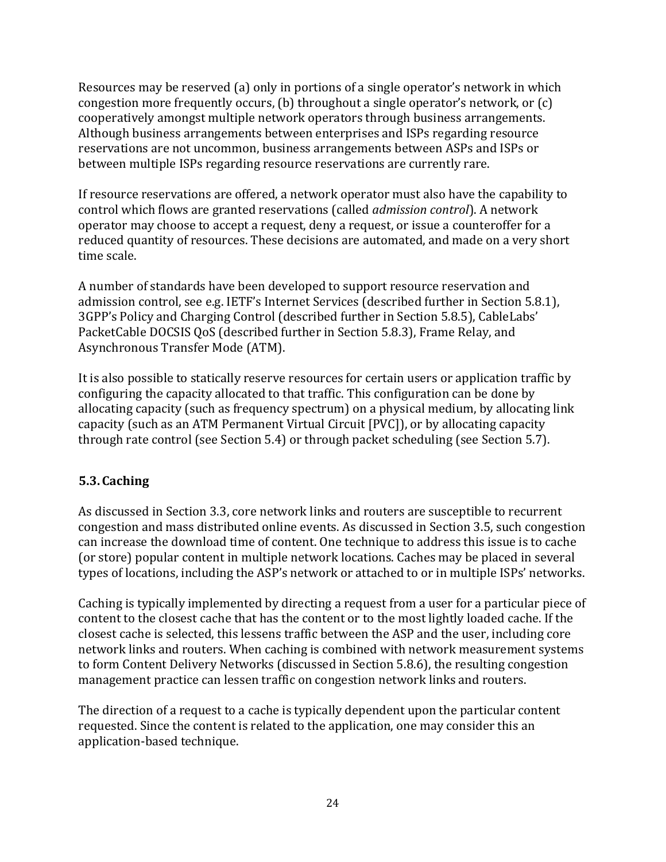Resources may be reserved (a) only in portions of a single operator's network in which congestion more frequently occurs, (b) throughout a single operator's network, or  $(c)$ cooperatively amongst multiple network operators through business arrangements. Although business arrangements between enterprises and ISPs regarding resource reservations are not uncommon, business arrangements between ASPs and ISPs or between multiple ISPs regarding resource reservations are currently rare.

If resource reservations are offered, a network operator must also have the capability to control which flows are granted reservations (called *admission control*). A network operator may choose to accept a request, deny a request, or issue a counteroffer for a reduced quantity of resources. These decisions are automated, and made on a very short time scale.

A number of standards have been developed to support resource reservation and admission control, see e.g. IETF's Internet Services (described further in Section 5.8.1). 3GPP's Policy and Charging Control (described further in Section 5.8.5), CableLabs' PacketCable DOCSIS OoS (described further in Section 5.8.3), Frame Relay, and Asynchronous Transfer Mode (ATM).

It is also possible to statically reserve resources for certain users or application traffic by configuring the capacity allocated to that traffic. This configuration can be done by allocating capacity (such as frequency spectrum) on a physical medium, by allocating link capacity (such as an ATM Permanent Virtual Circuit [PVC]), or by allocating capacity through rate control (see Section 5.4) or through packet scheduling (see Section 5.7).

### **5.3. Caching**

As discussed in Section 3.3, core network links and routers are susceptible to recurrent congestion and mass distributed online events. As discussed in Section 3.5, such congestion can increase the download time of content. One technique to address this issue is to cache (or store) popular content in multiple network locations. Caches may be placed in several types of locations, including the ASP's network or attached to or in multiple ISPs' networks.

Caching is typically implemented by directing a request from a user for a particular piece of content to the closest cache that has the content or to the most lightly loaded cache. If the closest cache is selected, this lessens traffic between the ASP and the user, including core network links and routers. When caching is combined with network measurement systems to form Content Delivery Networks (discussed in Section 5.8.6), the resulting congestion management practice can lessen traffic on congestion network links and routers.

The direction of a request to a cache is typically dependent upon the particular content requested. Since the content is related to the application, one may consider this an application-based technique.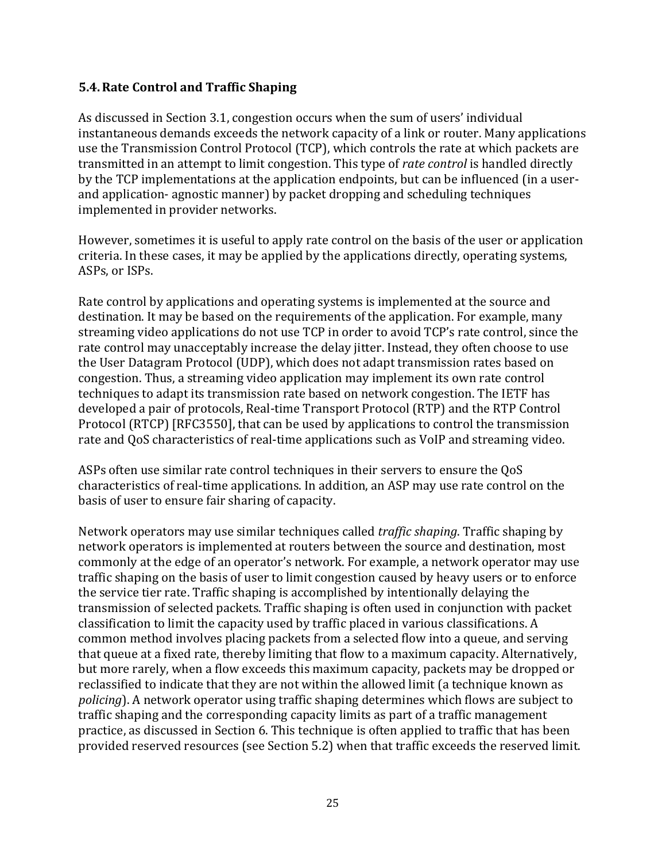#### **5.4.Rate Control and Traffic Shaping**

As discussed in Section 3.1, congestion occurs when the sum of users' individual instantaneous demands exceeds the network capacity of a link or router. Many applications use the Transmission Control Protocol (TCP), which controls the rate at which packets are transmitted in an attempt to limit congestion. This type of *rate control* is handled directly by the TCP implementations at the application endpoints, but can be influenced (in a userand application- agnostic manner) by packet dropping and scheduling techniques implemented in provider networks.

However, sometimes it is useful to apply rate control on the basis of the user or application criteria. In these cases, it may be applied by the applications directly, operating systems, ASPs, or ISPs.

Rate control by applications and operating systems is implemented at the source and destination. It may be based on the requirements of the application. For example, many streaming video applications do not use TCP in order to avoid TCP's rate control, since the rate control may unacceptably increase the delay jitter. Instead, they often choose to use the User Datagram Protocol (UDP), which does not adapt transmission rates based on congestion. Thus, a streaming video application may implement its own rate control techniques to adapt its transmission rate based on network congestion. The IETF has developed a pair of protocols, Real-time Transport Protocol (RTP) and the RTP Control Protocol (RTCP) [RFC3550], that can be used by applications to control the transmission rate and QoS characteristics of real-time applications such as VoIP and streaming video.

ASPs often use similar rate control techniques in their servers to ensure the QoS characteristics of real-time applications. In addition, an ASP may use rate control on the basis of user to ensure fair sharing of capacity.

Network operators may use similar techniques called *traffic shaping*. Traffic shaping by network operators is implemented at routers between the source and destination, most commonly at the edge of an operator's network. For example, a network operator may use traffic shaping on the basis of user to limit congestion caused by heavy users or to enforce the service tier rate. Traffic shaping is accomplished by intentionally delaying the transmission of selected packets. Traffic shaping is often used in conjunction with packet classification to limit the capacity used by traffic placed in various classifications. A common method involves placing packets from a selected flow into a queue, and serving that queue at a fixed rate, thereby limiting that flow to a maximum capacity. Alternatively, but more rarely, when a flow exceeds this maximum capacity, packets may be dropped or reclassified to indicate that they are not within the allowed limit (a technique known as *policing*). A network operator using traffic shaping determines which flows are subject to traffic shaping and the corresponding capacity limits as part of a traffic management practice, as discussed in Section 6. This technique is often applied to traffic that has been provided reserved resources (see Section 5.2) when that traffic exceeds the reserved limit.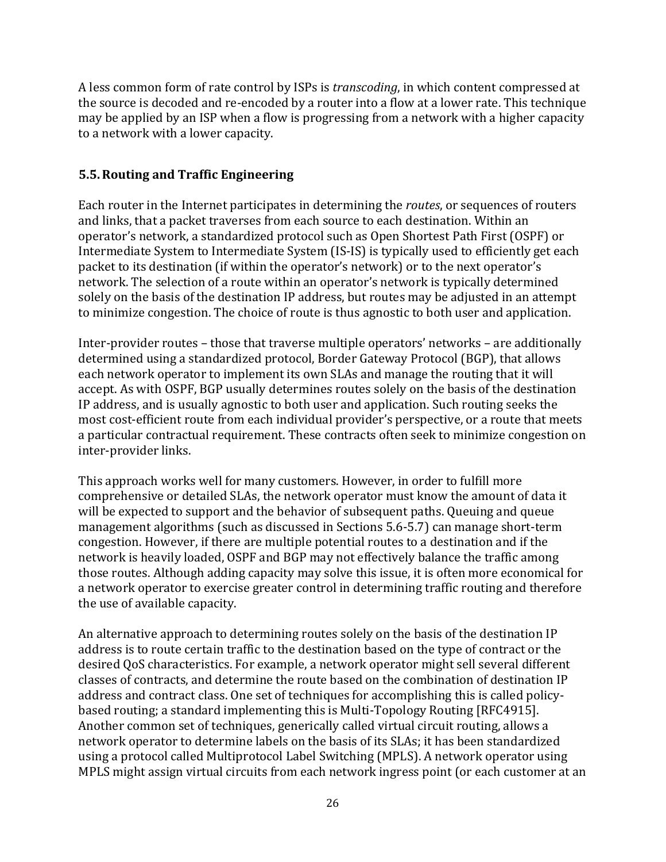A less common form of rate control by ISPs is *transcoding*, in which content compressed at the source is decoded and re-encoded by a router into a flow at a lower rate. This technique may be applied by an ISP when a flow is progressing from a network with a higher capacity to a network with a lower capacity.

### **5.5.Routing and Traffic Engineering**

Each router in the Internet participates in determining the *routes*, or sequences of routers and links, that a packet traverses from each source to each destination. Within an operator's network, a standardized protocol such as Open Shortest Path First (OSPF) or Intermediate System to Intermediate System (IS-IS) is typically used to efficiently get each packet to its destination (if within the operator's network) or to the next operator's network. The selection of a route within an operator's network is typically determined solely on the basis of the destination IP address, but routes may be adjusted in an attempt to minimize congestion. The choice of route is thus agnostic to both user and application.

Inter-provider routes – those that traverse multiple operators' networks – are additionally determined using a standardized protocol, Border Gateway Protocol (BGP), that allows each network operator to implement its own SLAs and manage the routing that it will accept. As with OSPF, BGP usually determines routes solely on the basis of the destination IP address, and is usually agnostic to both user and application. Such routing seeks the most cost-efficient route from each individual provider's perspective, or a route that meets a particular contractual requirement. These contracts often seek to minimize congestion on inter-provider links.

This approach works well for many customers. However, in order to fulfill more comprehensive or detailed SLAs, the network operator must know the amount of data it will be expected to support and the behavior of subsequent paths. Queuing and queue management algorithms (such as discussed in Sections 5.6-5.7) can manage short-term congestion. However, if there are multiple potential routes to a destination and if the network is heavily loaded, OSPF and BGP may not effectively balance the traffic among those routes. Although adding capacity may solve this issue, it is often more economical for a network operator to exercise greater control in determining traffic routing and therefore the use of available capacity.

An alternative approach to determining routes solely on the basis of the destination IP address is to route certain traffic to the destination based on the type of contract or the desired QoS characteristics. For example, a network operator might sell several different classes of contracts, and determine the route based on the combination of destination IP address and contract class. One set of techniques for accomplishing this is called policybased routing; a standard implementing this is Multi-Topology Routing [RFC4915]. Another common set of techniques, generically called virtual circuit routing, allows a network operator to determine labels on the basis of its SLAs; it has been standardized using a protocol called Multiprotocol Label Switching (MPLS). A network operator using MPLS might assign virtual circuits from each network ingress point (or each customer at an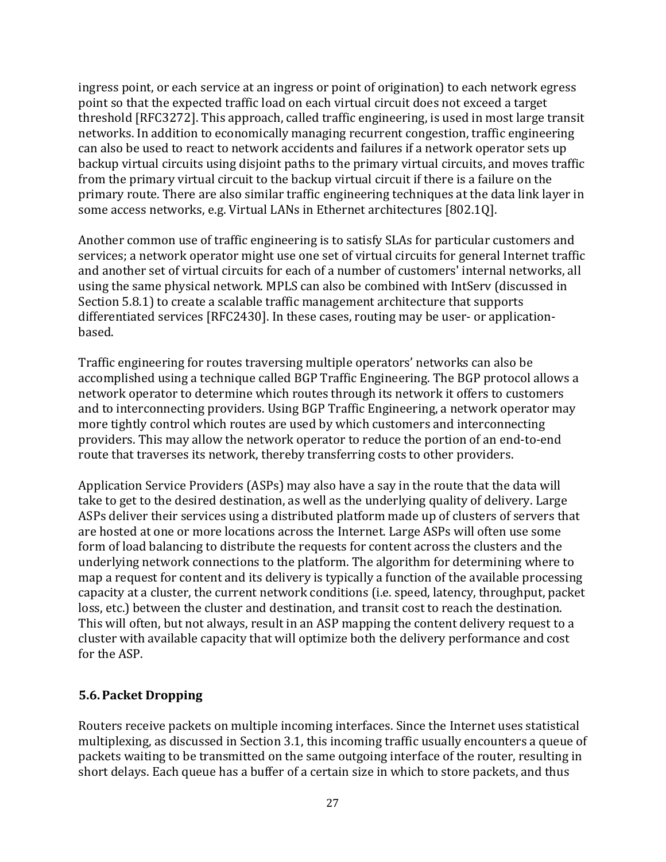ingress point, or each service at an ingress or point of origination) to each network egress point so that the expected traffic load on each virtual circuit does not exceed a target threshold [RFC3272]. This approach, called traffic engineering, is used in most large transit networks. In addition to economically managing recurrent congestion, traffic engineering can also be used to react to network accidents and failures if a network operator sets up backup virtual circuits using disjoint paths to the primary virtual circuits, and moves traffic from the primary virtual circuit to the backup virtual circuit if there is a failure on the primary route. There are also similar traffic engineering techniques at the data link layer in some access networks, e.g. Virtual LANs in Ethernet architectures [802.1Q].

Another common use of traffic engineering is to satisfy SLAs for particular customers and services; a network operator might use one set of virtual circuits for general Internet traffic and another set of virtual circuits for each of a number of customers' internal networks, all using the same physical network. MPLS can also be combined with IntServ (discussed in Section 5.8.1) to create a scalable traffic management architecture that supports differentiated services [RFC2430]. In these cases, routing may be user- or applicationbased.

Traffic engineering for routes traversing multiple operators' networks can also be accomplished using a technique called BGP Traffic Engineering. The BGP protocol allows a network operator to determine which routes through its network it offers to customers and to interconnecting providers. Using BGP Traffic Engineering, a network operator may more tightly control which routes are used by which customers and interconnecting providers. This may allow the network operator to reduce the portion of an end-to-end route that traverses its network, thereby transferring costs to other providers.

Application Service Providers (ASPs) may also have a say in the route that the data will take to get to the desired destination, as well as the underlying quality of delivery. Large ASPs deliver their services using a distributed platform made up of clusters of servers that are hosted at one or more locations across the Internet. Large ASPs will often use some form of load balancing to distribute the requests for content across the clusters and the underlying network connections to the platform. The algorithm for determining where to map a request for content and its delivery is typically a function of the available processing capacity at a cluster, the current network conditions (i.e. speed, latency, throughput, packet loss, etc.) between the cluster and destination, and transit cost to reach the destination. This will often, but not always, result in an ASP mapping the content delivery request to a cluster with available capacity that will optimize both the delivery performance and cost for the ASP.

### **5.6.Packet Dropping**

Routers receive packets on multiple incoming interfaces. Since the Internet uses statistical multiplexing, as discussed in Section 3.1, this incoming traffic usually encounters a queue of packets waiting to be transmitted on the same outgoing interface of the router, resulting in short delays. Each queue has a buffer of a certain size in which to store packets, and thus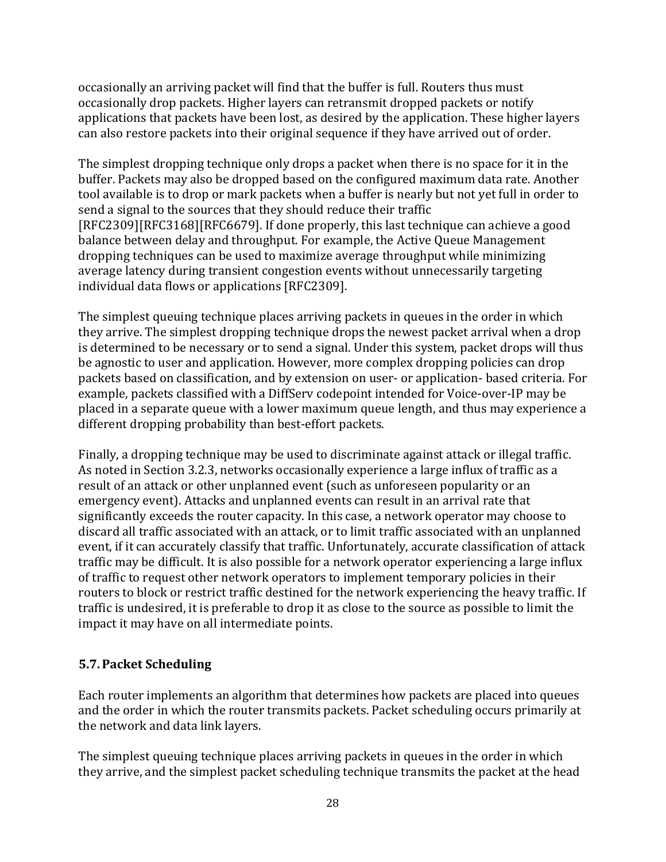occasionally an arriving packet will find that the buffer is full. Routers thus must occasionally drop packets. Higher layers can retransmit dropped packets or notify applications that packets have been lost, as desired by the application. These higher layers can also restore packets into their original sequence if they have arrived out of order.

The simplest dropping technique only drops a packet when there is no space for it in the buffer. Packets may also be dropped based on the configured maximum data rate. Another tool available is to drop or mark packets when a buffer is nearly but not yet full in order to send a signal to the sources that they should reduce their traffic [RFC2309][RFC3168][RFC6679]. If done properly, this last technique can achieve a good balance between delay and throughput. For example, the Active Queue Management dropping techniques can be used to maximize average throughput while minimizing average latency during transient congestion events without unnecessarily targeting individual data flows or applications [RFC2309].

The simplest queuing technique places arriving packets in queues in the order in which they arrive. The simplest dropping technique drops the newest packet arrival when a drop is determined to be necessary or to send a signal. Under this system, packet drops will thus be agnostic to user and application. However, more complex dropping policies can drop packets based on classification, and by extension on user- or application- based criteria. For example, packets classified with a DiffServ codepoint intended for Voice-over-IP may be placed in a separate queue with a lower maximum queue length, and thus may experience a different dropping probability than best-effort packets.

Finally, a dropping technique may be used to discriminate against attack or illegal traffic. As noted in Section 3.2.3, networks occasionally experience a large influx of traffic as a result of an attack or other unplanned event (such as unforeseen popularity or an emergency event). Attacks and unplanned events can result in an arrival rate that significantly exceeds the router capacity. In this case, a network operator may choose to discard all traffic associated with an attack, or to limit traffic associated with an unplanned event, if it can accurately classify that traffic. Unfortunately, accurate classification of attack traffic may be difficult. It is also possible for a network operator experiencing a large influx of traffic to request other network operators to implement temporary policies in their routers to block or restrict traffic destined for the network experiencing the heavy traffic. If traffic is undesired, it is preferable to drop it as close to the source as possible to limit the impact it may have on all intermediate points.

### **5.7.Packet Scheduling**

Each router implements an algorithm that determines how packets are placed into queues and the order in which the router transmits packets. Packet scheduling occurs primarily at the network and data link layers.

The simplest queuing technique places arriving packets in queues in the order in which they arrive, and the simplest packet scheduling technique transmits the packet at the head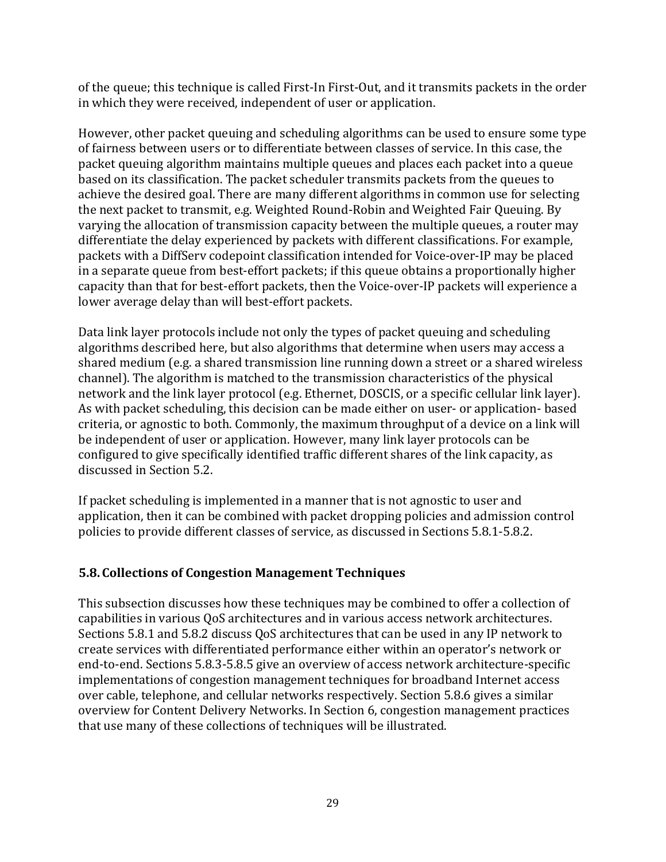of the queue; this technique is called First-In First-Out, and it transmits packets in the order in which they were received, independent of user or application.

However, other packet queuing and scheduling algorithms can be used to ensure some type of fairness between users or to differentiate between classes of service. In this case, the packet queuing algorithm maintains multiple queues and places each packet into a queue based on its classification. The packet scheduler transmits packets from the queues to achieve the desired goal. There are many different algorithms in common use for selecting the next packet to transmit, e.g. Weighted Round-Robin and Weighted Fair Queuing. By varying the allocation of transmission capacity between the multiple queues, a router may differentiate the delay experienced by packets with different classifications. For example, packets with a DiffServ codepoint classification intended for Voice-over-IP may be placed in a separate queue from best-effort packets; if this queue obtains a proportionally higher capacity than that for best-effort packets, then the Voice-over-IP packets will experience a lower average delay than will best-effort packets.

Data link layer protocols include not only the types of packet queuing and scheduling algorithms described here, but also algorithms that determine when users may access a shared medium (e.g. a shared transmission line running down a street or a shared wireless channel). The algorithm is matched to the transmission characteristics of the physical network and the link layer protocol (e.g. Ethernet, DOSCIS, or a specific cellular link layer). As with packet scheduling, this decision can be made either on user- or application- based criteria, or agnostic to both. Commonly, the maximum throughput of a device on a link will be independent of user or application. However, many link layer protocols can be configured to give specifically identified traffic different shares of the link capacity, as discussed in Section 5.2.

If packet scheduling is implemented in a manner that is not agnostic to user and application, then it can be combined with packet dropping policies and admission control policies to provide different classes of service, as discussed in Sections 5.8.1-5.8.2.

### **5.8. Collections of Congestion Management Techniques**

This subsection discusses how these techniques may be combined to offer a collection of capabilities in various QoS architectures and in various access network architectures. Sections 5.8.1 and 5.8.2 discuss QoS architectures that can be used in any IP network to create services with differentiated performance either within an operator's network or end-to-end. Sections 5.8.3-5.8.5 give an overview of access network architecture-specific implementations of congestion management techniques for broadband Internet access over cable, telephone, and cellular networks respectively. Section 5.8.6 gives a similar overview for Content Delivery Networks. In Section 6, congestion management practices that use many of these collections of techniques will be illustrated.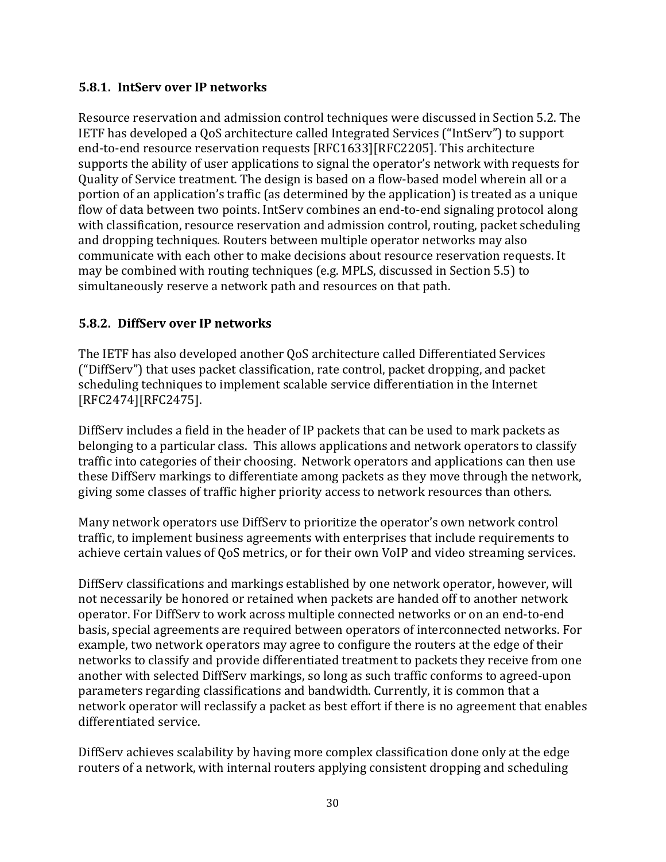#### **5.8.1. IntServ over IP networks**

Resource reservation and admission control techniques were discussed in Section 5.2. The IETF has developed a QoS architecture called Integrated Services ("IntServ") to support end-to-end resource reservation requests [RFC1633][RFC2205]. This architecture supports the ability of user applications to signal the operator's network with requests for Quality of Service treatment. The design is based on a flow-based model wherein all or a portion of an application's traffic (as determined by the application) is treated as a unique flow of data between two points. IntServ combines an end-to-end signaling protocol along with classification, resource reservation and admission control, routing, packet scheduling and dropping techniques. Routers between multiple operator networks may also communicate with each other to make decisions about resource reservation requests. It may be combined with routing techniques (e.g. MPLS, discussed in Section 5.5) to simultaneously reserve a network path and resources on that path.

#### **5.8.2. DiffServ over IP networks**

The IETF has also developed another QoS architecture called Differentiated Services ("DiffServ") that uses packet classification, rate control, packet dropping, and packet scheduling techniques to implement scalable service differentiation in the Internet [RFC2474][RFC2475].

DiffServ includes a field in the header of IP packets that can be used to mark packets as belonging to a particular class. This allows applications and network operators to classify traffic into categories of their choosing. Network operators and applications can then use these DiffServ markings to differentiate among packets as they move through the network, giving some classes of traffic higher priority access to network resources than others.

Many network operators use DiffSery to prioritize the operator's own network control traffic, to implement business agreements with enterprises that include requirements to achieve certain values of QoS metrics, or for their own VoIP and video streaming services.

DiffServ classifications and markings established by one network operator, however, will not necessarily be honored or retained when packets are handed off to another network operator. For DiffServ to work across multiple connected networks or on an end-to-end basis, special agreements are required between operators of interconnected networks. For example, two network operators may agree to configure the routers at the edge of their networks to classify and provide differentiated treatment to packets they receive from one another with selected DiffServ markings, so long as such traffic conforms to agreed-upon parameters regarding classifications and bandwidth. Currently, it is common that a network operator will reclassify a packet as best effort if there is no agreement that enables differentiated service.

DiffServ achieves scalability by having more complex classification done only at the edge routers of a network, with internal routers applying consistent dropping and scheduling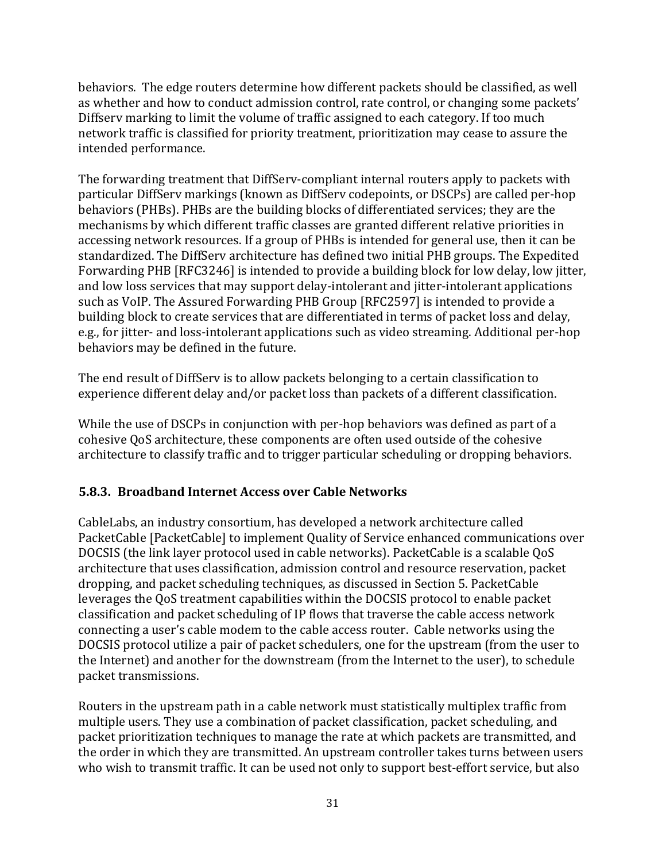behaviors. The edge routers determine how different packets should be classified, as well as whether and how to conduct admission control, rate control, or changing some packets' Diffsery marking to limit the volume of traffic assigned to each category. If too much network traffic is classified for priority treatment, prioritization may cease to assure the intended performance.

The forwarding treatment that DiffServ-compliant internal routers apply to packets with particular DiffServ markings (known as DiffServ codepoints, or DSCPs) are called per-hop behaviors (PHBs). PHBs are the building blocks of differentiated services; they are the mechanisms by which different traffic classes are granted different relative priorities in accessing network resources. If a group of PHBs is intended for general use, then it can be standardized. The DiffServ architecture has defined two initial PHB groups. The Expedited Forwarding PHB [RFC3246] is intended to provide a building block for low delay, low jitter, and low loss services that may support delay-intolerant and jitter-intolerant applications such as VoIP. The Assured Forwarding PHB Group [RFC2597] is intended to provide a building block to create services that are differentiated in terms of packet loss and delay, e.g., for jitter- and loss-intolerant applications such as video streaming. Additional per-hop behaviors may be defined in the future.

The end result of DiffSery is to allow packets belonging to a certain classification to experience different delay and/or packet loss than packets of a different classification.

While the use of DSCPs in conjunction with per-hop behaviors was defined as part of a cohesive OoS architecture, these components are often used outside of the cohesive architecture to classify traffic and to trigger particular scheduling or dropping behaviors.

### **5.8.3. Broadband Internet Access over Cable Networks**

CableLabs, an industry consortium, has developed a network architecture called PacketCable [PacketCable] to implement Quality of Service enhanced communications over DOCSIS (the link layer protocol used in cable networks). PacketCable is a scalable QoS architecture that uses classification, admission control and resource reservation, packet dropping, and packet scheduling techniques, as discussed in Section 5. PacketCable leverages the QoS treatment capabilities within the DOCSIS protocol to enable packet classification and packet scheduling of IP flows that traverse the cable access network connecting a user's cable modem to the cable access router. Cable networks using the DOCSIS protocol utilize a pair of packet schedulers, one for the upstream (from the user to the Internet) and another for the downstream (from the Internet to the user), to schedule packet transmissions.

Routers in the upstream path in a cable network must statistically multiplex traffic from multiple users. They use a combination of packet classification, packet scheduling, and packet prioritization techniques to manage the rate at which packets are transmitted, and the order in which they are transmitted. An upstream controller takes turns between users who wish to transmit traffic. It can be used not only to support best-effort service, but also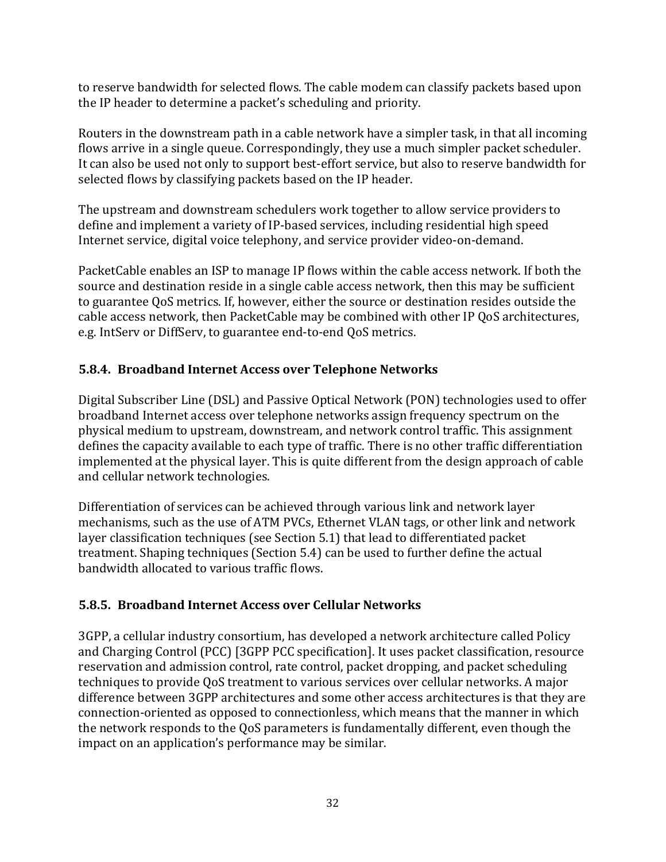to reserve bandwidth for selected flows. The cable modem can classify packets based upon the IP header to determine a packet's scheduling and priority.

Routers in the downstream path in a cable network have a simpler task, in that all incoming flows arrive in a single queue. Correspondingly, they use a much simpler packet scheduler. It can also be used not only to support best-effort service, but also to reserve bandwidth for selected flows by classifying packets based on the IP header.

The upstream and downstream schedulers work together to allow service providers to define and implement a variety of IP-based services, including residential high speed Internet service, digital voice telephony, and service provider video-on-demand.

PacketCable enables an ISP to manage IP flows within the cable access network. If both the source and destination reside in a single cable access network, then this may be sufficient to guarantee OoS metrics. If, however, either the source or destination resides outside the cable access network, then PacketCable may be combined with other IP QoS architectures, e.g. IntServ or DiffServ, to guarantee end-to-end OoS metrics.

# **5.8.4. Broadband Internet Access over Telephone Networks**

Digital Subscriber Line (DSL) and Passive Optical Network (PON) technologies used to offer broadband Internet access over telephone networks assign frequency spectrum on the physical medium to upstream, downstream, and network control traffic. This assignment defines the capacity available to each type of traffic. There is no other traffic differentiation implemented at the physical layer. This is quite different from the design approach of cable and cellular network technologies.

Differentiation of services can be achieved through various link and network layer mechanisms, such as the use of ATM PVCs, Ethernet VLAN tags, or other link and network layer classification techniques (see Section 5.1) that lead to differentiated packet treatment. Shaping techniques (Section 5.4) can be used to further define the actual bandwidth allocated to various traffic flows.

# **5.8.5. Broadband Internet Access over Cellular Networks**

3GPP, a cellular industry consortium, has developed a network architecture called Policy and Charging Control (PCC) [3GPP PCC specification]. It uses packet classification, resource reservation and admission control, rate control, packet dropping, and packet scheduling techniques to provide QoS treatment to various services over cellular networks. A major difference between 3GPP architectures and some other access architectures is that they are connection-oriented as opposed to connectionless, which means that the manner in which the network responds to the QoS parameters is fundamentally different, even though the impact on an application's performance may be similar.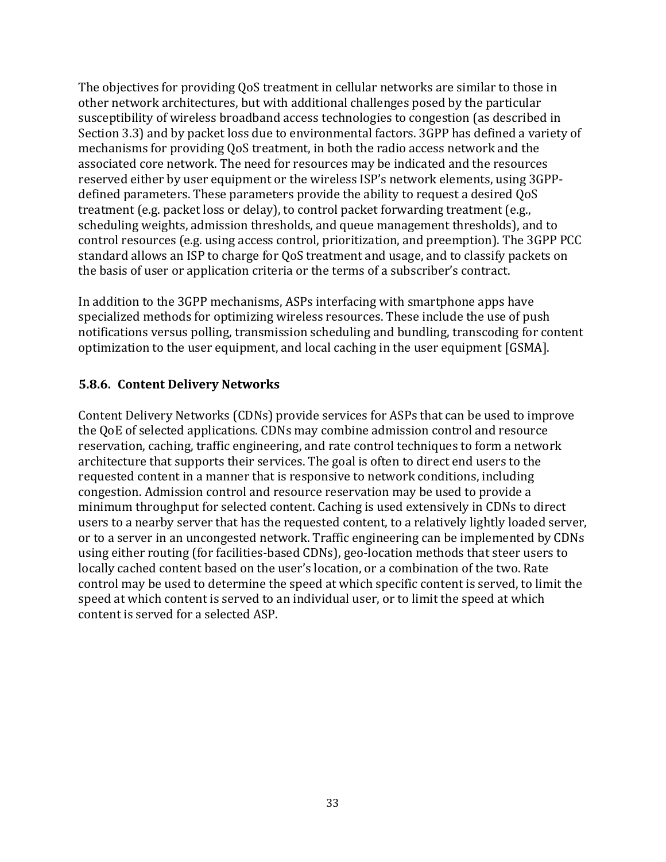The objectives for providing QoS treatment in cellular networks are similar to those in other network architectures, but with additional challenges posed by the particular susceptibility of wireless broadband access technologies to congestion (as described in Section 3.3) and by packet loss due to environmental factors. 3GPP has defined a variety of mechanisms for providing QoS treatment, in both the radio access network and the associated core network. The need for resources may be indicated and the resources reserved either by user equipment or the wireless ISP's network elements, using 3GPPdefined parameters. These parameters provide the ability to request a desired QoS treatment (e.g. packet loss or delay), to control packet forwarding treatment (e.g., scheduling weights, admission thresholds, and queue management thresholds), and to control resources (e.g. using access control, prioritization, and preemption). The 3GPP PCC standard allows an ISP to charge for QoS treatment and usage, and to classify packets on the basis of user or application criteria or the terms of a subscriber's contract.

In addition to the 3GPP mechanisms, ASPs interfacing with smartphone apps have specialized methods for optimizing wireless resources. These include the use of push notifications versus polling, transmission scheduling and bundling, transcoding for content optimization to the user equipment, and local caching in the user equipment [GSMA].

### **5.8.6. Content Delivery Networks**

Content Delivery Networks (CDNs) provide services for ASPs that can be used to improve the QoE of selected applications. CDNs may combine admission control and resource reservation, caching, traffic engineering, and rate control techniques to form a network architecture that supports their services. The goal is often to direct end users to the requested content in a manner that is responsive to network conditions, including congestion. Admission control and resource reservation may be used to provide a minimum throughput for selected content. Caching is used extensively in CDNs to direct users to a nearby server that has the requested content, to a relatively lightly loaded server, or to a server in an uncongested network. Traffic engineering can be implemented by CDNs using either routing (for facilities-based CDNs), geo-location methods that steer users to locally cached content based on the user's location, or a combination of the two. Rate control may be used to determine the speed at which specific content is served, to limit the speed at which content is served to an individual user, or to limit the speed at which content is served for a selected ASP.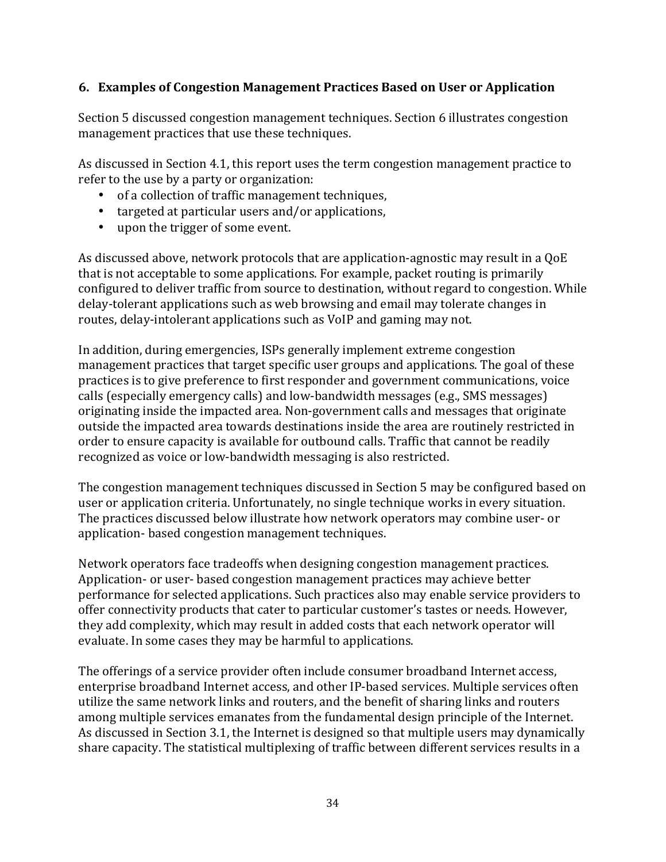#### **6. Examples of Congestion Management Practices Based on User or Application**

Section 5 discussed congestion management techniques. Section 6 illustrates congestion management practices that use these techniques.

As discussed in Section 4.1, this report uses the term congestion management practice to refer to the use by a party or organization:

- of a collection of traffic management techniques,
- targeted at particular users and/or applications,
- upon the trigger of some event.

As discussed above, network protocols that are application-agnostic may result in a QoE that is not acceptable to some applications. For example, packet routing is primarily configured to deliver traffic from source to destination, without regard to congestion. While delay-tolerant applications such as web browsing and email may tolerate changes in routes, delay-intolerant applications such as VoIP and gaming may not.

In addition, during emergencies, ISPs generally implement extreme congestion management practices that target specific user groups and applications. The goal of these practices is to give preference to first responder and government communications, voice calls (especially emergency calls) and low-bandwidth messages (e.g., SMS messages) originating inside the impacted area. Non-government calls and messages that originate outside the impacted area towards destinations inside the area are routinely restricted in order to ensure capacity is available for outbound calls. Traffic that cannot be readily recognized as voice or low-bandwidth messaging is also restricted.

The congestion management techniques discussed in Section 5 may be configured based on user or application criteria. Unfortunately, no single technique works in every situation. The practices discussed below illustrate how network operators may combine user- or application- based congestion management techniques.

Network operators face tradeoffs when designing congestion management practices. Application- or user- based congestion management practices may achieve better performance for selected applications. Such practices also may enable service providers to offer connectivity products that cater to particular customer's tastes or needs. However, they add complexity, which may result in added costs that each network operator will evaluate. In some cases they may be harmful to applications.

The offerings of a service provider often include consumer broadband Internet access, enterprise broadband Internet access, and other IP-based services. Multiple services often utilize the same network links and routers, and the benefit of sharing links and routers among multiple services emanates from the fundamental design principle of the Internet. As discussed in Section 3.1, the Internet is designed so that multiple users may dynamically share capacity. The statistical multiplexing of traffic between different services results in a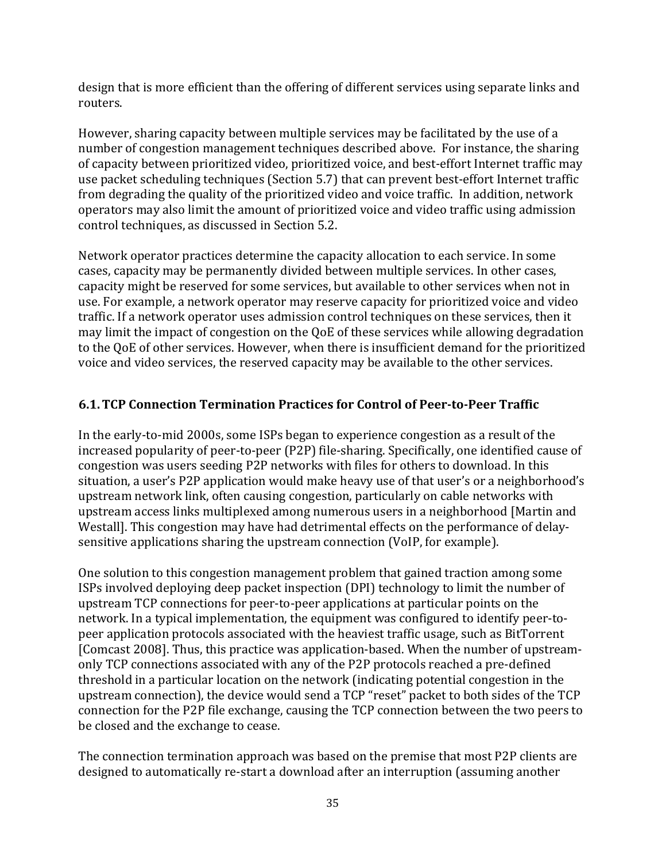design that is more efficient than the offering of different services using separate links and routers. 

However, sharing capacity between multiple services may be facilitated by the use of a number of congestion management techniques described above. For instance, the sharing of capacity between prioritized video, prioritized voice, and best-effort Internet traffic may use packet scheduling techniques (Section 5.7) that can prevent best-effort Internet traffic from degrading the quality of the prioritized video and voice traffic. In addition, network operators may also limit the amount of prioritized voice and video traffic using admission control techniques, as discussed in Section 5.2.

Network operator practices determine the capacity allocation to each service. In some cases, capacity may be permanently divided between multiple services. In other cases, capacity might be reserved for some services, but available to other services when not in use. For example, a network operator may reserve capacity for prioritized voice and video traffic. If a network operator uses admission control techniques on these services, then it may limit the impact of congestion on the OoE of these services while allowing degradation to the QoE of other services. However, when there is insufficient demand for the prioritized voice and video services, the reserved capacity may be available to the other services.

### **6.1.TCP Connection Termination Practices for Control of Peer-to-Peer Traffic**

In the early-to-mid 2000s, some ISPs began to experience congestion as a result of the increased popularity of peer-to-peer (P2P) file-sharing. Specifically, one identified cause of congestion was users seeding P2P networks with files for others to download. In this situation, a user's P2P application would make heavy use of that user's or a neighborhood's upstream network link, often causing congestion, particularly on cable networks with upstream access links multiplexed among numerous users in a neighborhood [Martin and Westall]. This congestion may have had detrimental effects on the performance of delaysensitive applications sharing the upstream connection (VoIP, for example).

One solution to this congestion management problem that gained traction among some ISPs involved deploying deep packet inspection (DPI) technology to limit the number of upstream TCP connections for peer-to-peer applications at particular points on the network. In a typical implementation, the equipment was configured to identify peer-topeer application protocols associated with the heaviest traffic usage, such as BitTorrent [Comcast 2008]. Thus, this practice was application-based. When the number of upstreamonly TCP connections associated with any of the P2P protocols reached a pre-defined threshold in a particular location on the network (indicating potential congestion in the upstream connection), the device would send a TCP "reset" packet to both sides of the TCP connection for the P2P file exchange, causing the TCP connection between the two peers to be closed and the exchange to cease.

The connection termination approach was based on the premise that most P2P clients are designed to automatically re-start a download after an interruption (assuming another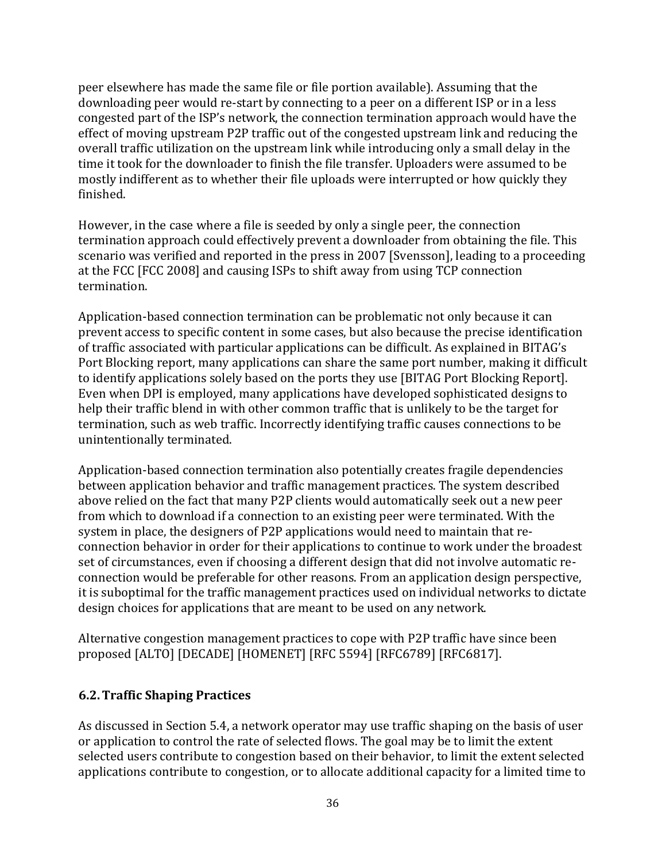peer elsewhere has made the same file or file portion available). Assuming that the downloading peer would re-start by connecting to a peer on a different ISP or in a less congested part of the ISP's network, the connection termination approach would have the effect of moving upstream P2P traffic out of the congested upstream link and reducing the overall traffic utilization on the upstream link while introducing only a small delay in the time it took for the downloader to finish the file transfer. Uploaders were assumed to be mostly indifferent as to whether their file uploads were interrupted or how quickly they finished.

However, in the case where a file is seeded by only a single peer, the connection termination approach could effectively prevent a downloader from obtaining the file. This scenario was verified and reported in the press in 2007 [Svensson], leading to a proceeding at the FCC [FCC 2008] and causing ISPs to shift away from using TCP connection termination.

Application-based connection termination can be problematic not only because it can prevent access to specific content in some cases, but also because the precise identification of traffic associated with particular applications can be difficult. As explained in BITAG's Port Blocking report, many applications can share the same port number, making it difficult to identify applications solely based on the ports they use [BITAG Port Blocking Report]. Even when DPI is employed, many applications have developed sophisticated designs to help their traffic blend in with other common traffic that is unlikely to be the target for termination, such as web traffic. Incorrectly identifying traffic causes connections to be unintentionally terminated.

Application-based connection termination also potentially creates fragile dependencies between application behavior and traffic management practices. The system described above relied on the fact that many P2P clients would automatically seek out a new peer from which to download if a connection to an existing peer were terminated. With the system in place, the designers of P2P applications would need to maintain that reconnection behavior in order for their applications to continue to work under the broadest set of circumstances, even if choosing a different design that did not involve automatic reconnection would be preferable for other reasons. From an application design perspective, it is suboptimal for the traffic management practices used on individual networks to dictate design choices for applications that are meant to be used on any network.

Alternative congestion management practices to cope with P2P traffic have since been proposed [ALTO] [DECADE] [HOMENET] [RFC 5594] [RFC6789] [RFC6817].

### **6.2.Traffic Shaping Practices**

As discussed in Section 5.4, a network operator may use traffic shaping on the basis of user or application to control the rate of selected flows. The goal may be to limit the extent selected users contribute to congestion based on their behavior, to limit the extent selected applications contribute to congestion, or to allocate additional capacity for a limited time to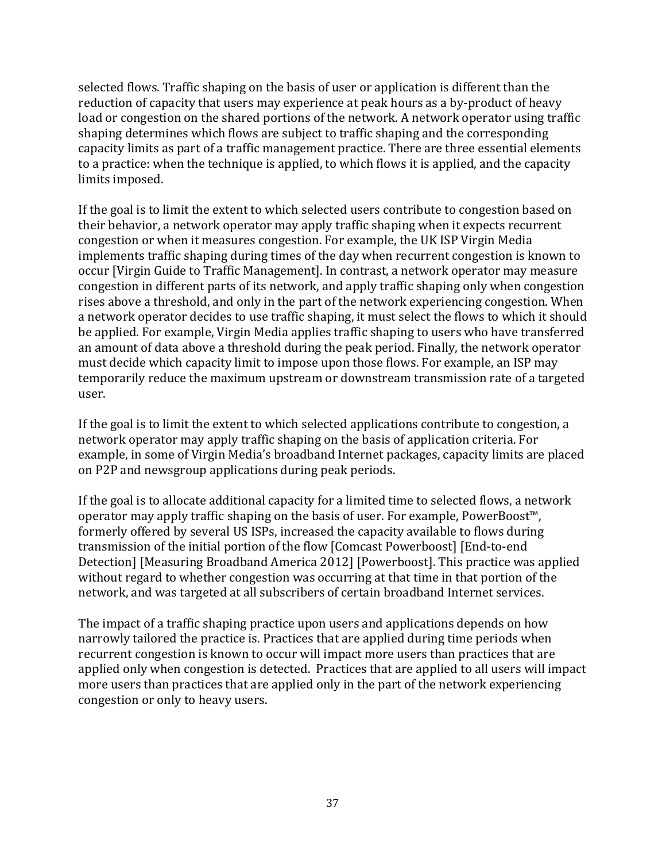selected flows. Traffic shaping on the basis of user or application is different than the reduction of capacity that users may experience at peak hours as a by-product of heavy load or congestion on the shared portions of the network. A network operator using traffic shaping determines which flows are subject to traffic shaping and the corresponding capacity limits as part of a traffic management practice. There are three essential elements to a practice: when the technique is applied, to which flows it is applied, and the capacity limits imposed.

If the goal is to limit the extent to which selected users contribute to congestion based on their behavior, a network operator may apply traffic shaping when it expects recurrent congestion or when it measures congestion. For example, the UK ISP Virgin Media implements traffic shaping during times of the day when recurrent congestion is known to occur [Virgin Guide to Traffic Management]. In contrast, a network operator may measure congestion in different parts of its network, and apply traffic shaping only when congestion rises above a threshold, and only in the part of the network experiencing congestion. When a network operator decides to use traffic shaping, it must select the flows to which it should be applied. For example, Virgin Media applies traffic shaping to users who have transferred an amount of data above a threshold during the peak period. Finally, the network operator must decide which capacity limit to impose upon those flows. For example, an ISP may temporarily reduce the maximum upstream or downstream transmission rate of a targeted user.

If the goal is to limit the extent to which selected applications contribute to congestion, a network operator may apply traffic shaping on the basis of application criteria. For example, in some of Virgin Media's broadband Internet packages, capacity limits are placed on P2P and newsgroup applications during peak periods.

If the goal is to allocate additional capacity for a limited time to selected flows, a network operator may apply traffic shaping on the basis of user. For example, PowerBoost<sup> $m$ </sup>, formerly offered by several US ISPs, increased the capacity available to flows during transmission of the initial portion of the flow [Comcast Powerboost] [End-to-end Detection] [Measuring Broadband America 2012] [Powerboost]. This practice was applied without regard to whether congestion was occurring at that time in that portion of the network, and was targeted at all subscribers of certain broadband Internet services.

The impact of a traffic shaping practice upon users and applications depends on how narrowly tailored the practice is. Practices that are applied during time periods when recurrent congestion is known to occur will impact more users than practices that are applied only when congestion is detected. Practices that are applied to all users will impact more users than practices that are applied only in the part of the network experiencing congestion or only to heavy users.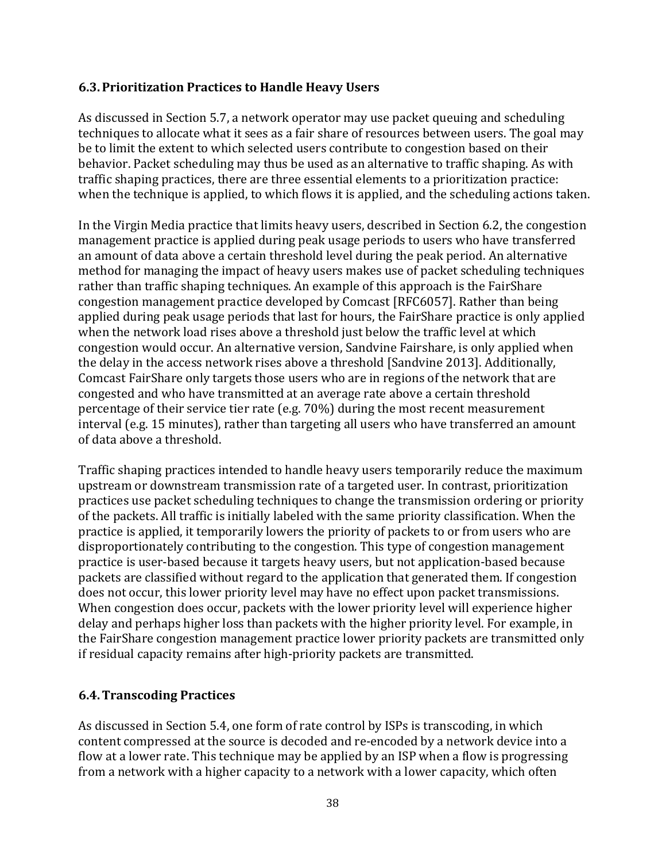#### **6.3.Prioritization Practices to Handle Heavy Users**

As discussed in Section 5.7, a network operator may use packet queuing and scheduling techniques to allocate what it sees as a fair share of resources between users. The goal may be to limit the extent to which selected users contribute to congestion based on their behavior. Packet scheduling may thus be used as an alternative to traffic shaping. As with traffic shaping practices, there are three essential elements to a prioritization practice: when the technique is applied, to which flows it is applied, and the scheduling actions taken.

In the Virgin Media practice that limits heavy users, described in Section 6.2, the congestion management practice is applied during peak usage periods to users who have transferred an amount of data above a certain threshold level during the peak period. An alternative method for managing the impact of heavy users makes use of packet scheduling techniques rather than traffic shaping techniques. An example of this approach is the FairShare congestion management practice developed by Comcast [RFC6057]. Rather than being applied during peak usage periods that last for hours, the FairShare practice is only applied when the network load rises above a threshold just below the traffic level at which congestion would occur. An alternative version, Sandvine Fairshare, is only applied when the delay in the access network rises above a threshold [Sandvine 2013]. Additionally, Comcast FairShare only targets those users who are in regions of the network that are congested and who have transmitted at an average rate above a certain threshold percentage of their service tier rate  $(e.g. 70%)$  during the most recent measurement interval (e.g. 15 minutes), rather than targeting all users who have transferred an amount of data above a threshold.

Traffic shaping practices intended to handle heavy users temporarily reduce the maximum upstream or downstream transmission rate of a targeted user. In contrast, prioritization practices use packet scheduling techniques to change the transmission ordering or priority of the packets. All traffic is initially labeled with the same priority classification. When the practice is applied, it temporarily lowers the priority of packets to or from users who are disproportionately contributing to the congestion. This type of congestion management practice is user-based because it targets heavy users, but not application-based because packets are classified without regard to the application that generated them. If congestion does not occur, this lower priority level may have no effect upon packet transmissions. When congestion does occur, packets with the lower priority level will experience higher delay and perhaps higher loss than packets with the higher priority level. For example, in the FairShare congestion management practice lower priority packets are transmitted only if residual capacity remains after high-priority packets are transmitted.

### **6.4.Transcoding Practices**

As discussed in Section 5.4, one form of rate control by ISPs is transcoding, in which content compressed at the source is decoded and re-encoded by a network device into a flow at a lower rate. This technique may be applied by an ISP when a flow is progressing from a network with a higher capacity to a network with a lower capacity, which often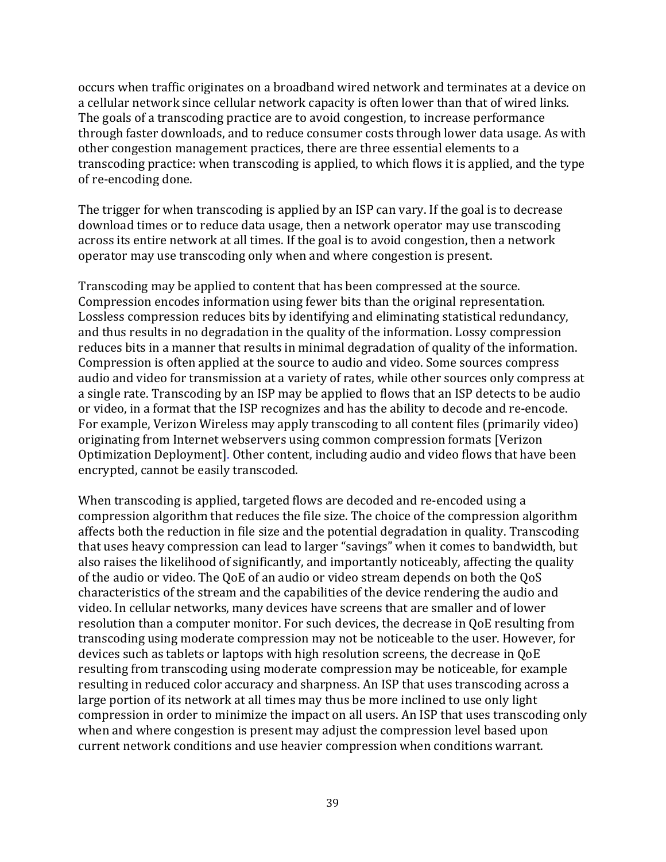occurs when traffic originates on a broadband wired network and terminates at a device on a cellular network since cellular network capacity is often lower than that of wired links. The goals of a transcoding practice are to avoid congestion, to increase performance through faster downloads, and to reduce consumer costs through lower data usage. As with other congestion management practices, there are three essential elements to a transcoding practice: when transcoding is applied, to which flows it is applied, and the type of re-encoding done.

The trigger for when transcoding is applied by an ISP can vary. If the goal is to decrease download times or to reduce data usage, then a network operator may use transcoding across its entire network at all times. If the goal is to avoid congestion, then a network operator may use transcoding only when and where congestion is present.

Transcoding may be applied to content that has been compressed at the source. Compression encodes information using fewer bits than the original representation. Lossless compression reduces bits by identifying and eliminating statistical redundancy, and thus results in no degradation in the quality of the information. Lossy compression reduces bits in a manner that results in minimal degradation of quality of the information. Compression is often applied at the source to audio and video. Some sources compress audio and video for transmission at a variety of rates, while other sources only compress at a single rate. Transcoding by an ISP may be applied to flows that an ISP detects to be audio or video, in a format that the ISP recognizes and has the ability to decode and re-encode. For example, Verizon Wireless may apply transcoding to all content files (primarily video) originating from Internet webservers using common compression formats [Verizon] Optimization Deployment]. Other content, including audio and video flows that have been encrypted, cannot be easily transcoded.

When transcoding is applied, targeted flows are decoded and re-encoded using a compression algorithm that reduces the file size. The choice of the compression algorithm affects both the reduction in file size and the potential degradation in quality. Transcoding that uses heavy compression can lead to larger "savings" when it comes to bandwidth, but also raises the likelihood of significantly, and importantly noticeably, affecting the quality of the audio or video. The OoE of an audio or video stream depends on both the OoS characteristics of the stream and the capabilities of the device rendering the audio and video. In cellular networks, many devices have screens that are smaller and of lower resolution than a computer monitor. For such devices, the decrease in QoE resulting from transcoding using moderate compression may not be noticeable to the user. However, for devices such as tablets or laptops with high resolution screens, the decrease in OoE resulting from transcoding using moderate compression may be noticeable, for example resulting in reduced color accuracy and sharpness. An ISP that uses transcoding across a large portion of its network at all times may thus be more inclined to use only light compression in order to minimize the impact on all users. An ISP that uses transcoding only when and where congestion is present may adjust the compression level based upon current network conditions and use heavier compression when conditions warrant.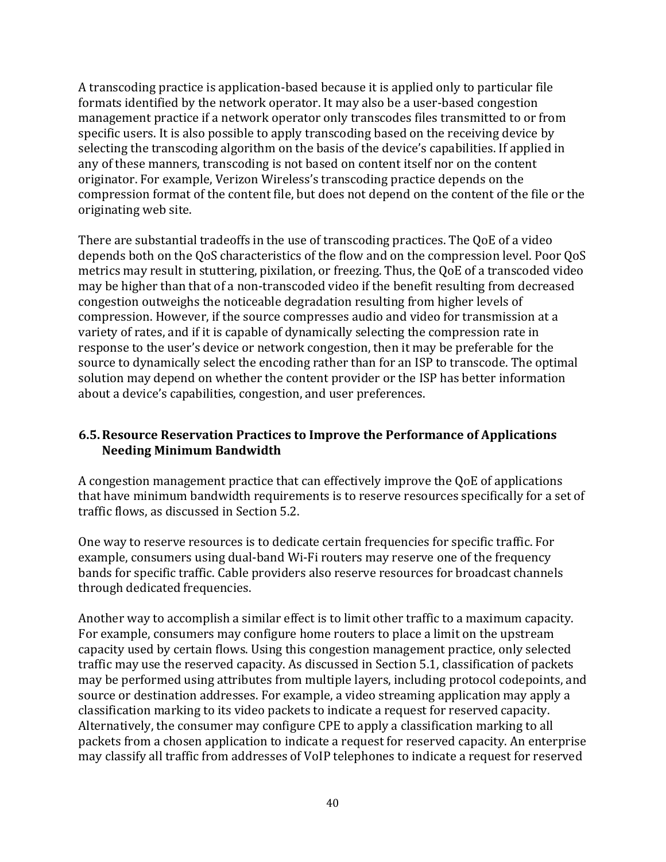A transcoding practice is application-based because it is applied only to particular file formats identified by the network operator. It may also be a user-based congestion management practice if a network operator only transcodes files transmitted to or from specific users. It is also possible to apply transcoding based on the receiving device by selecting the transcoding algorithm on the basis of the device's capabilities. If applied in any of these manners, transcoding is not based on content itself nor on the content originator. For example, Verizon Wireless's transcoding practice depends on the compression format of the content file, but does not depend on the content of the file or the originating web site.

There are substantial tradeoffs in the use of transcoding practices. The QoE of a video depends both on the QoS characteristics of the flow and on the compression level. Poor QoS metrics may result in stuttering, pixilation, or freezing. Thus, the QoE of a transcoded video may be higher than that of a non-transcoded video if the benefit resulting from decreased congestion outweighs the noticeable degradation resulting from higher levels of compression. However, if the source compresses audio and video for transmission at a variety of rates, and if it is capable of dynamically selecting the compression rate in response to the user's device or network congestion, then it may be preferable for the source to dynamically select the encoding rather than for an ISP to transcode. The optimal solution may depend on whether the content provider or the ISP has better information about a device's capabilities, congestion, and user preferences.

#### **6.5. Resource Reservation Practices to Improve the Performance of Applications Needing Minimum Bandwidth**

A congestion management practice that can effectively improve the QoE of applications that have minimum bandwidth requirements is to reserve resources specifically for a set of traffic flows, as discussed in Section 5.2.

One way to reserve resources is to dedicate certain frequencies for specific traffic. For example, consumers using dual-band Wi-Fi routers may reserve one of the frequency bands for specific traffic. Cable providers also reserve resources for broadcast channels through dedicated frequencies.

Another way to accomplish a similar effect is to limit other traffic to a maximum capacity. For example, consumers may configure home routers to place a limit on the upstream capacity used by certain flows. Using this congestion management practice, only selected traffic may use the reserved capacity. As discussed in Section 5.1, classification of packets may be performed using attributes from multiple layers, including protocol codepoints, and source or destination addresses. For example, a video streaming application may apply a classification marking to its video packets to indicate a request for reserved capacity. Alternatively, the consumer may configure CPE to apply a classification marking to all packets from a chosen application to indicate a request for reserved capacity. An enterprise may classify all traffic from addresses of VoIP telephones to indicate a request for reserved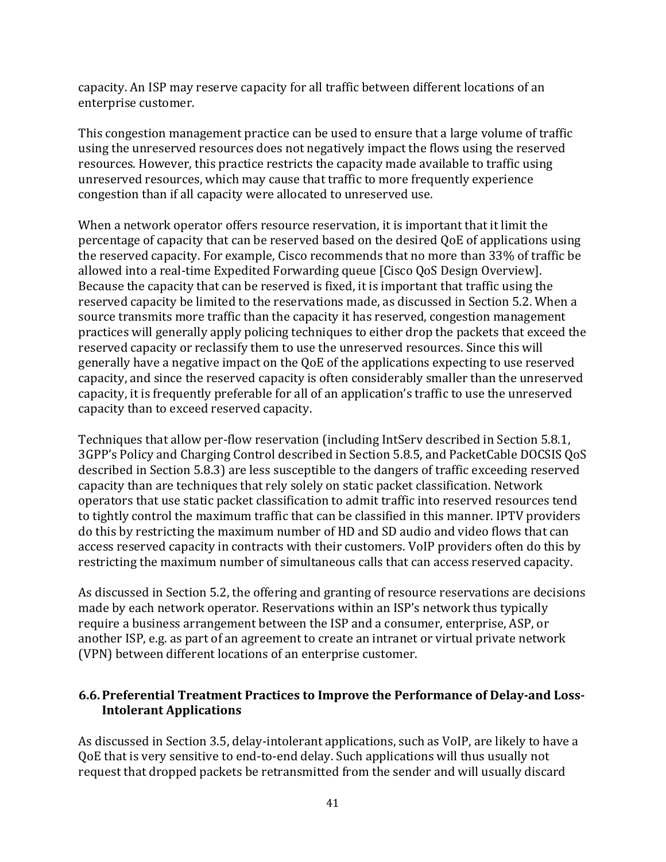capacity. An ISP may reserve capacity for all traffic between different locations of an enterprise customer.

This congestion management practice can be used to ensure that a large volume of traffic using the unreserved resources does not negatively impact the flows using the reserved resources. However, this practice restricts the capacity made available to traffic using unreserved resources, which may cause that traffic to more frequently experience congestion than if all capacity were allocated to unreserved use.

When a network operator offers resource reservation, it is important that it limit the percentage of capacity that can be reserved based on the desired OoE of applications using the reserved capacity. For example, Cisco recommends that no more than 33% of traffic be allowed into a real-time Expedited Forwarding queue [Cisco QoS Design Overview]. Because the capacity that can be reserved is fixed, it is important that traffic using the reserved capacity be limited to the reservations made, as discussed in Section 5.2. When a source transmits more traffic than the capacity it has reserved, congestion management practices will generally apply policing techniques to either drop the packets that exceed the reserved capacity or reclassify them to use the unreserved resources. Since this will generally have a negative impact on the QoE of the applications expecting to use reserved capacity, and since the reserved capacity is often considerably smaller than the unreserved capacity, it is frequently preferable for all of an application's traffic to use the unreserved capacity than to exceed reserved capacity.

Techniques that allow per-flow reservation (including IntServ described in Section 5.8.1, 3GPP's Policy and Charging Control described in Section 5.8.5, and PacketCable DOCSIS QoS described in Section 5.8.3) are less susceptible to the dangers of traffic exceeding reserved capacity than are techniques that rely solely on static packet classification. Network operators that use static packet classification to admit traffic into reserved resources tend to tightly control the maximum traffic that can be classified in this manner. IPTV providers do this by restricting the maximum number of HD and SD audio and video flows that can access reserved capacity in contracts with their customers. VoIP providers often do this by restricting the maximum number of simultaneous calls that can access reserved capacity.

As discussed in Section 5.2, the offering and granting of resource reservations are decisions made by each network operator. Reservations within an ISP's network thus typically require a business arrangement between the ISP and a consumer, enterprise, ASP, or another ISP, e.g. as part of an agreement to create an intranet or virtual private network (VPN) between different locations of an enterprise customer.

#### **6.6. Preferential Treatment Practices to Improve the Performance of Delay-and Loss-Intolerant Applications**

As discussed in Section 3.5, delay-intolerant applications, such as VoIP, are likely to have a QoE that is very sensitive to end-to-end delay. Such applications will thus usually not request that dropped packets be retransmitted from the sender and will usually discard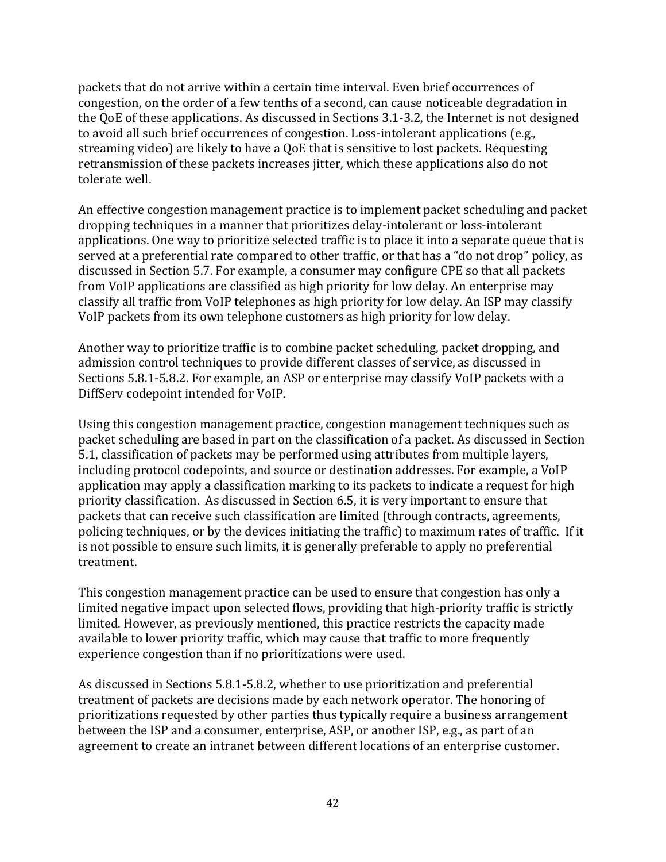packets that do not arrive within a certain time interval. Even brief occurrences of congestion, on the order of a few tenths of a second, can cause noticeable degradation in the QoE of these applications. As discussed in Sections 3.1-3.2, the Internet is not designed to avoid all such brief occurrences of congestion. Loss-intolerant applications (e.g., streaming video) are likely to have a QoE that is sensitive to lost packets. Requesting retransmission of these packets increases jitter, which these applications also do not tolerate well.

An effective congestion management practice is to implement packet scheduling and packet dropping techniques in a manner that prioritizes delay-intolerant or loss-intolerant applications. One way to prioritize selected traffic is to place it into a separate queue that is served at a preferential rate compared to other traffic, or that has a "do not drop" policy, as discussed in Section 5.7. For example, a consumer may configure CPE so that all packets from VoIP applications are classified as high priority for low delay. An enterprise may classify all traffic from VoIP telephones as high priority for low delay. An ISP may classify VoIP packets from its own telephone customers as high priority for low delay.

Another way to prioritize traffic is to combine packet scheduling, packet dropping, and admission control techniques to provide different classes of service, as discussed in Sections 5.8.1-5.8.2. For example, an ASP or enterprise may classify VoIP packets with a DiffServ codepoint intended for VoIP.

Using this congestion management practice, congestion management techniques such as packet scheduling are based in part on the classification of a packet. As discussed in Section 5.1, classification of packets may be performed using attributes from multiple layers, including protocol codepoints, and source or destination addresses. For example, a VoIP application may apply a classification marking to its packets to indicate a request for high priority classification. As discussed in Section 6.5, it is very important to ensure that packets that can receive such classification are limited (through contracts, agreements, policing techniques, or by the devices initiating the traffic) to maximum rates of traffic. If it is not possible to ensure such limits, it is generally preferable to apply no preferential treatment. 

This congestion management practice can be used to ensure that congestion has only a limited negative impact upon selected flows, providing that high-priority traffic is strictly limited. However, as previously mentioned, this practice restricts the capacity made available to lower priority traffic, which may cause that traffic to more frequently experience congestion than if no prioritizations were used.

As discussed in Sections 5.8.1-5.8.2, whether to use prioritization and preferential treatment of packets are decisions made by each network operator. The honoring of prioritizations requested by other parties thus typically require a business arrangement between the ISP and a consumer, enterprise, ASP, or another ISP, e.g., as part of an agreement to create an intranet between different locations of an enterprise customer.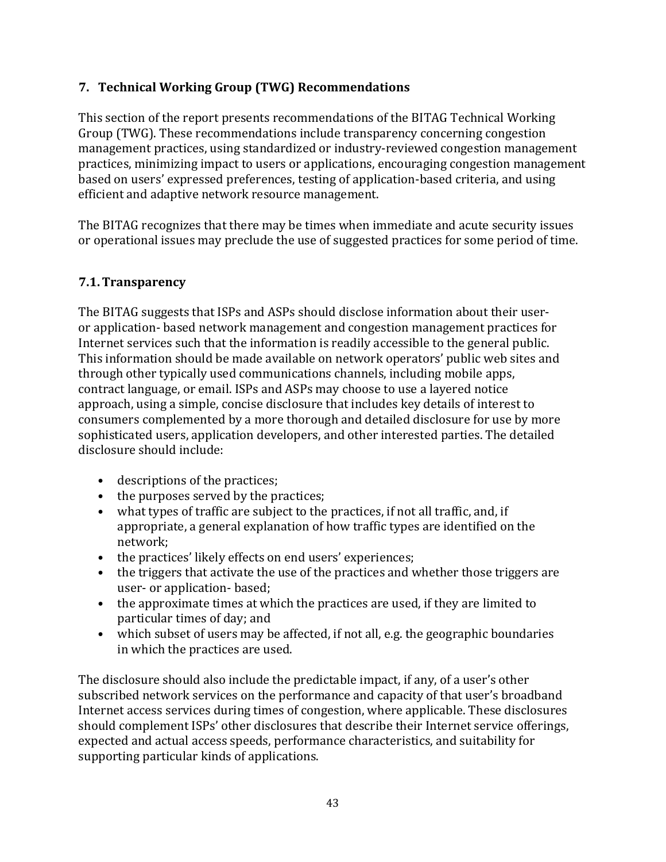# **7. Technical Working Group (TWG) Recommendations**

This section of the report presents recommendations of the BITAG Technical Working Group (TWG). These recommendations include transparency concerning congestion management practices, using standardized or industry-reviewed congestion management practices, minimizing impact to users or applications, encouraging congestion management based on users' expressed preferences, testing of application-based criteria, and using efficient and adaptive network resource management.

The BITAG recognizes that there may be times when immediate and acute security issues or operational issues may preclude the use of suggested practices for some period of time.

# **7.1.Transparency**

The BITAG suggests that ISPs and ASPs should disclose information about their useror application- based network management and congestion management practices for Internet services such that the information is readily accessible to the general public. This information should be made available on network operators' public web sites and through other typically used communications channels, including mobile apps, contract language, or email. ISPs and ASPs may choose to use a layered notice approach, using a simple, concise disclosure that includes key details of interest to consumers complemented by a more thorough and detailed disclosure for use by more sophisticated users, application developers, and other interested parties. The detailed disclosure should include:

- descriptions of the practices;
- the purposes served by the practices;
- what types of traffic are subject to the practices, if not all traffic, and, if appropriate, a general explanation of how traffic types are identified on the network;
- the practices' likely effects on end users' experiences;
- the triggers that activate the use of the practices and whether those triggers are user- or application- based;
- the approximate times at which the practices are used, if they are limited to particular times of day; and
- which subset of users may be affected, if not all, e.g. the geographic boundaries in which the practices are used.

The disclosure should also include the predictable impact, if any, of a user's other subscribed network services on the performance and capacity of that user's broadband Internet access services during times of congestion, where applicable. These disclosures should complement ISPs' other disclosures that describe their Internet service offerings, expected and actual access speeds, performance characteristics, and suitability for supporting particular kinds of applications.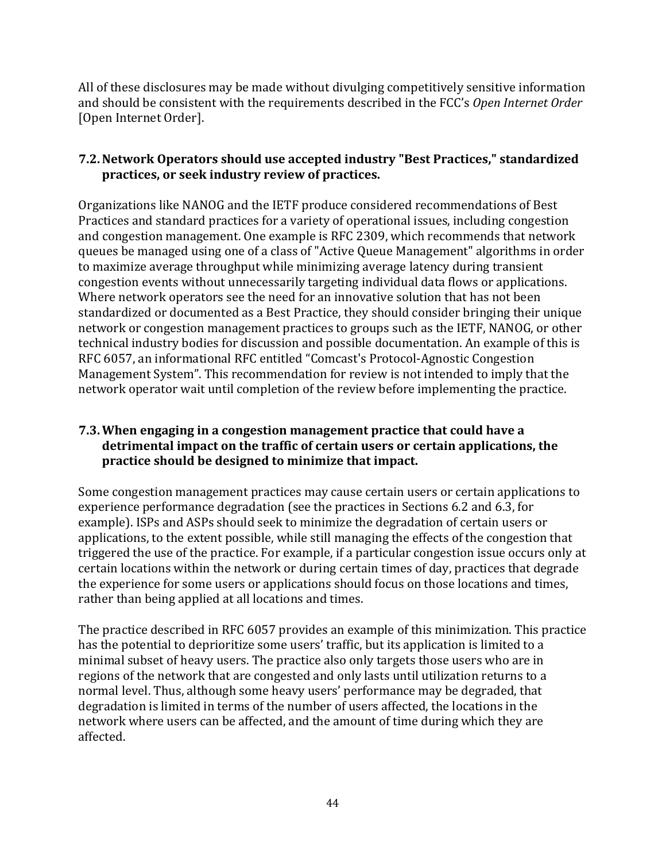All of these disclosures may be made without divulging competitively sensitive information and should be consistent with the requirements described in the FCC's *Open Internet Order* [Open Internet Order].

#### **7.2.Network Operators should use accepted industry "Best Practices," standardized practices, or seek industry review of practices.**

Organizations like NANOG and the IETF produce considered recommendations of Best Practices and standard practices for a variety of operational issues, including congestion and congestion management. One example is RFC 2309, which recommends that network queues be managed using one of a class of "Active Queue Management" algorithms in order to maximize average throughput while minimizing average latency during transient congestion events without unnecessarily targeting individual data flows or applications. Where network operators see the need for an innovative solution that has not been standardized or documented as a Best Practice, they should consider bringing their unique network or congestion management practices to groups such as the IETF, NANOG, or other technical industry bodies for discussion and possible documentation. An example of this is RFC 6057, an informational RFC entitled "Comcast's Protocol-Agnostic Congestion Management System". This recommendation for review is not intended to imply that the network operator wait until completion of the review before implementing the practice.

#### **7.3. When engaging in a congestion management practice that could have a** detrimental impact on the traffic of certain users or certain applications, the practice should be designed to minimize that impact.

Some congestion management practices may cause certain users or certain applications to experience performance degradation (see the practices in Sections 6.2 and 6.3, for example). ISPs and ASPs should seek to minimize the degradation of certain users or applications, to the extent possible, while still managing the effects of the congestion that triggered the use of the practice. For example, if a particular congestion issue occurs only at certain locations within the network or during certain times of day, practices that degrade the experience for some users or applications should focus on those locations and times, rather than being applied at all locations and times.

The practice described in RFC 6057 provides an example of this minimization. This practice has the potential to deprioritize some users' traffic, but its application is limited to a minimal subset of heavy users. The practice also only targets those users who are in regions of the network that are congested and only lasts until utilization returns to a normal level. Thus, although some heavy users' performance may be degraded, that degradation is limited in terms of the number of users affected, the locations in the network where users can be affected, and the amount of time during which they are affected.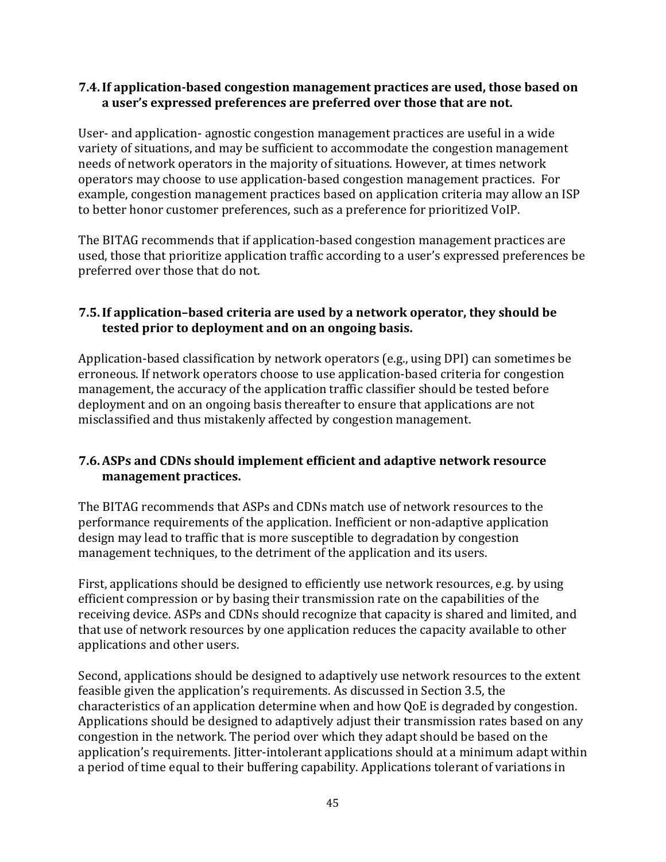#### **7.4.If application-based congestion management practices are used, those based on**  a user's expressed preferences are preferred over those that are not.

User- and application- agnostic congestion management practices are useful in a wide variety of situations, and may be sufficient to accommodate the congestion management needs of network operators in the majority of situations. However, at times network operators may choose to use application-based congestion management practices. For example, congestion management practices based on application criteria may allow an ISP to better honor customer preferences, such as a preference for prioritized VoIP.

The BITAG recommends that if application-based congestion management practices are used, those that prioritize application traffic according to a user's expressed preferences be preferred over those that do not.

#### **7.5. If application–based criteria are used by a network operator, they should be tested prior to deployment and on an ongoing basis.**

Application-based classification by network operators (e.g., using DPI) can sometimes be erroneous. If network operators choose to use application-based criteria for congestion management, the accuracy of the application traffic classifier should be tested before deployment and on an ongoing basis thereafter to ensure that applications are not misclassified and thus mistakenly affected by congestion management.

#### **7.6. ASPs and CDNs should implement efficient and adaptive network resource** management practices.

The BITAG recommends that ASPs and CDNs match use of network resources to the performance requirements of the application. Inefficient or non-adaptive application design may lead to traffic that is more susceptible to degradation by congestion management techniques, to the detriment of the application and its users.

First, applications should be designed to efficiently use network resources, e.g. by using efficient compression or by basing their transmission rate on the capabilities of the receiving device. ASPs and CDNs should recognize that capacity is shared and limited, and that use of network resources by one application reduces the capacity available to other applications and other users.

Second, applications should be designed to adaptively use network resources to the extent feasible given the application's requirements. As discussed in Section 3.5, the characteristics of an application determine when and how OoE is degraded by congestion. Applications should be designed to adaptively adjust their transmission rates based on any congestion in the network. The period over which they adapt should be based on the application's requirements. Jitter-intolerant applications should at a minimum adapt within a period of time equal to their buffering capability. Applications tolerant of variations in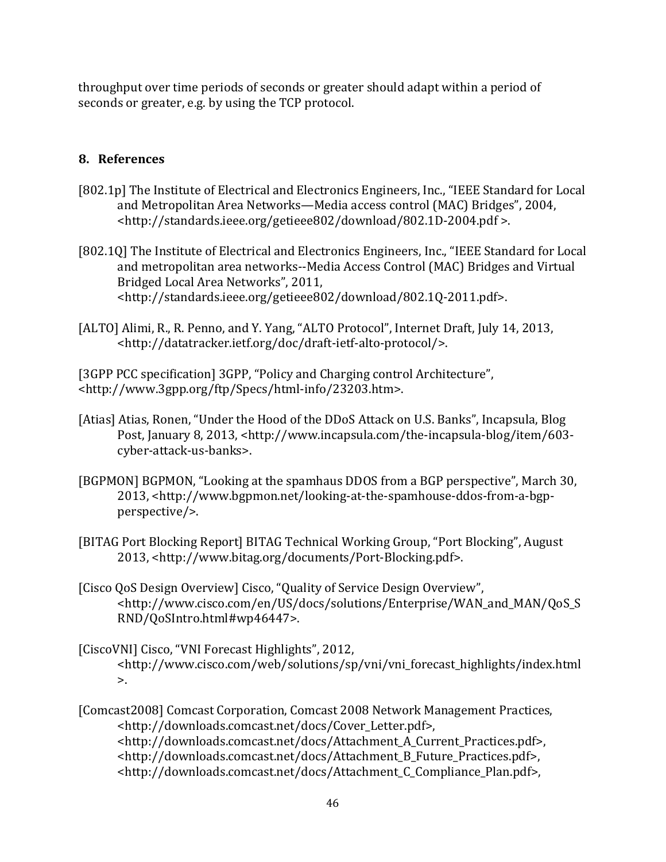throughput over time periods of seconds or greater should adapt within a period of seconds or greater, e.g. by using the TCP protocol.

#### **8. References**

- [802.1p] The Institute of Electrical and Electronics Engineers, Inc., "IEEE Standard for Local and Metropolitan Area Networks—Media access control (MAC) Bridges", 2004, <http://standards.ieee.org/getieee802/download/802.1D-2004.pdf >.
- [802.1Q] The Institute of Electrical and Electronics Engineers, Inc., "IEEE Standard for Local and metropolitan area networks--Media Access Control (MAC) Bridges and Virtual Bridged Local Area Networks", 2011, <http://standards.ieee.org/getieee802/download/802.1Q-2011.pdf>.
- [ALTO] Alimi, R., R. Penno, and Y. Yang, "ALTO Protocol", Internet Draft, July 14, 2013, <http://datatracker.ietf.org/doc/draft-ietf-alto-protocol/>.

[3GPP PCC specification] 3GPP, "Policy and Charging control Architecture", <http://www.3gpp.org/ftp/Specs/html-info/23203.htm>.

- [Atias] Atias, Ronen, "Under the Hood of the DDoS Attack on U.S. Banks", Incapsula, Blog Post, January 8, 2013, <http://www.incapsula.com/the-incapsula-blog/item/603cyber-attack-us-banks>.
- [BGPMON] BGPMON, "Looking at the spamhaus DDOS from a BGP perspective", March 30, 2013, <http://www.bgpmon.net/looking-at-the-spamhouse-ddos-from-a-bgpperspective/>.
- [BITAG Port Blocking Report] BITAG Technical Working Group, "Port Blocking", August 2013, <http://www.bitag.org/documents/Port-Blocking.pdf>.
- [Cisco QoS Design Overview] Cisco, "Quality of Service Design Overview", <http://www.cisco.com/en/US/docs/solutions/Enterprise/WAN\_and\_MAN/QoS\_S RND/QoSIntro.html#wp46447>.
- [CiscoVNI] Cisco, "VNI Forecast Highlights", 2012, <http://www.cisco.com/web/solutions/sp/vni/vni\_forecast\_highlights/index.html  $>$ .
- [Comcast2008] Comcast Corporation, Comcast 2008 Network Management Practices, <http://downloads.comcast.net/docs/Cover\_Letter.pdf>, <http://downloads.comcast.net/docs/Attachment\_A\_Current\_Practices.pdf>, <http://downloads.comcast.net/docs/Attachment\_B\_Future\_Practices.pdf>, <http://downloads.comcast.net/docs/Attachment\_C\_Compliance\_Plan.pdf>,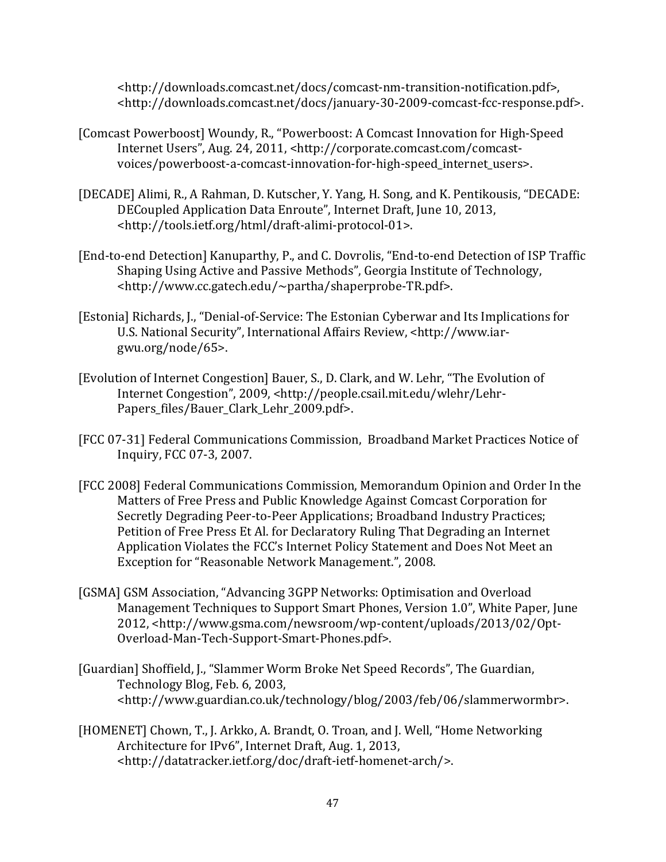<http://downloads.comcast.net/docs/comcast-nm-transition-notification.pdf>, <http://downloads.comcast.net/docs/january-30-2009-comcast-fcc-response.pdf>.

- [Comcast Powerboost] Woundy, R., "Powerboost: A Comcast Innovation for High-Speed Internet Users", Aug. 24, 2011, <http://corporate.comcast.com/comcastvoices/powerboost-a-comcast-innovation-for-high-speed\_internet\_users>.
- [DECADE] Alimi, R., A Rahman, D. Kutscher, Y. Yang, H. Song, and K. Pentikousis, "DECADE: DECoupled Application Data Enroute", Internet Draft, June 10, 2013, <http://tools.ietf.org/html/draft-alimi-protocol-01>.
- [End-to-end Detection] Kanuparthy, P., and C. Dovrolis, "End-to-end Detection of ISP Traffic Shaping Using Active and Passive Methods", Georgia Institute of Technology, <http://www.cc.gatech.edu/~partha/shaperprobe-TR.pdf>.
- [Estonia] Richards, J., "Denial-of-Service: The Estonian Cyberwar and Its Implications for U.S. National Security", International Affairs Review, <http://www.iargwu.org/node/65>.
- [Evolution of Internet Congestion] Bauer, S., D. Clark, and W. Lehr, "The Evolution of Internet Congestion", 2009, <http://people.csail.mit.edu/wlehr/Lehr-Papers files/Bauer Clark Lehr 2009.pdf>.
- [FCC 07-31] Federal Communications Commission, Broadband Market Practices Notice of Inquiry, FCC 07-3, 2007.
- [FCC 2008] Federal Communications Commission, Memorandum Opinion and Order In the Matters of Free Press and Public Knowledge Against Comcast Corporation for Secretly Degrading Peer-to-Peer Applications; Broadband Industry Practices; Petition of Free Press Et Al. for Declaratory Ruling That Degrading an Internet Application Violates the FCC's Internet Policy Statement and Does Not Meet an Exception for "Reasonable Network Management.", 2008.
- [GSMA] GSM Association, "Advancing 3GPP Networks: Optimisation and Overload Management Techniques to Support Smart Phones, Version 1.0", White Paper, June 2012, <http://www.gsma.com/newsroom/wp-content/uploads/2013/02/Opt-Overload-Man-Tech-Support-Smart-Phones.pdf>.
- [Guardian] Shoffield, J., "Slammer Worm Broke Net Speed Records", The Guardian, Technology Blog, Feb. 6, 2003, <http://www.guardian.co.uk/technology/blog/2003/feb/06/slammerwormbr>.
- [HOMENET] Chown, T., J. Arkko, A. Brandt, O. Troan, and J. Well, "Home Networking Architecture for IPv6", Internet Draft, Aug. 1, 2013, <http://datatracker.ietf.org/doc/draft-ietf-homenet-arch/>.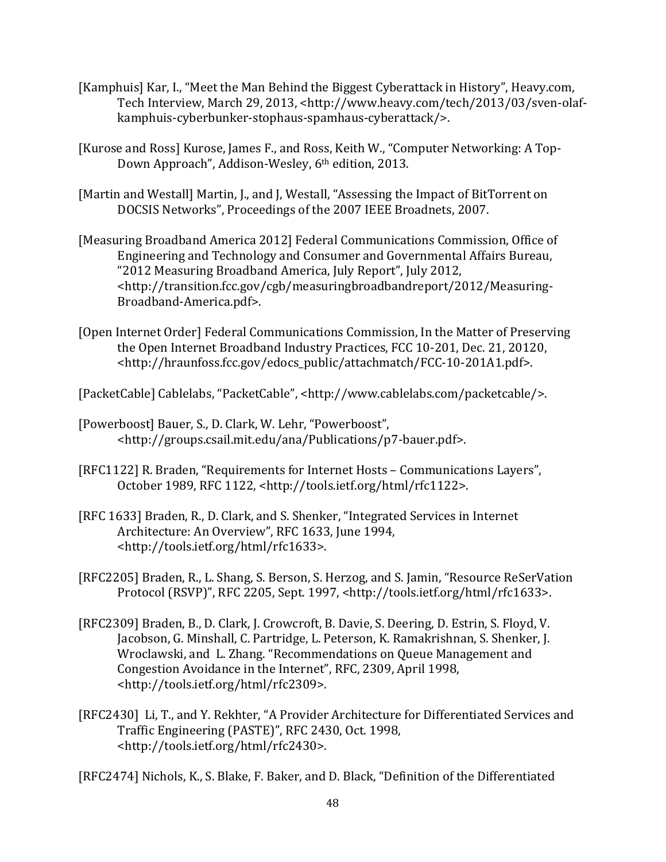- [Kamphuis] Kar, I., "Meet the Man Behind the Biggest Cyberattack in History", Heavy.com, Tech Interview, March 29, 2013, <http://www.heavy.com/tech/2013/03/sven-olafkamphuis-cyberbunker-stophaus-spamhaus-cyberattack/>.
- [Kurose and Ross] Kurose, James F., and Ross, Keith W., "Computer Networking: A Top-Down Approach", Addison-Wesley, 6<sup>th</sup> edition, 2013.
- [Martin and Westall] Martin, J., and J. Westall, "Assessing the Impact of BitTorrent on DOCSIS Networks", Proceedings of the 2007 IEEE Broadnets, 2007.
- [Measuring Broadband America 2012] Federal Communications Commission, Office of Engineering and Technology and Consumer and Governmental Affairs Bureau, "2012 Measuring Broadband America, July Report", July 2012, <http://transition.fcc.gov/cgb/measuringbroadbandreport/2012/Measuring-Broadband-America.pdf>.
- [Open Internet Order] Federal Communications Commission, In the Matter of Preserving the Open Internet Broadband Industry Practices, FCC 10-201, Dec. 21, 20120, <http://hraunfoss.fcc.gov/edocs\_public/attachmatch/FCC-10-201A1.pdf>.
- [PacketCable] Cablelabs, "PacketCable", <http://www.cablelabs.com/packetcable/>.
- [Powerboost] Bauer, S., D. Clark, W. Lehr, "Powerboost", <http://groups.csail.mit.edu/ana/Publications/p7-bauer.pdf>.
- [RFC1122] R. Braden, "Requirements for Internet Hosts Communications Layers", October 1989, RFC 1122, <http://tools.ietf.org/html/rfc1122>.
- [RFC 1633] Braden, R., D. Clark, and S. Shenker, "Integrated Services in Internet Architecture: An Overview", RFC 1633, June 1994, <http://tools.ietf.org/html/rfc1633>.
- [RFC2205] Braden, R., L. Shang, S. Berson, S. Herzog, and S. Jamin, "Resource ReSerVation Protocol (RSVP)", RFC 2205, Sept. 1997, <http://tools.ietf.org/html/rfc1633>.
- [RFC2309] Braden, B., D. Clark, J. Crowcroft, B. Davie, S. Deering, D. Estrin, S. Floyd, V. Jacobson, G. Minshall, C. Partridge, L. Peterson, K. Ramakrishnan, S. Shenker, J. Wroclawski, and L. Zhang. "Recommendations on Oueue Management and Congestion Avoidance in the Internet", RFC, 2309, April 1998, <http://tools.ietf.org/html/rfc2309>.
- [RFC2430] Li, T., and Y. Rekhter, "A Provider Architecture for Differentiated Services and Traffic Engineering (PASTE)", RFC 2430, Oct. 1998, <http://tools.ietf.org/html/rfc2430>.
- [RFC2474] Nichols, K., S. Blake, F. Baker, and D. Black, "Definition of the Differentiated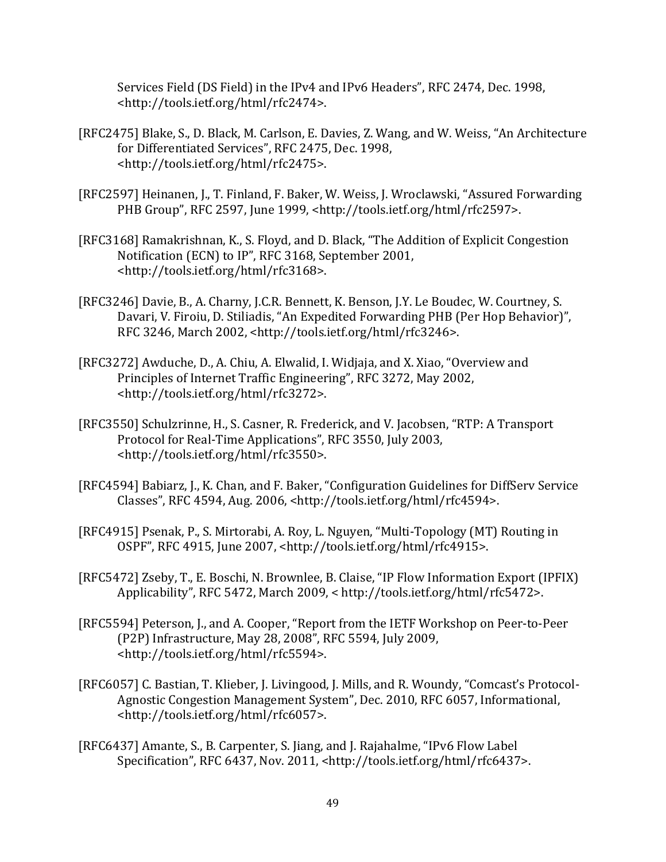Services Field (DS Field) in the IPv4 and IPv6 Headers", RFC 2474, Dec. 1998, <http://tools.ietf.org/html/rfc2474>.

- [RFC2475] Blake, S., D. Black, M. Carlson, E. Davies, Z. Wang, and W. Weiss, "An Architecture for Differentiated Services", RFC 2475, Dec. 1998, <http://tools.ietf.org/html/rfc2475>.
- [RFC2597] Heinanen, J., T. Finland, F. Baker, W. Weiss, J. Wroclawski, "Assured Forwarding PHB Group", RFC 2597, June 1999, <http://tools.ietf.org/html/rfc2597>.
- [RFC3168] Ramakrishnan, K., S. Floyd, and D. Black, "The Addition of Explicit Congestion Notification (ECN) to IP", RFC 3168, September 2001, <http://tools.ietf.org/html/rfc3168>.
- [RFC3246] Davie, B., A. Charny, J.C.R. Bennett, K. Benson, J.Y. Le Boudec, W. Courtney, S. Davari, V. Firoiu, D. Stiliadis, "An Expedited Forwarding PHB (Per Hop Behavior)", RFC 3246, March 2002, <http://tools.ietf.org/html/rfc3246>.
- [RFC3272] Awduche, D., A. Chiu, A. Elwalid, I. Widjaja, and X. Xiao, "Overview and Principles of Internet Traffic Engineering", RFC 3272, May 2002, <http://tools.ietf.org/html/rfc3272>.
- [RFC3550] Schulzrinne, H., S. Casner, R. Frederick, and V. Jacobsen, "RTP: A Transport Protocol for Real-Time Applications", RFC 3550, July 2003, <http://tools.ietf.org/html/rfc3550>.
- [RFC4594] Babiarz, J., K. Chan, and F. Baker, "Configuration Guidelines for DiffServ Service Classes", RFC 4594, Aug. 2006, <http://tools.ietf.org/html/rfc4594>.
- [RFC4915] Psenak, P., S. Mirtorabi, A. Roy, L. Nguyen, "Multi-Topology (MT) Routing in OSPF", RFC 4915, June 2007, <http://tools.ietf.org/html/rfc4915>.
- [RFC5472] Zseby, T., E. Boschi, N. Brownlee, B. Claise, "IP Flow Information Export (IPFIX) Applicability", RFC 5472, March 2009, < http://tools.ietf.org/html/rfc5472>.
- [RFC5594] Peterson, J., and A. Cooper, "Report from the IETF Workshop on Peer-to-Peer (P2P) Infrastructure, May 28, 2008", RFC 5594, July 2009, <http://tools.ietf.org/html/rfc5594>.
- [RFC6057] C. Bastian, T. Klieber, J. Livingood, J. Mills, and R. Woundy, "Comcast's Protocol-Agnostic Congestion Management System", Dec. 2010, RFC 6057, Informational, <http://tools.ietf.org/html/rfc6057>.
- [RFC6437] Amante, S., B. Carpenter, S. Jiang, and J. Rajahalme, "IPv6 Flow Label Specification", RFC 6437, Nov. 2011, <http://tools.ietf.org/html/rfc6437>.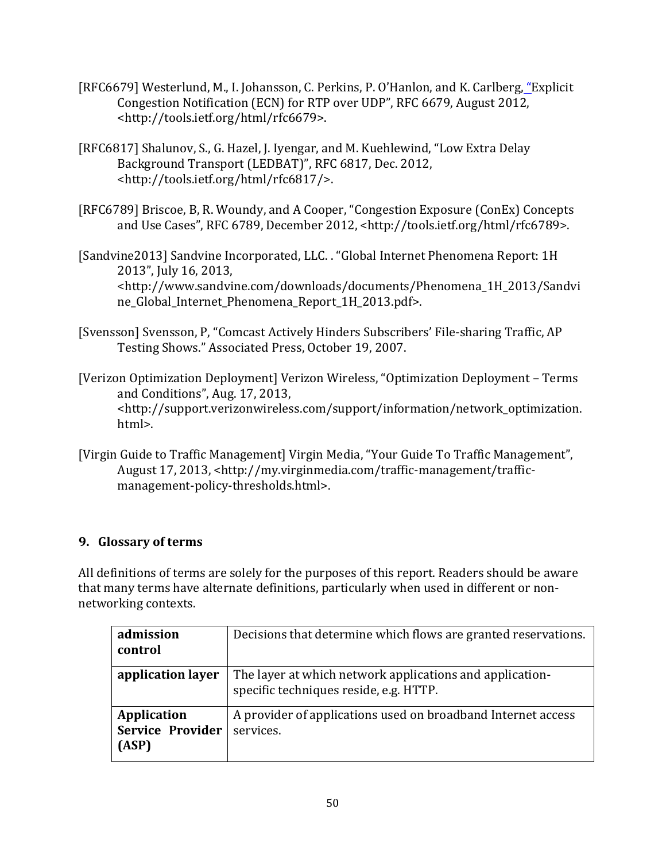- [RFC6679] Westerlund, M., I. Johansson, C. Perkins, P. O'Hanlon, and K. Carlberg, "Explicit Congestion Notification (ECN) for RTP over UDP", RFC 6679, August 2012, <http://tools.ietf.org/html/rfc6679>.
- [RFC6817] Shalunov, S., G. Hazel, J. Iyengar, and M. Kuehlewind, "Low Extra Delay Background Transport (LEDBAT)", RFC 6817, Dec. 2012, <http://tools.ietf.org/html/rfc6817/>.
- [RFC6789] Briscoe, B, R. Woundy, and A Cooper, "Congestion Exposure (ConEx) Concepts and Use Cases", RFC 6789, December 2012, <http://tools.ietf.org/html/rfc6789>.
- [Sandvine2013] Sandvine Incorporated, LLC. . "Global Internet Phenomena Report: 1H 2013", July 16, 2013, <http://www.sandvine.com/downloads/documents/Phenomena\_1H\_2013/Sandvi ne Global Internet Phenomena Report 1H 2013.pdf>.
- [Svensson] Svensson, P. "Comcast Actively Hinders Subscribers' File-sharing Traffic, AP Testing Shows." Associated Press, October 19, 2007.
- [Verizon Optimization Deployment] Verizon Wireless, "Optimization Deployment – Terms and Conditions", Aug. 17, 2013, <http://support.verizonwireless.com/support/information/network\_optimization. html>.
- [Virgin Guide to Traffic Management] Virgin Media, "Your Guide To Traffic Management", August 17, 2013, <http://my.virginmedia.com/traffic-management/trafficmanagement-policy-thresholds.html>.

# **9. Glossary of terms**

All definitions of terms are solely for the purposes of this report. Readers should be aware that many terms have alternate definitions, particularly when used in different or nonnetworking contexts. 

| admission<br>control                            | Decisions that determine which flows are granted reservations.                                     |
|-------------------------------------------------|----------------------------------------------------------------------------------------------------|
| application layer                               | The layer at which network applications and application-<br>specific techniques reside, e.g. HTTP. |
| <b>Application</b><br>Service Provider<br>(ASP) | A provider of applications used on broadband Internet access<br>services.                          |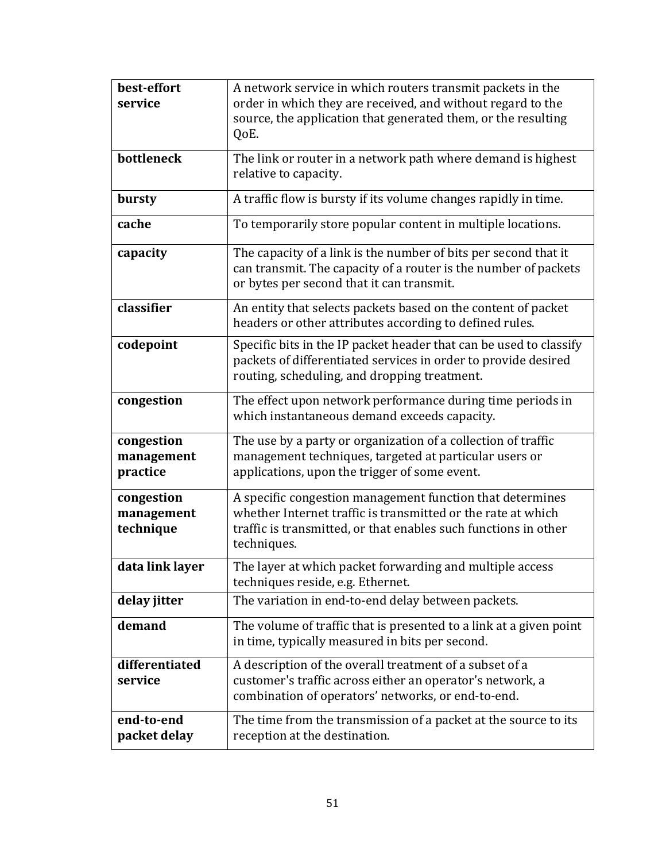| best-effort<br>service                | A network service in which routers transmit packets in the<br>order in which they are received, and without regard to the<br>source, the application that generated them, or the resulting<br>QoE.          |
|---------------------------------------|-------------------------------------------------------------------------------------------------------------------------------------------------------------------------------------------------------------|
| bottleneck                            | The link or router in a network path where demand is highest<br>relative to capacity.                                                                                                                       |
| bursty                                | A traffic flow is bursty if its volume changes rapidly in time.                                                                                                                                             |
| cache                                 | To temporarily store popular content in multiple locations.                                                                                                                                                 |
| capacity                              | The capacity of a link is the number of bits per second that it<br>can transmit. The capacity of a router is the number of packets<br>or bytes per second that it can transmit.                             |
| classifier                            | An entity that selects packets based on the content of packet<br>headers or other attributes according to defined rules.                                                                                    |
| codepoint                             | Specific bits in the IP packet header that can be used to classify<br>packets of differentiated services in order to provide desired<br>routing, scheduling, and dropping treatment.                        |
| congestion                            | The effect upon network performance during time periods in<br>which instantaneous demand exceeds capacity.                                                                                                  |
| congestion<br>management<br>practice  | The use by a party or organization of a collection of traffic<br>management techniques, targeted at particular users or<br>applications, upon the trigger of some event.                                    |
| congestion<br>management<br>technique | A specific congestion management function that determines<br>whether Internet traffic is transmitted or the rate at which<br>traffic is transmitted, or that enables such functions in other<br>techniques. |
| data link layer                       | The layer at which packet forwarding and multiple access<br>techniques reside, e.g. Ethernet.                                                                                                               |
| delay jitter                          | The variation in end-to-end delay between packets.                                                                                                                                                          |
| demand                                | The volume of traffic that is presented to a link at a given point<br>in time, typically measured in bits per second.                                                                                       |
| differentiated<br>service             | A description of the overall treatment of a subset of a<br>customer's traffic across either an operator's network, a<br>combination of operators' networks, or end-to-end.                                  |
| end-to-end<br>packet delay            | The time from the transmission of a packet at the source to its<br>reception at the destination.                                                                                                            |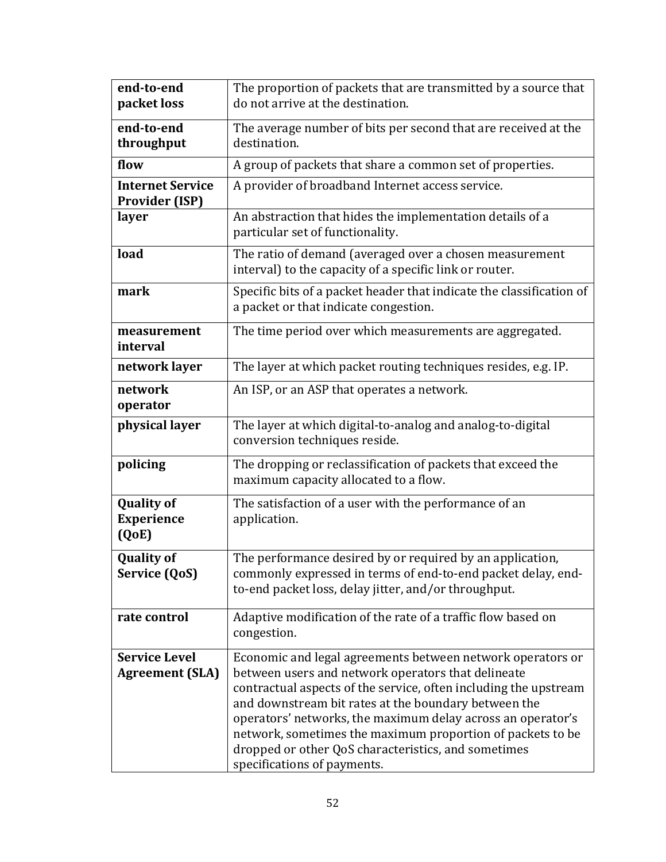| end-to-end<br>packet loss                        | The proportion of packets that are transmitted by a source that<br>do not arrive at the destination.                                                                                                                                                                                                                                                                                                                                                            |
|--------------------------------------------------|-----------------------------------------------------------------------------------------------------------------------------------------------------------------------------------------------------------------------------------------------------------------------------------------------------------------------------------------------------------------------------------------------------------------------------------------------------------------|
| end-to-end<br>throughput                         | The average number of bits per second that are received at the<br>destination.                                                                                                                                                                                                                                                                                                                                                                                  |
| flow                                             | A group of packets that share a common set of properties.                                                                                                                                                                                                                                                                                                                                                                                                       |
| <b>Internet Service</b><br><b>Provider (ISP)</b> | A provider of broadband Internet access service.                                                                                                                                                                                                                                                                                                                                                                                                                |
| layer                                            | An abstraction that hides the implementation details of a<br>particular set of functionality.                                                                                                                                                                                                                                                                                                                                                                   |
| load                                             | The ratio of demand (averaged over a chosen measurement<br>interval) to the capacity of a specific link or router.                                                                                                                                                                                                                                                                                                                                              |
| mark                                             | Specific bits of a packet header that indicate the classification of<br>a packet or that indicate congestion.                                                                                                                                                                                                                                                                                                                                                   |
| measurement<br>interval                          | The time period over which measurements are aggregated.                                                                                                                                                                                                                                                                                                                                                                                                         |
| network layer                                    | The layer at which packet routing techniques resides, e.g. IP.                                                                                                                                                                                                                                                                                                                                                                                                  |
| network<br>operator                              | An ISP, or an ASP that operates a network.                                                                                                                                                                                                                                                                                                                                                                                                                      |
| physical layer                                   | The layer at which digital-to-analog and analog-to-digital<br>conversion techniques reside.                                                                                                                                                                                                                                                                                                                                                                     |
| policing                                         | The dropping or reclassification of packets that exceed the<br>maximum capacity allocated to a flow.                                                                                                                                                                                                                                                                                                                                                            |
| <b>Quality of</b><br><b>Experience</b><br>(QoE)  | The satisfaction of a user with the performance of an<br>application.                                                                                                                                                                                                                                                                                                                                                                                           |
| <b>Quality of</b><br>Service (QoS)               | The performance desired by or required by an application,<br>commonly expressed in terms of end-to-end packet delay, end-<br>to-end packet loss, delay jitter, and/or throughput.                                                                                                                                                                                                                                                                               |
| rate control                                     | Adaptive modification of the rate of a traffic flow based on<br>congestion.                                                                                                                                                                                                                                                                                                                                                                                     |
| <b>Service Level</b><br><b>Agreement (SLA)</b>   | Economic and legal agreements between network operators or<br>between users and network operators that delineate<br>contractual aspects of the service, often including the upstream<br>and downstream bit rates at the boundary between the<br>operators' networks, the maximum delay across an operator's<br>network, sometimes the maximum proportion of packets to be<br>dropped or other QoS characteristics, and sometimes<br>specifications of payments. |